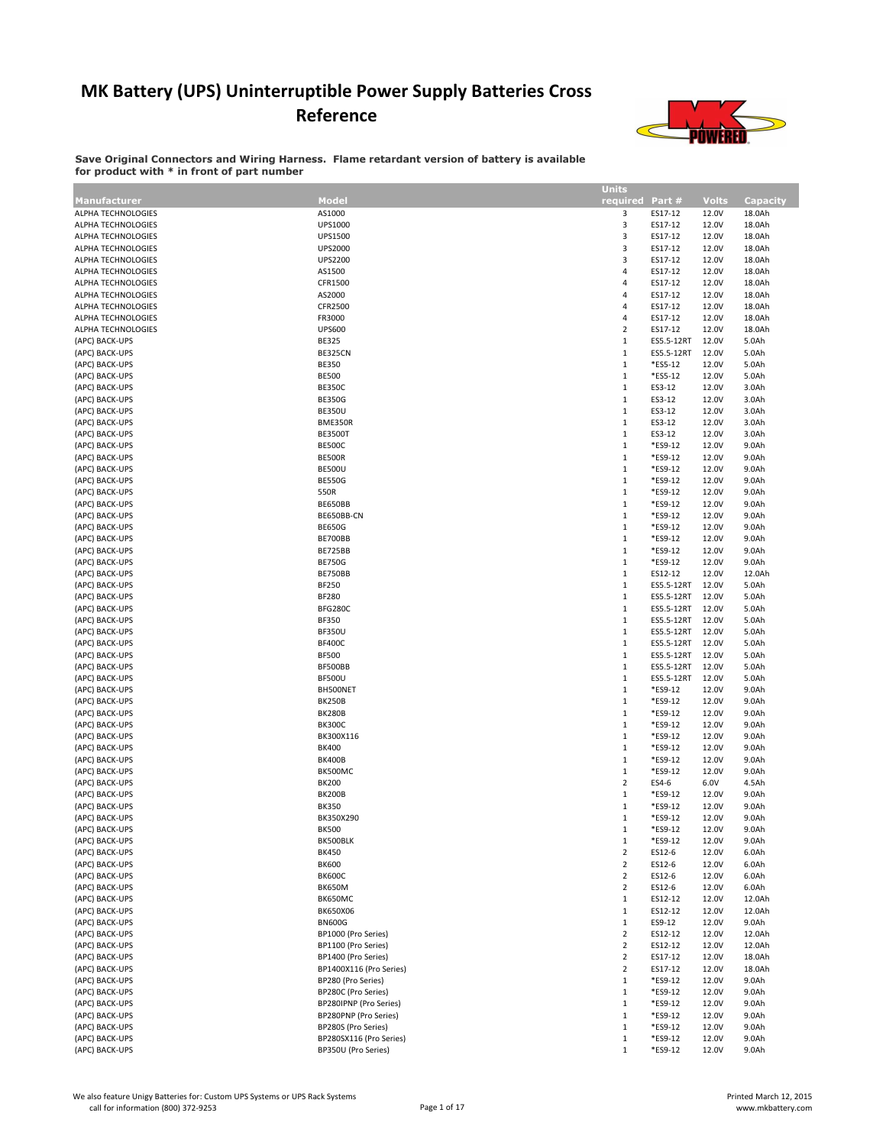## MK Battery (UPS) Uninterruptible Power Supply Batteries Cross Reference



Save Original Connectors and Wiring Harness. Flame retardant version of battery is available for product with \* in front of part number

|                           |                         | <b>Units</b>    |            |              |                 |
|---------------------------|-------------------------|-----------------|------------|--------------|-----------------|
|                           |                         |                 |            |              |                 |
| <b>Manufacturer</b>       | Model                   | required Part # |            | <b>Volts</b> | <b>Capacity</b> |
| ALPHA TECHNOLOGIES        | AS1000                  | 3               | ES17-12    | 12.0V        | 18.0Ah          |
| ALPHA TECHNOLOGIES        | UPS1000                 | 3               | ES17-12    | 12.0V        | 18.0Ah          |
| ALPHA TECHNOLOGIES        | <b>UPS1500</b>          | 3               | ES17-12    | 12.0V        | 18.0Ah          |
| ALPHA TECHNOLOGIES        | <b>UPS2000</b>          | 3               | ES17-12    | 12.0V        | 18.0Ah          |
| <b>ALPHA TECHNOLOGIES</b> | <b>UPS2200</b>          | 3               | ES17-12    | 12.0V        | 18.0Ah          |
| ALPHA TECHNOLOGIES        | AS1500                  | 4               | ES17-12    | 12.0V        | 18.0Ah          |
|                           |                         |                 |            |              |                 |
| ALPHA TECHNOLOGIES        | CFR1500                 | 4               | ES17-12    | 12.0V        | 18.0Ah          |
| ALPHA TECHNOLOGIES        | AS2000                  | 4               | ES17-12    | 12.0V        | 18.0Ah          |
| ALPHA TECHNOLOGIES        | CFR2500                 | $\overline{4}$  | ES17-12    | 12.0V        | 18.0Ah          |
| ALPHA TECHNOLOGIES        | FR3000                  | 4               | ES17-12    | 12.0V        | 18.0Ah          |
| ALPHA TECHNOLOGIES        | <b>UPS600</b>           | $\overline{2}$  | ES17-12    | 12.0V        | 18.0Ah          |
| (APC) BACK-UPS            | <b>BE325</b>            | $\,1\,$         | ES5.5-12RT | 12.0V        | 5.0Ah           |
|                           |                         |                 |            |              |                 |
| (APC) BACK-UPS            | BE325CN                 | $\,1\,$         | ES5.5-12RT | 12.0V        | 5.0Ah           |
| (APC) BACK-UPS            | <b>BE350</b>            | $\,1\,$         | *ES5-12    | 12.0V        | 5.0Ah           |
| (APC) BACK-UPS            | <b>BE500</b>            | $\,1\,$         | *ES5-12    | 12.0V        | 5.0Ah           |
| (APC) BACK-UPS            | <b>BE350C</b>           | $\,1\,$         | ES3-12     | 12.0V        | 3.0Ah           |
| (APC) BACK-UPS            | <b>BE350G</b>           | $\,1\,$         | ES3-12     | 12.0V        | 3.0Ah           |
| (APC) BACK-UPS            | <b>BE350U</b>           | $\,1\,$         | ES3-12     | 12.0V        | 3.0Ah           |
|                           |                         |                 |            |              |                 |
| (APC) BACK-UPS            | BME350R                 | $\,1\,$         | ES3-12     | 12.0V        | 3.0Ah           |
| (APC) BACK-UPS            | <b>BE3500T</b>          | $\,1\,$         | ES3-12     | 12.0V        | 3.0Ah           |
| (APC) BACK-UPS            | <b>BE500C</b>           | $\,1\,$         | *ES9-12    | 12.0V        | 9.0Ah           |
| (APC) BACK-UPS            | <b>BE500R</b>           | $\,1\,$         | *ES9-12    | 12.0V        | 9.0Ah           |
| (APC) BACK-UPS            | <b>BE500U</b>           | $\,1\,$         | *ES9-12    | 12.0V        | 9.0Ah           |
| (APC) BACK-UPS            | <b>BE550G</b>           | $\,1\,$         | *ES9-12    | 12.0V        | 9.0Ah           |
| (APC) BACK-UPS            |                         | $\,1\,$         | *ES9-12    |              |                 |
|                           | 550R                    |                 |            | 12.0V        | 9.0Ah           |
| (APC) BACK-UPS            | BE650BB                 | $\,1\,$         | *ES9-12    | 12.0V        | 9.0Ah           |
| (APC) BACK-UPS            | BE650BB-CN              | $\mathbf 1$     | *ES9-12    | 12.0V        | 9.0Ah           |
| (APC) BACK-UPS            | <b>BE650G</b>           | $\,1\,$         | *ES9-12    | 12.0V        | 9.0Ah           |
| (APC) BACK-UPS            | <b>BE700BB</b>          | $\,1\,$         | *ES9-12    | 12.0V        | 9.0Ah           |
| (APC) BACK-UPS            | <b>BE725BB</b>          | $\,1\,$         | *ES9-12    | 12.0V        | 9.0Ah           |
|                           | <b>BE750G</b>           | $\,1\,$         | *ES9-12    | 12.0V        | 9.0Ah           |
| (APC) BACK-UPS            |                         |                 |            |              |                 |
| (APC) BACK-UPS            | BE750BB                 | $\,1\,$         | ES12-12    | 12.0V        | 12.0Ah          |
| (APC) BACK-UPS            | <b>BF250</b>            | $\,1\,$         | ES5.5-12RT | 12.0V        | 5.0Ah           |
| (APC) BACK-UPS            | <b>BF280</b>            | $\,1\,$         | ES5.5-12RT | 12.0V        | 5.0Ah           |
| (APC) BACK-UPS            | BFG280C                 | $\,1\,$         | ES5.5-12RT | 12.0V        | 5.0Ah           |
| (APC) BACK-UPS            | <b>BF350</b>            | $\,1\,$         | ES5.5-12RT | 12.0V        | 5.0Ah           |
| (APC) BACK-UPS            | <b>BF350U</b>           | $\,1\,$         | ES5.5-12RT | 12.0V        | 5.0Ah           |
|                           |                         |                 |            |              |                 |
| (APC) BACK-UPS            | <b>BF400C</b>           | $\,1\,$         | ES5.5-12RT | 12.0V        | 5.0Ah           |
| (APC) BACK-UPS            | <b>BF500</b>            | $\,1\,$         | ES5.5-12RT | 12.0V        | 5.0Ah           |
| (APC) BACK-UPS            | BF500BB                 | $\,1\,$         | ES5.5-12RT | 12.0V        | 5.0Ah           |
| (APC) BACK-UPS            | <b>BF500U</b>           | $\,1\,$         | ES5.5-12RT | 12.0V        | 5.0Ah           |
| (APC) BACK-UPS            | BH500NET                | $\,1\,$         | *ES9-12    | 12.0V        | 9.0Ah           |
| (APC) BACK-UPS            | <b>BK250B</b>           | $\,1\,$         | *ES9-12    | 12.0V        | 9.0Ah           |
|                           |                         |                 |            |              |                 |
| (APC) BACK-UPS            | <b>BK280B</b>           | $\,1\,$         | *ES9-12    | 12.0V        | 9.0Ah           |
| (APC) BACK-UPS            | <b>BK300C</b>           | $\,1\,$         | *ES9-12    | 12.0V        | 9.0Ah           |
| (APC) BACK-UPS            | BK300X116               | $\,1\,$         | *ES9-12    | 12.0V        | 9.0Ah           |
| (APC) BACK-UPS            | <b>BK400</b>            | $\,1\,$         | *ES9-12    | 12.0V        | 9.0Ah           |
| (APC) BACK-UPS            | <b>BK400B</b>           | $\,1\,$         | *ES9-12    | 12.0V        | 9.0Ah           |
| (APC) BACK-UPS            | BK500MC                 | $\,1\,$         | *ES9-12    | 12.0V        | 9.0Ah           |
| (APC) BACK-UPS            | <b>BK200</b>            | $\overline{2}$  | ES4-6      | 6.0V         | 4.5Ah           |
| (APC) BACK-UPS            |                         | $\,1\,$         |            |              |                 |
|                           | <b>BK200B</b>           |                 | *ES9-12    | 12.0V        | 9.0Ah           |
| (APC) BACK-UPS            | <b>BK350</b>            | $1\,$           | *ES9-12    | 12.0V        | 9.0Ah           |
| (APC) BACK-UPS            | BK350X290               | $\mathbf{1}$    | *ES9-12    | 12.0V        | 9.0Ah           |
| (APC) BACK-UPS            | <b>BK500</b>            | $\mathbf 1$     | *ES9-12    | 12.0V        | 9.0Ah           |
| (APC) BACK-UPS            | BK500BLK                | $\,1\,$         | *ES9-12    | 12.0V        | 9.0Ah           |
| (APC) BACK-UPS            | <b>BK450</b>            | $\overline{2}$  | ES12-6     | 12.0V        | 6.0Ah           |
| (APC) BACK-UPS            | <b>BK600</b>            | $\overline{2}$  | ES12-6     | 12.0V        | 6.0Ah           |
|                           |                         |                 |            |              |                 |
| (APC) BACK-UPS            | <b>BK600C</b>           | $\overline{2}$  | ES12-6     | 12.0V        | 6.0Ah           |
| (APC) BACK-UPS            | <b>BK650M</b>           | $\overline{2}$  | ES12-6     | 12.0V        | 6.0Ah           |
| (APC) BACK-UPS            | BK650MC                 | $\mathbf{1}$    | ES12-12    | 12.0V        | 12.0Ah          |
| (APC) BACK-UPS            | <b>BK650X06</b>         | $\mathbf{1}$    | ES12-12    | 12.0V        | 12.0Ah          |
| (APC) BACK-UPS            | <b>BN600G</b>           | $\mathbf{1}$    | ES9-12     | 12.0V        | 9.0Ah           |
| (APC) BACK-UPS            | BP1000 (Pro Series)     | $\overline{2}$  | ES12-12    | 12.0V        | 12.0Ah          |
| (APC) BACK-UPS            | BP1100 (Pro Series)     | $\overline{2}$  | ES12-12    | 12.0V        | 12.0Ah          |
|                           |                         |                 |            |              |                 |
| (APC) BACK-UPS            | BP1400 (Pro Series)     | $\overline{2}$  | ES17-12    | 12.0V        | 18.0Ah          |
| (APC) BACK-UPS            | BP1400X116 (Pro Series) | $\overline{2}$  | ES17-12    | 12.0V        | 18.0Ah          |
| (APC) BACK-UPS            | BP280 (Pro Series)      | $\mathbf{1}$    | *ES9-12    | 12.0V        | 9.0Ah           |
| (APC) BACK-UPS            | BP280C (Pro Series)     | $\mathbf{1}$    | *ES9-12    | 12.0V        | 9.0Ah           |
| (APC) BACK-UPS            | BP280IPNP (Pro Series)  | $\mathbf{1}$    | *ES9-12    | 12.0V        | 9.0Ah           |
| (APC) BACK-UPS            | BP280PNP (Pro Series)   | $\mathbf{1}$    | *ES9-12    | 12.0V        | 9.0Ah           |
| (APC) BACK-UPS            | BP280S (Pro Series)     | $\mathbf{1}$    | *ES9-12    | 12.0V        | 9.0Ah           |
|                           |                         |                 |            |              |                 |
| (APC) BACK-UPS            | BP280SX116 (Pro Series) | $\mathbf{1}$    | *ES9-12    | 12.0V        | 9.0Ah           |
| (APC) BACK-UPS            | BP350U (Pro Series)     | $\,1\,$         | *ES9-12    | 12.0V        | 9.0Ah           |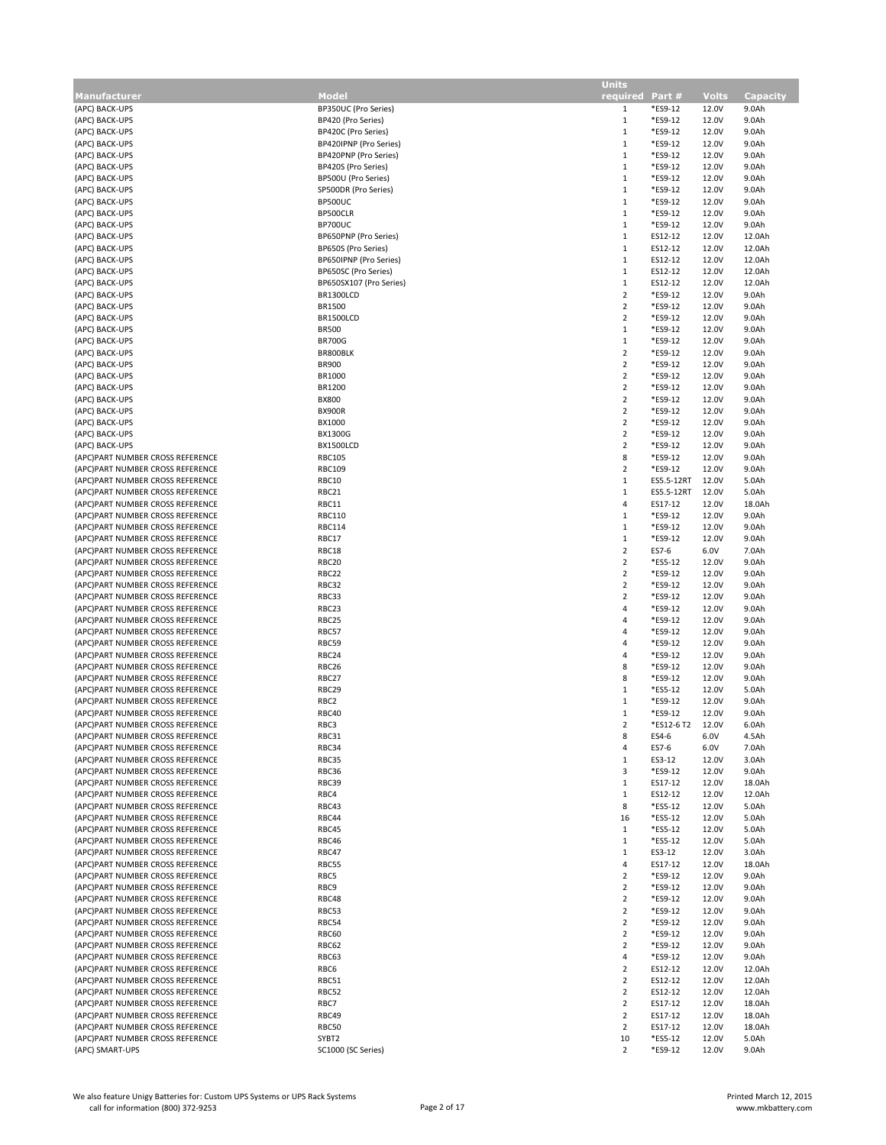|                                  |                         | <b>Units</b>    |            |              |          |
|----------------------------------|-------------------------|-----------------|------------|--------------|----------|
| Manufacturer                     | Model                   | required Part # |            | <b>Volts</b> | Capacity |
| (APC) BACK-UPS                   | BP350UC (Pro Series)    | $\mathbf{1}$    | *ES9-12    | 12.0V        | 9.0Ah    |
| (APC) BACK-UPS                   | BP420 (Pro Series)      | 1               | *ES9-12    | 12.0V        | 9.0Ah    |
| (APC) BACK-UPS                   | BP420C (Pro Series)     | $\mathbf{1}$    | *ES9-12    | 12.0V        | 9.0Ah    |
| (APC) BACK-UPS                   | BP420IPNP (Pro Series)  | $\mathbf{1}$    | *ES9-12    | 12.0V        | 9.0Ah    |
| (APC) BACK-UPS                   | BP420PNP (Pro Series)   | $\mathbf{1}$    | *ES9-12    | 12.0V        | 9.0Ah    |
|                                  | BP420S (Pro Series)     |                 | *ES9-12    |              |          |
| (APC) BACK-UPS                   |                         | $\mathbf{1}$    |            | 12.0V        | 9.0Ah    |
| (APC) BACK-UPS                   | BP500U (Pro Series)     | $\,1\,$         | *ES9-12    | 12.0V        | 9.0Ah    |
| (APC) BACK-UPS                   | SP500DR (Pro Series)    | $\mathbf{1}$    | *ES9-12    | 12.0V        | 9.0Ah    |
| (APC) BACK-UPS                   | BP500UC                 | $\mathbf{1}$    | *ES9-12    | 12.0V        | 9.0Ah    |
| (APC) BACK-UPS                   | BP500CLR                | $1\,$           | *ES9-12    | 12.0V        | 9.0Ah    |
| (APC) BACK-UPS                   | <b>BP700UC</b>          | $\mathbf{1}$    | *ES9-12    | 12.0V        | 9.0Ah    |
| (APC) BACK-UPS                   | BP650PNP (Pro Series)   | $\mathbf{1}$    | ES12-12    | 12.0V        | 12.0Ah   |
| (APC) BACK-UPS                   | BP650S (Pro Series)     | $\mathbf{1}$    | ES12-12    | 12.0V        | 12.0Ah   |
| (APC) BACK-UPS                   | BP650IPNP (Pro Series)  | $\mathbf{1}$    | ES12-12    | 12.0V        | 12.0Ah   |
| (APC) BACK-UPS                   | BP650SC (Pro Series)    | $\mathbf{1}$    | ES12-12    | 12.0V        | 12.0Ah   |
|                                  |                         |                 |            |              |          |
| (APC) BACK-UPS                   | BP650SX107 (Pro Series) | $\mathbf{1}$    | ES12-12    | 12.0V        | 12.0Ah   |
| (APC) BACK-UPS                   | BR1300LCD               | $\overline{2}$  | *ES9-12    | 12.0V        | 9.0Ah    |
| (APC) BACK-UPS                   | <b>BR1500</b>           | $\overline{2}$  | *ES9-12    | 12.0V        | 9.0Ah    |
| (APC) BACK-UPS                   | BR1500LCD               | $\overline{2}$  | *ES9-12    | 12.0V        | 9.0Ah    |
| (APC) BACK-UPS                   | <b>BR500</b>            | $\mathbf{1}$    | *ES9-12    | 12.0V        | 9.0Ah    |
| (APC) BACK-UPS                   | <b>BR700G</b>           | $\mathbf{1}$    | *ES9-12    | 12.0V        | 9.0Ah    |
| (APC) BACK-UPS                   | BR800BLK                | $\overline{2}$  | *ES9-12    | 12.0V        | 9.0Ah    |
| (APC) BACK-UPS                   | <b>BR900</b>            | $\overline{2}$  | *ES9-12    | 12.0V        | 9.0Ah    |
| (APC) BACK-UPS                   | <b>BR1000</b>           | $\overline{2}$  | *ES9-12    | 12.0V        | 9.0Ah    |
|                                  |                         |                 |            |              |          |
| (APC) BACK-UPS                   | BR1200                  | $\overline{2}$  | *ES9-12    | 12.0V        | 9.0Ah    |
| (APC) BACK-UPS                   | <b>BX800</b>            | $\overline{2}$  | *ES9-12    | 12.0V        | 9.0Ah    |
| (APC) BACK-UPS                   | <b>BX900R</b>           | $\overline{2}$  | *ES9-12    | 12.0V        | 9.0Ah    |
| (APC) BACK-UPS                   | BX1000                  | $\overline{2}$  | *ES9-12    | 12.0V        | 9.0Ah    |
| (APC) BACK-UPS                   | <b>BX1300G</b>          | $\overline{2}$  | *ES9-12    | 12.0V        | 9.0Ah    |
| (APC) BACK-UPS                   | BX1500LCD               | $\overline{2}$  | *ES9-12    | 12.0V        | 9.0Ah    |
| (APC)PART NUMBER CROSS REFERENCE | <b>RBC105</b>           | 8               | *ES9-12    | 12.0V        | 9.0Ah    |
| (APC)PART NUMBER CROSS REFERENCE | <b>RBC109</b>           | $\overline{2}$  | *ES9-12    | 12.0V        | 9.0Ah    |
| (APC)PART NUMBER CROSS REFERENCE | <b>RBC10</b>            | $\mathbf{1}$    | ES5.5-12RT | 12.0V        | 5.0Ah    |
|                                  |                         |                 | ES5.5-12RT |              |          |
| (APC)PART NUMBER CROSS REFERENCE | RBC21                   | $\mathbf{1}$    |            | 12.0V        | 5.0Ah    |
| (APC)PART NUMBER CROSS REFERENCE | RBC11                   | 4               | ES17-12    | 12.0V        | 18.0Ah   |
| (APC)PART NUMBER CROSS REFERENCE | <b>RBC110</b>           | $\mathbf{1}$    | *ES9-12    | 12.0V        | 9.0Ah    |
| (APC)PART NUMBER CROSS REFERENCE | <b>RBC114</b>           | $\mathbf{1}$    | *ES9-12    | 12.0V        | 9.0Ah    |
| (APC)PART NUMBER CROSS REFERENCE | RBC17                   | $\mathbf{1}$    | *ES9-12    | 12.0V        | 9.0Ah    |
| (APC)PART NUMBER CROSS REFERENCE | RBC18                   | $\overline{2}$  | ES7-6      | 6.0V         | 7.0Ah    |
| (APC)PART NUMBER CROSS REFERENCE | RBC20                   | $\overline{2}$  | *ES5-12    | 12.0V        | 9.0Ah    |
|                                  |                         |                 |            |              |          |
| (APC)PART NUMBER CROSS REFERENCE | RBC22                   | $\overline{2}$  | *ES9-12    | 12.0V        | 9.0Ah    |
| (APC)PART NUMBER CROSS REFERENCE | RBC32                   | $\overline{2}$  | *ES9-12    | 12.0V        | 9.0Ah    |
| (APC)PART NUMBER CROSS REFERENCE | RBC33                   | $\overline{2}$  | *ES9-12    | 12.0V        | 9.0Ah    |
| (APC)PART NUMBER CROSS REFERENCE | RBC23                   | 4               | *ES9-12    | 12.0V        | 9.0Ah    |
| (APC)PART NUMBER CROSS REFERENCE | RBC25                   | 4               | *ES9-12    | 12.0V        | 9.0Ah    |
| (APC)PART NUMBER CROSS REFERENCE | RBC57                   | 4               | *ES9-12    | 12.0V        | 9.0Ah    |
| (APC)PART NUMBER CROSS REFERENCE | RBC59                   | 4               | *ES9-12    | 12.0V        | 9.0Ah    |
| (APC)PART NUMBER CROSS REFERENCE | RBC24                   | 4               | *ES9-12    | 12.0V        | 9.0Ah    |
| (APC)PART NUMBER CROSS REFERENCE | RBC26                   | 8               | *ES9-12    | 12.0V        | 9.0Ah    |
|                                  |                         |                 |            |              |          |
| (APC)PART NUMBER CROSS REFERENCE | RBC27                   | 8               | *ES9-12    | 12.0V        | 9.0Ah    |
| (APC)PART NUMBER CROSS REFERENCE | RBC29                   | $\mathbf{1}$    | *ES5-12    | 12.0V        | 5.0Ah    |
| (APC)PART NUMBER CROSS REFERENCE | RBC <sub>2</sub>        | 1               | *ES9-12    | 12.0V        | 9.0Ah    |
| (APC)PART NUMBER CROSS REFERENCE | RBC40                   | $\mathbf{1}$    | *ES9-12    | 12.0V        | 9.0Ah    |
| (APC)PART NUMBER CROSS REFERENCE | RBC3                    | $\overline{2}$  | *ES12-6 T2 | 12.0V        | 6.0Ah    |
| (APC)PART NUMBER CROSS REFERENCE | RBC31                   | 8               | ES4-6      | 6.0V         | 4.5Ah    |
| (APC)PART NUMBER CROSS REFERENCE | RBC34                   | 4               | ES7-6      | 6.0V         | 7.0Ah    |
| (APC)PART NUMBER CROSS REFERENCE | RBC35                   | $\mathbf{1}$    | ES3-12     | 12.0V        | 3.0Ah    |
| (APC)PART NUMBER CROSS REFERENCE | RBC36                   | 3               | *ES9-12    | 12.0V        | 9.0Ah    |
|                                  |                         |                 |            |              |          |
| (APC)PART NUMBER CROSS REFERENCE | RBC39                   | $\mathbf{1}$    | ES17-12    | 12.0V        | 18.0Ah   |
| (APC)PART NUMBER CROSS REFERENCE | RBC4                    | $\mathbf{1}$    | ES12-12    | 12.0V        | 12.0Ah   |
| (APC)PART NUMBER CROSS REFERENCE | RBC43                   | 8               | *ES5-12    | 12.0V        | 5.0Ah    |
| (APC)PART NUMBER CROSS REFERENCE | RBC44                   | 16              | *ES5-12    | 12.0V        | 5.0Ah    |
| (APC)PART NUMBER CROSS REFERENCE | RBC45                   | $\mathbf{1}$    | *ES5-12    | 12.0V        | 5.0Ah    |
| (APC)PART NUMBER CROSS REFERENCE | RBC46                   | $\mathbf{1}$    | *ES5-12    | 12.0V        | 5.0Ah    |
| (APC)PART NUMBER CROSS REFERENCE | RBC47                   | $\mathbf{1}$    | ES3-12     | 12.0V        | 3.0Ah    |
| (APC)PART NUMBER CROSS REFERENCE | RBC55                   | 4               | ES17-12    | 12.0V        | 18.0Ah   |
| (APC)PART NUMBER CROSS REFERENCE | RBC5                    | $\overline{2}$  | *ES9-12    | 12.0V        | 9.0Ah    |
|                                  |                         |                 |            |              |          |
| (APC)PART NUMBER CROSS REFERENCE | RBC9                    | $\overline{2}$  | *ES9-12    | 12.0V        | 9.0Ah    |
| (APC)PART NUMBER CROSS REFERENCE | RBC48                   | $\overline{2}$  | *ES9-12    | 12.0V        | 9.0Ah    |
| (APC)PART NUMBER CROSS REFERENCE | RBC53                   | $\overline{2}$  | *ES9-12    | 12.0V        | 9.0Ah    |
| (APC)PART NUMBER CROSS REFERENCE | RBC54                   | $\overline{2}$  | *ES9-12    | 12.0V        | 9.0Ah    |
| (APC)PART NUMBER CROSS REFERENCE | <b>RBC60</b>            | $\overline{2}$  | *ES9-12    | 12.0V        | 9.0Ah    |
| (APC)PART NUMBER CROSS REFERENCE | RBC62                   | $\overline{2}$  | *ES9-12    | 12.0V        | 9.0Ah    |
| (APC)PART NUMBER CROSS REFERENCE | RBC63                   | 4               | *ES9-12    | 12.0V        | 9.0Ah    |
|                                  |                         |                 |            |              |          |
| (APC)PART NUMBER CROSS REFERENCE | RBC6                    | $\overline{2}$  | ES12-12    | 12.0V        | 12.0Ah   |
| (APC)PART NUMBER CROSS REFERENCE | RBC51                   | $\overline{2}$  | ES12-12    | 12.0V        | 12.0Ah   |
| (APC)PART NUMBER CROSS REFERENCE | RBC52                   | $\overline{2}$  | ES12-12    | 12.0V        | 12.0Ah   |
| (APC)PART NUMBER CROSS REFERENCE | RBC7                    | $\overline{2}$  | ES17-12    | 12.0V        | 18.0Ah   |
| (APC)PART NUMBER CROSS REFERENCE | RBC49                   | $\overline{2}$  | ES17-12    | 12.0V        | 18.0Ah   |
| (APC)PART NUMBER CROSS REFERENCE | RBC50                   | $\overline{2}$  | ES17-12    | 12.0V        | 18.0Ah   |
| (APC)PART NUMBER CROSS REFERENCE | SYBT2                   | 10              | *ES5-12    | 12.0V        | 5.0Ah    |
|                                  |                         |                 |            |              |          |
| (APC) SMART-UPS                  | SC1000 (SC Series)      | $\overline{2}$  | *ES9-12    | 12.0V        | 9.0Ah    |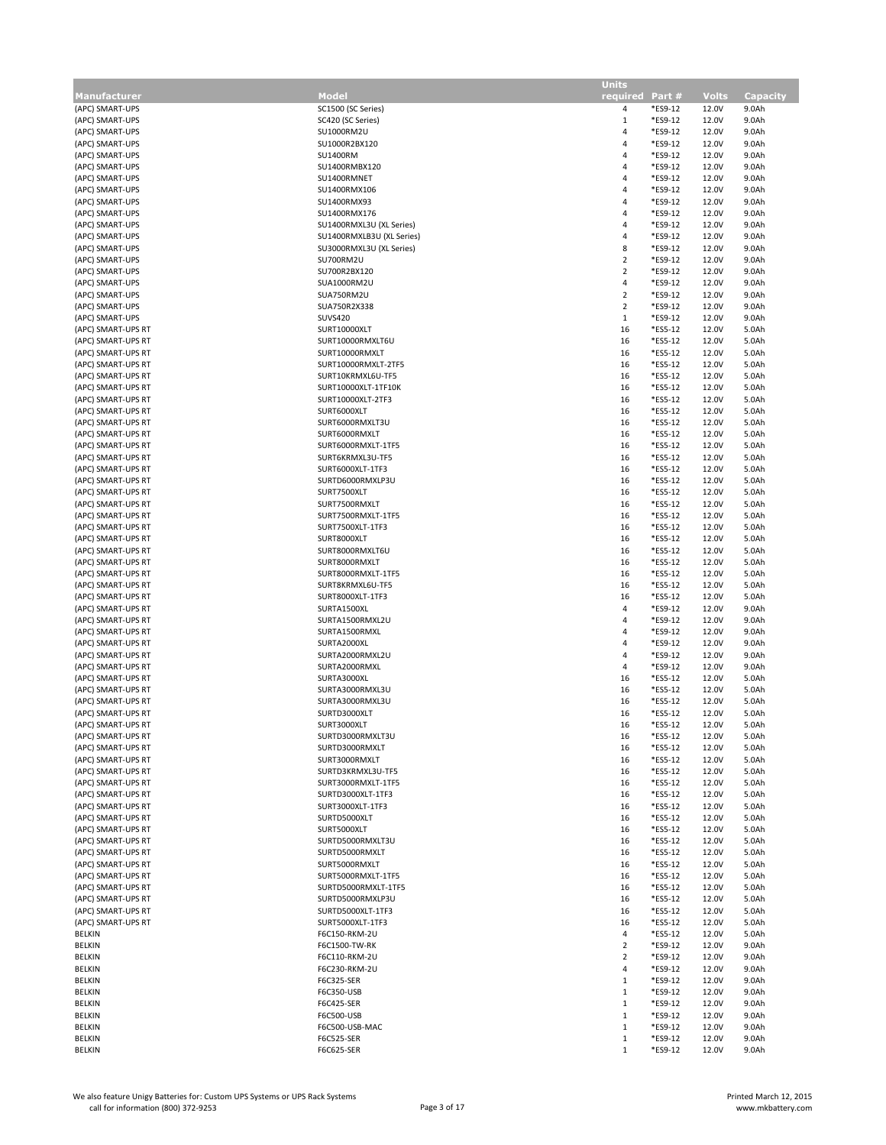|                                          |                                         | <b>Units</b>    |                    |                |                 |
|------------------------------------------|-----------------------------------------|-----------------|--------------------|----------------|-----------------|
| <b>Manufacturer</b>                      | <b>Model</b>                            | required Part # |                    | <b>Volts</b>   | <b>Capacity</b> |
| (APC) SMART-UPS                          | SC1500 (SC Series)                      | 4               | *ES9-12            | 12.0V          | 9.0Ah           |
| (APC) SMART-UPS                          | SC420 (SC Series)                       | $\mathbf{1}$    | *ES9-12            | 12.0V          | 9.0Ah           |
| (APC) SMART-UPS                          | SU1000RM2U                              | 4               | *ES9-12            | 12.0V          | 9.0Ah           |
| (APC) SMART-UPS                          | SU1000R2BX120                           | 4               | *ES9-12            | 12.0V          | 9.0Ah           |
| (APC) SMART-UPS                          | <b>SU1400RM</b>                         | 4               | *ES9-12            | 12.0V          | 9.0Ah           |
| (APC) SMART-UPS                          | SU1400RMBX120                           | 4               | *ES9-12            | 12.0V          | 9.0Ah           |
| (APC) SMART-UPS                          | SU1400RMNET                             | 4               | *ES9-12            | 12.0V          | 9.0Ah           |
| (APC) SMART-UPS                          | SU1400RMX106                            | 4               | *ES9-12            | 12.0V          | 9.0Ah           |
| (APC) SMART-UPS                          | SU1400RMX93                             | 4               | *ES9-12            | 12.0V          | 9.0Ah           |
| (APC) SMART-UPS                          | SU1400RMX176                            | 4               | *ES9-12            | 12.0V          | 9.0Ah           |
| (APC) SMART-UPS                          | SU1400RMXL3U (XL Series)                | 4               | *ES9-12            | 12.0V          | 9.0Ah           |
| (APC) SMART-UPS                          | SU1400RMXLB3U (XL Series)               | 4               | *ES9-12            | 12.0V          | 9.0Ah           |
| (APC) SMART-UPS                          | SU3000RMXL3U (XL Series)                | 8               | *ES9-12            | 12.0V          | 9.0Ah           |
| (APC) SMART-UPS                          | SU700RM2U                               | $\overline{2}$  | *ES9-12            | 12.0V          | 9.0Ah           |
| (APC) SMART-UPS                          | SU700R2BX120                            | $\overline{2}$  | *ES9-12            | 12.0V          | 9.0Ah           |
| (APC) SMART-UPS                          | SUA1000RM2U                             | 4               | *ES9-12            | 12.0V          | 9.0Ah           |
| (APC) SMART-UPS                          | SUA750RM2U                              | $\overline{2}$  | *ES9-12            | 12.0V          | 9.0Ah           |
| (APC) SMART-UPS                          | SUA750R2X338                            | $\overline{2}$  | *ES9-12            | 12.0V          | 9.0Ah           |
| (APC) SMART-UPS                          | <b>SUVS420</b>                          | $\mathbf{1}$    | *ES9-12            | 12.0V          | 9.0Ah           |
| (APC) SMART-UPS RT                       | SURT10000XLT                            | 16              | *ES5-12            | 12.0V          | 5.0Ah           |
| (APC) SMART-UPS RT                       | SURT10000RMXLT6U                        | 16              | *ES5-12            | 12.0V          | 5.0Ah           |
| (APC) SMART-UPS RT                       | SURT10000RMXLT                          | 16              | *ES5-12            | 12.0V          | 5.0Ah           |
| (APC) SMART-UPS RT                       | SURT10000RMXLT-2TF5                     | 16              | *ES5-12            | 12.0V          | 5.0Ah           |
| (APC) SMART-UPS RT                       | SURT10KRMXL6U-TF5                       | 16              | *ES5-12            | 12.0V          | 5.0Ah           |
| (APC) SMART-UPS RT                       | SURT10000XLT-1TF10K                     | 16              | *ES5-12            | 12.0V          | 5.0Ah           |
| (APC) SMART-UPS RT                       | SURT10000XLT-2TF3                       | 16              | *ES5-12            | 12.0V          | 5.0Ah           |
| (APC) SMART-UPS RT                       | SURT6000XLT                             | 16              | *ES5-12            | 12.0V          | 5.0Ah           |
| (APC) SMART-UPS RT                       | SURT6000RMXLT3U                         | 16              | *ES5-12            | 12.0V          | 5.0Ah           |
| (APC) SMART-UPS RT                       | SURT6000RMXLT                           | 16              | *ES5-12            | 12.0V          | 5.0Ah           |
| (APC) SMART-UPS RT                       | SURT6000RMXLT-1TF5                      | 16              | *ES5-12            | 12.0V          | 5.0Ah           |
| (APC) SMART-UPS RT                       | SURT6KRMXL3U-TF5                        | 16              | *ES5-12            | 12.0V          | 5.0Ah           |
| (APC) SMART-UPS RT                       | SURT6000XLT-1TF3                        | 16              | *ES5-12            | 12.0V          | 5.0Ah           |
| (APC) SMART-UPS RT                       | SURTD6000RMXLP3U                        | 16              | *ES5-12            | 12.0V          | 5.0Ah           |
| (APC) SMART-UPS RT                       | SURT7500XLT                             | 16              | *ES5-12            | 12.0V          | 5.0Ah           |
| (APC) SMART-UPS RT                       | SURT7500RMXLT                           | 16              | *ES5-12            | 12.0V          | 5.0Ah           |
| (APC) SMART-UPS RT                       | SURT7500RMXLT-1TF5                      | 16              | *ES5-12            | 12.0V          | 5.0Ah           |
| (APC) SMART-UPS RT                       | SURT7500XLT-1TF3                        | 16              | *ES5-12            | 12.0V          | 5.0Ah           |
| (APC) SMART-UPS RT                       | SURT8000XLT                             | 16              | *ES5-12            | 12.0V          | 5.0Ah           |
| (APC) SMART-UPS RT                       | SURT8000RMXLT6U                         | 16              | *ES5-12            | 12.0V          | 5.0Ah           |
| (APC) SMART-UPS RT                       | SURT8000RMXLT                           | 16              | *ES5-12            | 12.0V          | 5.0Ah           |
| (APC) SMART-UPS RT                       | SURT8000RMXLT-1TF5                      | 16              | *ES5-12            | 12.0V          | 5.0Ah           |
| (APC) SMART-UPS RT                       | SURT8KRMXL6U-TF5                        | 16              | *ES5-12            | 12.0V          | 5.0Ah           |
| (APC) SMART-UPS RT                       | SURT8000XLT-1TF3                        | 16              | *ES5-12            | 12.0V          | 5.0Ah           |
| (APC) SMART-UPS RT                       | SURTA1500XL                             | 4               | *ES9-12            | 12.0V          | 9.0Ah           |
| (APC) SMART-UPS RT                       | SURTA1500RMXL2U                         | 4               | *ES9-12            | 12.0V          | 9.0Ah           |
| (APC) SMART-UPS RT                       | SURTA1500RMXL                           | 4               | *ES9-12            | 12.0V          | 9.0Ah           |
| (APC) SMART-UPS RT                       | SURTA2000XL                             | 4               | *ES9-12            | 12.0V          | 9.0Ah           |
| (APC) SMART-UPS RT                       | SURTA2000RMXL2U                         | 4               | *ES9-12            | 12.0V          | 9.0Ah           |
| (APC) SMART-UPS RT                       | SURTA2000RMXL                           | 4               | *ES9-12            | 12.0V          | 9.0Ah           |
| (APC) SMART-UPS RT                       | SURTA3000XL                             | 16              | *ES5-12            | 12.0V          | 5.0Ah           |
| (APC) SMART-UPS RT                       | SURTA3000RMXL3U                         | 16              | *ES5-12            | 12.0V          | 5.0Ah           |
| (APC) SMART-UPS RT                       | SURTA3000RMXL3U                         | 16              | *ES5-12            | 12.0V          | 5.0Ah           |
| (APC) SMART-UPS RT                       | SURTD3000XLT                            | 16              | *ES5-12            | 12.0V          | 5.0Ah           |
| (APC) SMART-UPS RT                       | SURT3000XLT                             | 16              | *ES5-12            | 12.0V          | 5.0Ah           |
| (APC) SMART-UPS RT                       | SURTD3000RMXLT3U                        | 16              | *ES5-12            | 12.0V          | 5.0Ah           |
| (APC) SMART-UPS RT                       | SURTD3000RMXLT                          | 16              | *ES5-12            | 12.0V          | 5.0Ah           |
| (APC) SMART-UPS RT                       | SURT3000RMXLT                           | 16              | *ES5-12            | 12.0V          | 5.0Ah           |
| (APC) SMART-UPS RT                       | SURTD3KRMXL3U-TF5                       | 16              | *ES5-12            | 12.0V          | 5.0Ah           |
| (APC) SMART-UPS RT<br>(APC) SMART-UPS RT | SURT3000RMXLT-1TF5<br>SURTD3000XLT-1TF3 | 16              | *ES5-12<br>*ES5-12 | 12.0V<br>12.0V | 5.0Ah           |
| (APC) SMART-UPS RT                       | SURT3000XLT-1TF3                        | 16<br>16        | *ES5-12            | 12.0V          | 5.0Ah<br>5.0Ah  |
| (APC) SMART-UPS RT                       | SURTD5000XLT                            | 16              | *ES5-12            | 12.0V          | 5.0Ah           |
| (APC) SMART-UPS RT                       | SURT5000XLT                             | 16              | *ES5-12            | 12.0V          | 5.0Ah           |
| (APC) SMART-UPS RT                       | SURTD5000RMXLT3U                        | 16              | *ES5-12            | 12.0V          | 5.0Ah           |
| (APC) SMART-UPS RT                       | SURTD5000RMXLT                          | 16              | *ES5-12            | 12.0V          | 5.0Ah           |
| (APC) SMART-UPS RT                       | SURT5000RMXLT                           | 16              | *ES5-12            | 12.0V          | 5.0Ah           |
| (APC) SMART-UPS RT                       | SURT5000RMXLT-1TF5                      | 16              | *ES5-12            | 12.0V          | 5.0Ah           |
| (APC) SMART-UPS RT                       | SURTD5000RMXLT-1TF5                     | 16              | *ES5-12            | 12.0V          | 5.0Ah           |
| (APC) SMART-UPS RT                       | SURTD5000RMXLP3U                        | 16              | *ES5-12            | 12.0V          | 5.0Ah           |
| (APC) SMART-UPS RT                       | SURTD5000XLT-1TF3                       | 16              | *ES5-12            | 12.0V          | 5.0Ah           |
| (APC) SMART-UPS RT                       | SURT5000XLT-1TF3                        | 16              | *ES5-12            | 12.0V          | 5.0Ah           |
| BELKIN                                   | F6C150-RKM-2U                           | 4               | *ES5-12            | 12.0V          | 5.0Ah           |
| BELKIN                                   | F6C1500-TW-RK                           | $\overline{2}$  | *ES9-12            | 12.0V          | 9.0Ah           |
| BELKIN                                   | F6C110-RKM-2U                           | $\overline{2}$  | *ES9-12            | 12.0V          | 9.0Ah           |
| BELKIN                                   | F6C230-RKM-2U                           | 4               | *ES9-12            | 12.0V          | 9.0Ah           |
| BELKIN                                   | F6C325-SER                              | $\mathbf{1}$    | *ES9-12            | 12.0V          | 9.0Ah           |
| BELKIN                                   | F6C350-USB                              | $\,1$           | *ES9-12            | 12.0V          | 9.0Ah           |
| BELKIN                                   | F6C425-SER                              | 1               | *ES9-12            | 12.0V          | 9.0Ah           |
| BELKIN                                   | F6C500-USB                              | $\mathbf{1}$    | *ES9-12            | 12.0V          | 9.0Ah           |
| BELKIN                                   | F6C500-USB-MAC                          | $\mathbf{1}$    | *ES9-12            | 12.0V          | 9.0Ah           |
| BELKIN                                   | F6C525-SER                              | 1               | *ES9-12            | 12.0V          | 9.0Ah           |
| <b>BELKIN</b>                            | F6C625-SER                              | 1               | *ES9-12            | 12.0V          | 9.0Ah           |
|                                          |                                         |                 |                    |                |                 |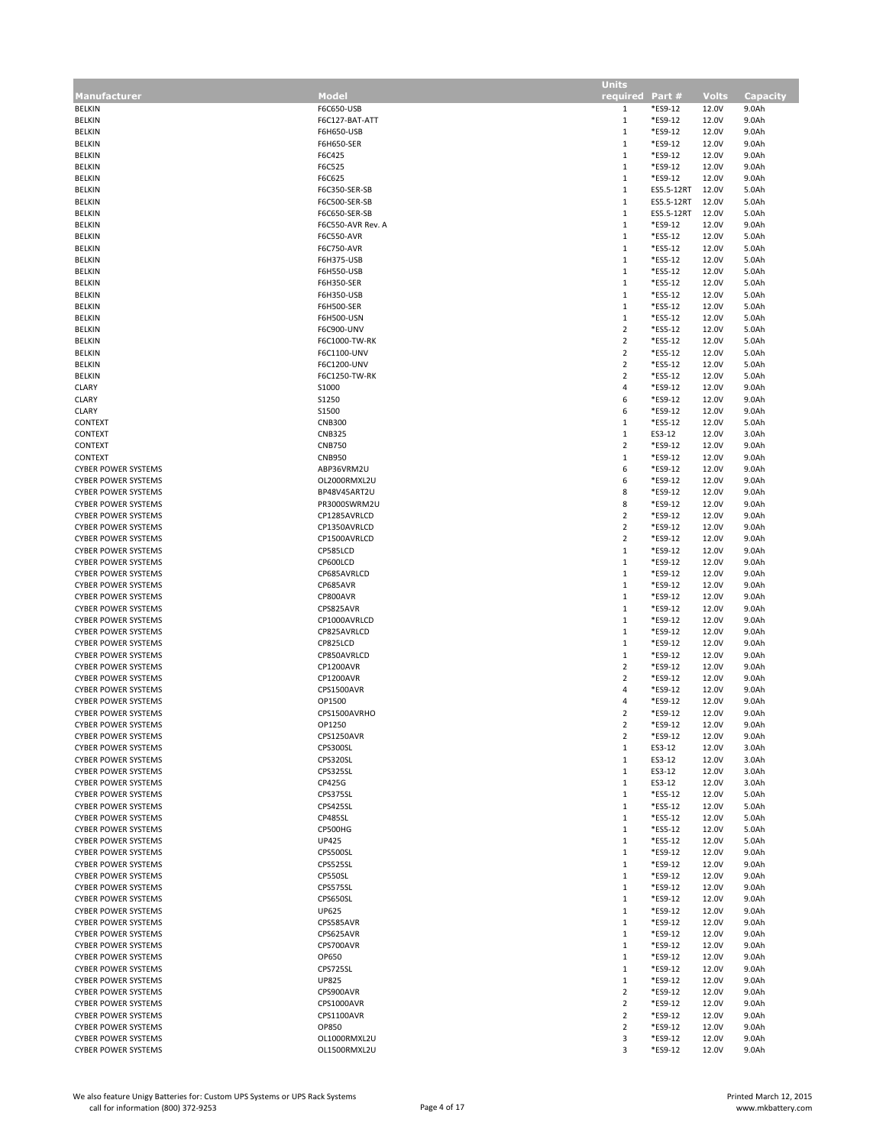| Manufacturer               | Model             | .<br>required           | Part#      | <b>Volts</b> | <b>Capacity</b> |
|----------------------------|-------------------|-------------------------|------------|--------------|-----------------|
|                            |                   |                         |            |              |                 |
| <b>BELKIN</b>              | F6C650-USB        | 1                       | *ES9-12    | 12.0V        | 9.0Ah           |
| <b>BELKIN</b>              | F6C127-BAT-ATT    | $\mathbf{1}$            | *ES9-12    | 12.0V        | 9.0Ah           |
| <b>BELKIN</b>              | F6H650-USB        | $\mathbf{1}$            | *ES9-12    | 12.0V        | 9.0Ah           |
| <b>BELKIN</b>              | F6H650-SER        | $\mathbf{1}$            | *ES9-12    | 12.0V        | 9.0Ah           |
| <b>BELKIN</b>              | F6C425            | $\mathbf{1}$            | *ES9-12    | 12.0V        | 9.0Ah           |
| <b>BELKIN</b>              | F6C525            | $\mathbf{1}$            | *ES9-12    | 12.0V        | 9.0Ah           |
| <b>BELKIN</b>              | F6C625            | $\mathbf{1}$            | *ES9-12    | 12.0V        | 9.0Ah           |
| <b>BELKIN</b>              | F6C350-SER-SB     | $\mathbf{1}$            | ES5.5-12RT | 12.0V        | 5.0Ah           |
| <b>BELKIN</b>              | F6C500-SER-SB     | $\mathbf{1}$            | ES5.5-12RT | 12.0V        | 5.0Ah           |
|                            |                   | $\mathbf{1}$            |            |              |                 |
| <b>BELKIN</b>              | F6C650-SER-SB     |                         | ES5.5-12RT | 12.0V        | 5.0Ah           |
| BELKIN                     | F6C550-AVR Rev. A | $\mathbf{1}$            | *ES9-12    | 12.0V        | 9.0Ah           |
| BELKIN                     | <b>F6C550-AVR</b> | $\mathbf{1}$            | *ES5-12    | 12.0V        | 5.0Ah           |
| <b>BELKIN</b>              | F6C750-AVR        | $\mathbf{1}$            | *ES5-12    | 12.0V        | 5.0Ah           |
| BELKIN                     | F6H375-USB        | $\mathbf{1}$            | *ES5-12    | 12.0V        | 5.0Ah           |
| <b>BELKIN</b>              | F6H550-USB        | $\mathbf{1}$            | *ES5-12    | 12.0V        | 5.0Ah           |
|                            |                   | $\mathbf{1}$            | *ES5-12    | 12.0V        |                 |
| BELKIN                     | F6H350-SER        |                         |            |              | 5.0Ah           |
| BELKIN                     | F6H350-USB        | $\mathbf{1}$            | *ES5-12    | 12.0V        | 5.0Ah           |
| <b>BELKIN</b>              | <b>F6H500-SER</b> | $\mathbf{1}$            | *ES5-12    | 12.0V        | 5.0Ah           |
| BELKIN                     | <b>F6H500-USN</b> | $\mathbf{1}$            | *ES5-12    | 12.0V        | 5.0Ah           |
| BELKIN                     | F6C900-UNV        | $\overline{2}$          | *ES5-12    | 12.0V        | 5.0Ah           |
| <b>BELKIN</b>              | F6C1000-TW-RK     | $\overline{2}$          | *ES5-12    | 12.0V        | 5.0Ah           |
| BELKIN                     | F6C1100-UNV       | $\overline{2}$          | *ES5-12    | 12.0V        | 5.0Ah           |
|                            |                   |                         |            |              |                 |
| BELKIN                     | F6C1200-UNV       | $\overline{2}$          | *ES5-12    | 12.0V        | 5.0Ah           |
| <b>BELKIN</b>              | F6C1250-TW-RK     | $\sqrt{2}$              | *ES5-12    | 12.0V        | 5.0Ah           |
| <b>CLARY</b>               | S1000             | $\overline{a}$          | *ES9-12    | 12.0V        | 9.0Ah           |
| CLARY                      | S1250             | 6                       | *ES9-12    | 12.0V        | 9.0Ah           |
| <b>CLARY</b>               | S1500             | 6                       | *ES9-12    | 12.0V        | 9.0Ah           |
| CONTEXT                    | <b>CNB300</b>     | $\mathbf{1}$            | *ES5-12    | 12.0V        | 5.0Ah           |
|                            |                   |                         |            |              |                 |
| CONTEXT                    | <b>CNB325</b>     | $\mathbf{1}$            | ES3-12     | 12.0V        | 3.0Ah           |
| CONTEXT                    | <b>CNB750</b>     | $\overline{2}$          | *ES9-12    | 12.0V        | 9.0Ah           |
| CONTEXT                    | <b>CNB950</b>     | $\mathbf{1}$            | *ES9-12    | 12.0V        | 9.0Ah           |
| <b>CYBER POWER SYSTEMS</b> | ABP36VRM2U        | 6                       | *ES9-12    | 12.0V        | 9.0Ah           |
| <b>CYBER POWER SYSTEMS</b> | OL2000RMXL2U      | 6                       | *ES9-12    | 12.0V        | 9.0Ah           |
| <b>CYBER POWER SYSTEMS</b> | BP48V45ART2U      | 8                       | *ES9-12    | 12.0V        | 9.0Ah           |
|                            | PR3000SWRM2U      | 8                       |            |              |                 |
| <b>CYBER POWER SYSTEMS</b> |                   |                         | *ES9-12    | 12.0V        | 9.0Ah           |
| <b>CYBER POWER SYSTEMS</b> | CP1285AVRLCD      | $\overline{2}$          | *ES9-12    | 12.0V        | 9.0Ah           |
| <b>CYBER POWER SYSTEMS</b> | CP1350AVRLCD      | $\overline{2}$          | *ES9-12    | 12.0V        | 9.0Ah           |
| <b>CYBER POWER SYSTEMS</b> | CP1500AVRLCD      | $\overline{2}$          | *ES9-12    | 12.0V        | 9.0Ah           |
| <b>CYBER POWER SYSTEMS</b> | CP585LCD          | $\mathbf{1}$            | *ES9-12    | 12.0V        | 9.0Ah           |
| <b>CYBER POWER SYSTEMS</b> | CP600LCD          | $\mathbf{1}$            | *ES9-12    | 12.0V        | 9.0Ah           |
|                            | CP685AVRLCD       |                         | *ES9-12    |              |                 |
| <b>CYBER POWER SYSTEMS</b> |                   | $\mathbf{1}$            |            | 12.0V        | 9.0Ah           |
| <b>CYBER POWER SYSTEMS</b> | CP685AVR          | $\mathbf{1}$            | *ES9-12    | 12.0V        | 9.0Ah           |
| <b>CYBER POWER SYSTEMS</b> | CP800AVR          | $1\,$                   | *ES9-12    | 12.0V        | 9.0Ah           |
| <b>CYBER POWER SYSTEMS</b> | CPS825AVR         | $\mathbf{1}$            | *ES9-12    | 12.0V        | 9.0Ah           |
| <b>CYBER POWER SYSTEMS</b> | CP1000AVRLCD      | $\mathbf{1}$            | *ES9-12    | 12.0V        | 9.0Ah           |
| <b>CYBER POWER SYSTEMS</b> | CP825AVRLCD       | $1\,$                   | *ES9-12    | 12.0V        | 9.0Ah           |
| <b>CYBER POWER SYSTEMS</b> | CP825LCD          | $\mathbf{1}$            | *ES9-12    | 12.0V        | 9.0Ah           |
|                            |                   |                         |            |              |                 |
| <b>CYBER POWER SYSTEMS</b> | CP850AVRLCD       | $\mathbf{1}$            | *ES9-12    | 12.0V        | 9.0Ah           |
| <b>CYBER POWER SYSTEMS</b> | <b>CP1200AVR</b>  | $\overline{2}$          | *ES9-12    | 12.0V        | 9.0Ah           |
| <b>CYBER POWER SYSTEMS</b> | CP1200AVR         | $\overline{2}$          | *ES9-12    | 12.0V        | 9.0Ah           |
| <b>CYBER POWER SYSTEMS</b> | CPS1500AVR        | $\overline{a}$          | *ES9-12    | 12.0V        | 9.0Ah           |
| <b>CYBER POWER SYSTEMS</b> | OP1500            | $\overline{a}$          | *ES9-12    | 12.0V        | 9.0Ah           |
| <b>CYBER POWER SYSTEMS</b> | CPS1500AVRHO      | $\overline{2}$          | *ES9-12    | 12.0V        | 9.0Ah           |
| <b>CYBER POWER SYSTEMS</b> | OP1250            | $\overline{2}$          | *ES9-12    | 12.0V        | 9.0Ah           |
|                            |                   |                         |            |              |                 |
| <b>CYBER POWER SYSTEMS</b> | CPS1250AVR        | $\overline{\mathbf{r}}$ | ES9-12*    | 12.0V        | 9.0Ah           |
| <b>CYBER POWER SYSTEMS</b> | CPS300SL          | 1                       | ES3-12     | 12.0V        | 3.0Ah           |
| <b>CYBER POWER SYSTEMS</b> | CPS320SL          | $\mathbf{1}$            | ES3-12     | 12.0V        | 3.0Ah           |
| <b>CYBER POWER SYSTEMS</b> | CPS325SL          | $\mathbf{1}$            | ES3-12     | 12.0V        | 3.0Ah           |
| <b>CYBER POWER SYSTEMS</b> | CP425G            | $\mathbf{1}$            | ES3-12     | 12.0V        | 3.0Ah           |
| <b>CYBER POWER SYSTEMS</b> | CPS375SL          | $\mathbf{1}$            | *ES5-12    | 12.0V        | 5.0Ah           |
| <b>CYBER POWER SYSTEMS</b> | CPS425SL          | $\mathbf{1}$            | *ES5-12    | 12.0V        | 5.0Ah           |
|                            |                   |                         |            |              |                 |
| <b>CYBER POWER SYSTEMS</b> | CP485SL           | $\mathbf{1}$            | *ES5-12    | 12.0V        | 5.0Ah           |
| <b>CYBER POWER SYSTEMS</b> | CP500HG           | $\mathbf{1}$            | *ES5-12    | 12.0V        | 5.0Ah           |
| <b>CYBER POWER SYSTEMS</b> | <b>UP425</b>      | $\mathbf{1}$            | *ES5-12    | 12.0V        | 5.0Ah           |
| <b>CYBER POWER SYSTEMS</b> | CPS500SL          | $\mathbf{1}$            | *ES9-12    | 12.0V        | 9.0Ah           |
| <b>CYBER POWER SYSTEMS</b> | CPS525SL          | $\mathbf{1}$            | *ES9-12    | 12.0V        | 9.0Ah           |
| <b>CYBER POWER SYSTEMS</b> | CP550SL           | $\mathbf{1}$            | *ES9-12    | 12.0V        | 9.0Ah           |
| <b>CYBER POWER SYSTEMS</b> |                   | $\mathbf{1}$            |            |              |                 |
|                            | CPS575SL          |                         | *ES9-12    | 12.0V        | 9.0Ah           |
| <b>CYBER POWER SYSTEMS</b> | CPS650SL          | 1                       | *ES9-12    | 12.0V        | 9.0Ah           |
| <b>CYBER POWER SYSTEMS</b> | UP625             | $\mathbf{1}$            | *ES9-12    | 12.0V        | 9.0Ah           |
| <b>CYBER POWER SYSTEMS</b> | CPS585AVR         | $\mathbf{1}$            | *ES9-12    | 12.0V        | 9.0Ah           |
| <b>CYBER POWER SYSTEMS</b> | CPS625AVR         | 1                       | *ES9-12    | 12.0V        | 9.0Ah           |
| <b>CYBER POWER SYSTEMS</b> | CPS700AVR         | $\mathbf{1}$            | *ES9-12    | 12.0V        | 9.0Ah           |
| <b>CYBER POWER SYSTEMS</b> | OP650             | 1                       | *ES9-12    | 12.0V        | 9.0Ah           |
|                            |                   |                         |            |              |                 |
| <b>CYBER POWER SYSTEMS</b> | CPS725SL          | $\mathbf{1}$            | *ES9-12    | 12.0V        | 9.0Ah           |
| <b>CYBER POWER SYSTEMS</b> | <b>UP825</b>      | $\mathbf{1}$            | *ES9-12    | 12.0V        | 9.0Ah           |
| <b>CYBER POWER SYSTEMS</b> | CPS900AVR         | $\overline{2}$          | *ES9-12    | 12.0V        | 9.0Ah           |
| <b>CYBER POWER SYSTEMS</b> | CPS1000AVR        | $\overline{2}$          | *ES9-12    | 12.0V        | 9.0Ah           |
| <b>CYBER POWER SYSTEMS</b> | CPS1100AVR        | $\overline{2}$          | *ES9-12    | 12.0V        | 9.0Ah           |
| <b>CYBER POWER SYSTEMS</b> | OP850             | $\overline{2}$          | *ES9-12    | 12.0V        | 9.0Ah           |
| <b>CYBER POWER SYSTEMS</b> | OL1000RMXL2U      | 3                       | *ES9-12    | 12.0V        | 9.0Ah           |
|                            |                   |                         |            |              |                 |
| <b>CYBER POWER SYSTEMS</b> | OL1500RMXL2U      | 3                       | *ES9-12    | 12.0V        | 9.0Ah           |

Units and the second contract of the second second second second second second second second second second second second second second second second second second second second second second second second second second sec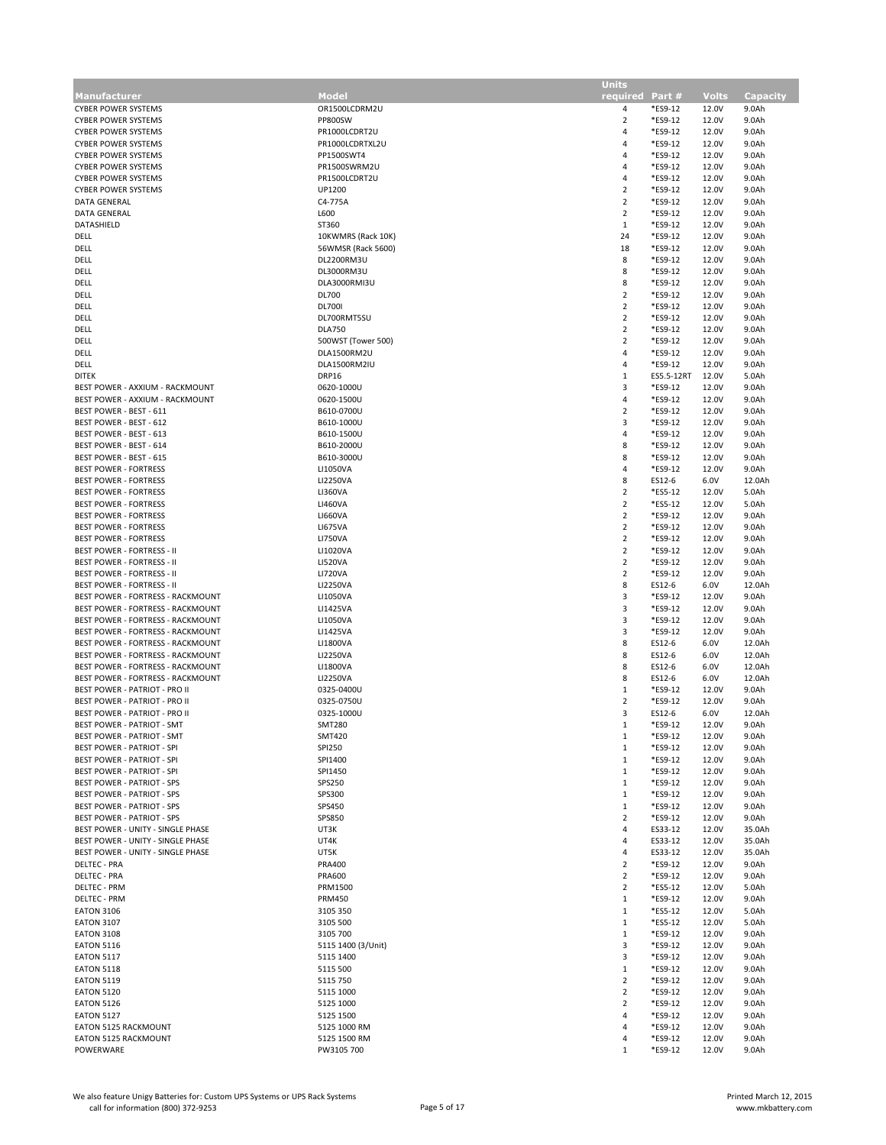|                                      |                    | <b>Units</b>    |            |              |          |
|--------------------------------------|--------------------|-----------------|------------|--------------|----------|
| Manufacturer                         | Model              | required Part # |            | <b>Volts</b> | Capacity |
| <b>CYBER POWER SYSTEMS</b>           | OR1500LCDRM2U      | 4               | *ES9-12    | 12.0V        | 9.0Ah    |
| <b>CYBER POWER SYSTEMS</b>           | <b>PP800SW</b>     | $\overline{2}$  | *ES9-12    | 12.0V        | 9.0Ah    |
| <b>CYBER POWER SYSTEMS</b>           | PR1000LCDRT2U      | 4               | *ES9-12    | 12.0V        | 9.0Ah    |
| <b>CYBER POWER SYSTEMS</b>           | PR1000LCDRTXL2U    | 4               | *ES9-12    | 12.0V        | 9.0Ah    |
| <b>CYBER POWER SYSTEMS</b>           | PP1500SWT4         | $\overline{4}$  | *ES9-12    | 12.0V        | 9.0Ah    |
| <b>CYBER POWER SYSTEMS</b>           | PR1500SWRM2U       | $\overline{4}$  | *ES9-12    | 12.0V        | 9.0Ah    |
|                                      |                    |                 |            |              |          |
| <b>CYBER POWER SYSTEMS</b>           | PR1500LCDRT2U      | 4               | *ES9-12    | 12.0V        | 9.0Ah    |
| <b>CYBER POWER SYSTEMS</b>           | UP1200             | $\overline{2}$  | *ES9-12    | 12.0V        | 9.0Ah    |
| DATA GENERAL                         | C4-775A            | $\overline{2}$  | *ES9-12    | 12.0V        | 9.0Ah    |
| DATA GENERAL                         | L600               | $\overline{2}$  | *ES9-12    | 12.0V        | 9.0Ah    |
| DATASHIELD                           | ST360              | $\mathbf{1}$    | *ES9-12    | 12.0V        | 9.0Ah    |
| DELL                                 | 10KWMRS (Rack 10K) | 24              | *ES9-12    | 12.0V        | 9.0Ah    |
| DELL                                 | 56WMSR (Rack 5600) | 18              | *ES9-12    | 12.0V        | 9.0Ah    |
| DELL                                 | DL2200RM3U         | 8               | *ES9-12    | 12.0V        | 9.0Ah    |
| DELL                                 | DL3000RM3U         | 8               | *ES9-12    | 12.0V        |          |
|                                      |                    |                 |            |              | 9.0Ah    |
| DELL                                 | DLA3000RMI3U       | 8               | *ES9-12    | 12.0V        | 9.0Ah    |
| DELL                                 | DL700              | $\overline{2}$  | *ES9-12    | 12.0V        | 9.0Ah    |
| DELL                                 | <b>DL7001</b>      | $\overline{2}$  | *ES9-12    | 12.0V        | 9.0Ah    |
| DELL                                 | DL700RMT5SU        | $\overline{2}$  | *ES9-12    | 12.0V        | 9.0Ah    |
| DELL                                 | <b>DLA750</b>      | $\overline{2}$  | *ES9-12    | 12.0V        | 9.0Ah    |
| DELL                                 | 500WST (Tower 500) | $\overline{2}$  | *ES9-12    | 12.0V        | 9.0Ah    |
| DELL                                 | DLA1500RM2U        | 4               | *ES9-12    | 12.0V        | 9.0Ah    |
|                                      | DLA1500RM2IU       | 4               | *ES9-12    |              |          |
| DELL                                 |                    |                 |            | 12.0V        | 9.0Ah    |
| <b>DITEK</b>                         | DRP16              | $\mathbf{1}$    | ES5.5-12RT | 12.0V        | 5.0Ah    |
| BEST POWER - AXXIUM - RACKMOUNT      | 0620-1000U         | 3               | *ES9-12    | 12.0V        | 9.0Ah    |
| BEST POWER - AXXIUM - RACKMOUNT      | 0620-1500U         | 4               | *ES9-12    | 12.0V        | 9.0Ah    |
| BEST POWER - BEST - 611              | B610-0700U         | $\overline{2}$  | *ES9-12    | 12.0V        | 9.0Ah    |
| BEST POWER - BEST - 612              | B610-1000U         | 3               | *ES9-12    | 12.0V        | 9.0Ah    |
|                                      |                    | 4               |            |              |          |
| BEST POWER - BEST - 613              | B610-1500U         |                 | *ES9-12    | 12.0V        | 9.0Ah    |
| BEST POWER - BEST - 614              | B610-2000U         | 8               | *ES9-12    | 12.0V        | 9.0Ah    |
| BEST POWER - BEST - 615              | B610-3000U         | 8               | *ES9-12    | 12.0V        | 9.0Ah    |
| <b>BEST POWER - FORTRESS</b>         | LI1050VA           | 4               | *ES9-12    | 12.0V        | 9.0Ah    |
| <b>BEST POWER - FORTRESS</b>         | <b>LI2250VA</b>    | 8               | ES12-6     | 6.0V         | 12.0Ah   |
| <b>BEST POWER - FORTRESS</b>         | <b>LI360VA</b>     | $\overline{2}$  | *ES5-12    | 12.0V        | 5.0Ah    |
| <b>BEST POWER - FORTRESS</b>         | <b>LI460VA</b>     | $\overline{2}$  | *ES5-12    | 12.0V        | 5.0Ah    |
|                                      |                    |                 |            |              |          |
| <b>BEST POWER - FORTRESS</b>         | <b>LI660VA</b>     | $\overline{2}$  | *ES9-12    | 12.0V        | 9.0Ah    |
| <b>BEST POWER - FORTRESS</b>         | <b>LI675VA</b>     | $\overline{2}$  | *ES9-12    | 12.0V        | 9.0Ah    |
| <b>BEST POWER - FORTRESS</b>         | <b>LI750VA</b>     | $\overline{2}$  | *ES9-12    | 12.0V        | 9.0Ah    |
| <b>BEST POWER - FORTRESS - II</b>    | LI1020VA           | $\overline{2}$  | *ES9-12    | 12.0V        | 9.0Ah    |
| <b>BEST POWER - FORTRESS - II</b>    | <b>LI520VA</b>     | $\overline{2}$  | *ES9-12    | 12.0V        | 9.0Ah    |
| <b>BEST POWER - FORTRESS - II</b>    | <b>LI720VA</b>     | $\overline{2}$  | *ES9-12    | 12.0V        | 9.0Ah    |
|                                      |                    |                 |            |              |          |
| <b>BEST POWER - FORTRESS - II</b>    | LI2250VA           | 8               | ES12-6     | 6.0V         | 12.0Ah   |
| BEST POWER - FORTRESS - RACKMOUNT    | LI1050VA           | 3               | *ES9-12    | 12.0V        | 9.0Ah    |
| BEST POWER - FORTRESS - RACKMOUNT    | LI1425VA           | 3               | *ES9-12    | 12.0V        | 9.0Ah    |
| BEST POWER - FORTRESS - RACKMOUNT    | LI1050VA           | 3               | *ES9-12    | 12.0V        | 9.0Ah    |
| BEST POWER - FORTRESS - RACKMOUNT    | LI1425VA           | 3               | *ES9-12    | 12.0V        | 9.0Ah    |
| BEST POWER - FORTRESS - RACKMOUNT    | LI1800VA           | 8               | ES12-6     | 6.0V         | 12.0Ah   |
|                                      |                    |                 |            |              |          |
| BEST POWER - FORTRESS - RACKMOUNT    | LI2250VA           | 8               | ES12-6     | 6.0V         | 12.0Ah   |
| BEST POWER - FORTRESS - RACKMOUNT    | LI1800VA           | 8               | ES12-6     | 6.0V         | 12.0Ah   |
| BEST POWER - FORTRESS - RACKMOUNT    | LI2250VA           | 8               | ES12-6     | 6.0V         | 12.0Ah   |
| BEST POWER - PATRIOT - PRO II        | 0325-0400U         | $\mathbf{1}$    | *ES9-12    | 12.0V        | 9.0Ah    |
| <b>BEST POWER - PATRIOT - PRO II</b> | 0325-0750U         | $\overline{2}$  | *ES9-12    | 12.0V        | 9.0Ah    |
| <b>BEST POWER - PATRIOT - PRO II</b> | 0325-1000U         | 3               | ES12-6     | 6.0V         | 12.0Ah   |
| <b>BEST POWER - PATRIOT - SMT</b>    | <b>SMT280</b>      | $\mathbf{1}$    | *ES9-12    | 12.0V        | 9.0Ah    |
|                                      |                    |                 |            |              |          |
| BEST POWER - PATRIOT - SMT           | <b>SMT420</b>      | $\mathbf{1}$    | *ES9-12    | 12.0V        | 9.0Ah    |
| <b>BEST POWER - PATRIOT - SPI</b>    | <b>SPI250</b>      | $\mathbf{1}$    | *ES9-12    | 12.0V        | 9.0Ah    |
| <b>BEST POWER - PATRIOT - SPI</b>    | SPI1400            | $\mathbf{1}$    | *ES9-12    | 12.0V        | 9.0Ah    |
| <b>BEST POWER - PATRIOT - SPI</b>    | SPI1450            | 1               | *ES9-12    | 12.0V        | 9.0Ah    |
| <b>BEST POWER - PATRIOT - SPS</b>    | SPS250             | $\mathbf{1}$    | *ES9-12    | 12.0V        | 9.0Ah    |
| <b>BEST POWER - PATRIOT - SPS</b>    | SPS300             | $\mathbf{1}$    | *ES9-12    | 12.0V        | 9.0Ah    |
| <b>BEST POWER - PATRIOT - SPS</b>    | SPS450             | $\mathbf{1}$    | *ES9-12    | 12.0V        | 9.0Ah    |
|                                      | SPS850             | $\overline{2}$  | *ES9-12    | 12.0V        |          |
| <b>BEST POWER - PATRIOT - SPS</b>    |                    |                 |            |              | 9.0Ah    |
| BEST POWER - UNITY - SINGLE PHASE    | UT3K               | 4               | ES33-12    | 12.0V        | 35.0Ah   |
| BEST POWER - UNITY - SINGLE PHASE    | UT4K               | 4               | ES33-12    | 12.0V        | 35.0Ah   |
| BEST POWER - UNITY - SINGLE PHASE    | UT5K               | 4               | ES33-12    | 12.0V        | 35.0Ah   |
| <b>DELTEC - PRA</b>                  | <b>PRA400</b>      | $\overline{2}$  | *ES9-12    | 12.0V        | 9.0Ah    |
| <b>DELTEC - PRA</b>                  | <b>PRA600</b>      | $\overline{2}$  | *ES9-12    | 12.0V        | 9.0Ah    |
| <b>DELTEC - PRM</b>                  | PRM1500            | $\overline{2}$  | *ES5-12    | 12.0V        | 5.0Ah    |
|                                      |                    |                 |            |              |          |
| <b>DELTEC - PRM</b>                  | <b>PRM450</b>      | $\mathbf{1}$    | *ES9-12    | 12.0V        | 9.0Ah    |
| <b>EATON 3106</b>                    | 3105 350           | $\mathbf{1}$    | *ES5-12    | 12.0V        | 5.0Ah    |
| <b>EATON 3107</b>                    | 3105 500           | $\mathbf{1}$    | *ES5-12    | 12.0V        | 5.0Ah    |
| <b>EATON 3108</b>                    | 3105 700           | $\mathbf{1}$    | *ES9-12    | 12.0V        | 9.0Ah    |
| <b>EATON 5116</b>                    | 5115 1400 (3/Unit) | 3               | *ES9-12    | 12.0V        | 9.0Ah    |
| <b>EATON 5117</b>                    | 5115 1400          | 3               | *ES9-12    | 12.0V        | 9.0Ah    |
|                                      |                    |                 |            |              |          |
| <b>EATON 5118</b>                    | 5115 500           | $\mathbf{1}$    | *ES9-12    | 12.0V        | 9.0Ah    |
| <b>EATON 5119</b>                    | 5115 750           | $\overline{2}$  | *ES9-12    | 12.0V        | 9.0Ah    |
| <b>EATON 5120</b>                    | 5115 1000          | $\overline{2}$  | *ES9-12    | 12.0V        | 9.0Ah    |
| <b>EATON 5126</b>                    | 5125 1000          | $\overline{2}$  | *ES9-12    | 12.0V        | 9.0Ah    |
| <b>EATON 5127</b>                    | 5125 1500          | 4               | *ES9-12    | 12.0V        | 9.0Ah    |
| <b>EATON 5125 RACKMOUNT</b>          | 5125 1000 RM       | 4               | *ES9-12    | 12.0V        | 9.0Ah    |
|                                      |                    |                 |            |              |          |
| EATON 5125 RACKMOUNT                 | 5125 1500 RM       | 4               | *ES9-12    | 12.0V        | 9.0Ah    |
| POWERWARE                            | PW3105 700         | 1               | *ES9-12    | 12.0V        | 9.0Ah    |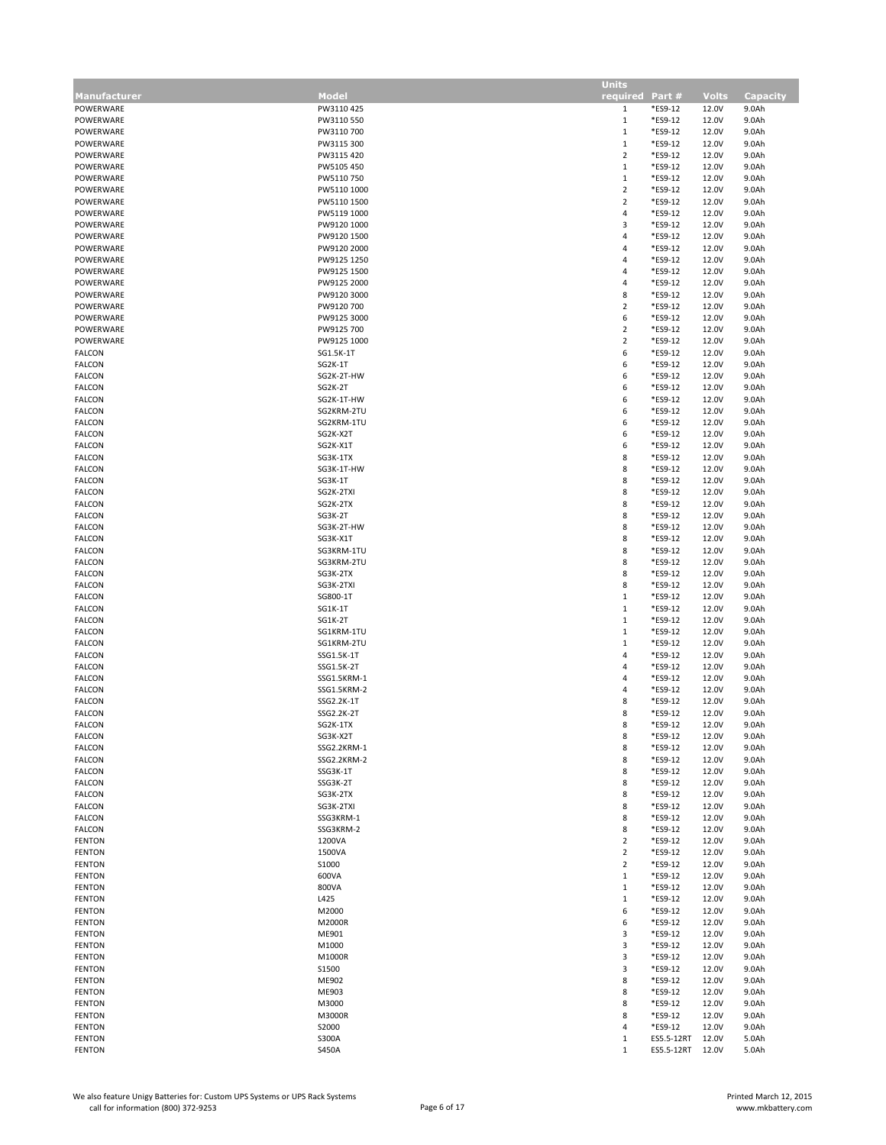|               |              | <b>Units</b>     |            |              |                 |
|---------------|--------------|------------------|------------|--------------|-----------------|
| Manufacturer  | <b>Model</b> | required Part #  |            | <b>Volts</b> | <b>Capacity</b> |
| POWERWARE     | PW3110 425   | $\mathbf{1}$     | *ES9-12    | 12.0V        | 9.0Ah           |
| POWERWARE     | PW3110 550   | $\mathbf{1}$     | *ES9-12    | 12.0V        | 9.0Ah           |
| POWERWARE     | PW3110 700   | $\mathbf{1}$     | *ES9-12    | 12.0V        | 9.0Ah           |
| POWERWARE     | PW3115 300   | $\,1\,$          | *ES9-12    | 12.0V        | 9.0Ah           |
|               |              |                  |            |              |                 |
| POWERWARE     | PW3115 420   | $\overline{2}$   | *ES9-12    | 12.0V        | 9.0Ah           |
| POWERWARE     | PW5105 450   | $\mathbf{1}$     | *ES9-12    | 12.0V        | 9.0Ah           |
| POWERWARE     | PW5110750    | $\,1\,$          | *ES9-12    | 12.0V        | 9.0Ah           |
| POWERWARE     | PW5110 1000  | $\overline{2}$   | *ES9-12    | 12.0V        | 9.0Ah           |
| POWERWARE     | PW5110 1500  | $\sqrt{2}$       | *ES9-12    | 12.0V        | 9.0Ah           |
| POWERWARE     | PW5119 1000  | 4                | *ES9-12    | 12.0V        | 9.0Ah           |
| POWERWARE     | PW9120 1000  | 3                | *ES9-12    | 12.0V        | 9.0Ah           |
|               |              |                  |            |              |                 |
| POWERWARE     | PW9120 1500  | 4                | *ES9-12    | 12.0V        | 9.0Ah           |
| POWERWARE     | PW9120 2000  | 4                | *ES9-12    | 12.0V        | 9.0Ah           |
| POWERWARE     | PW9125 1250  | 4                | *ES9-12    | 12.0V        | 9.0Ah           |
| POWERWARE     | PW9125 1500  | 4                | *ES9-12    | 12.0V        | 9.0Ah           |
| POWERWARE     | PW9125 2000  | 4                | *ES9-12    | 12.0V        | 9.0Ah           |
| POWERWARE     | PW9120 3000  | 8                | *ES9-12    | 12.0V        | 9.0Ah           |
|               |              |                  |            |              |                 |
| POWERWARE     | PW9120 700   | $\mathbf 2$      | *ES9-12    | 12.0V        | 9.0Ah           |
| POWERWARE     | PW9125 3000  | 6                | *ES9-12    | 12.0V        | 9.0Ah           |
| POWERWARE     | PW9125 700   | $\overline{2}$   | *ES9-12    | 12.0V        | 9.0Ah           |
| POWERWARE     | PW9125 1000  | $\mathbf 2$      | *ES9-12    | 12.0V        | 9.0Ah           |
| <b>FALCON</b> | SG1.5K-1T    | 6                | *ES9-12    | 12.0V        | 9.0Ah           |
| <b>FALCON</b> | SG2K-1T      | 6                | *ES9-12    | 12.0V        | 9.0Ah           |
|               |              |                  |            |              |                 |
| <b>FALCON</b> | SG2K-2T-HW   | 6                | *ES9-12    | 12.0V        | 9.0Ah           |
| <b>FALCON</b> | SG2K-2T      | 6                | *ES9-12    | 12.0V        | 9.0Ah           |
| <b>FALCON</b> | SG2K-1T-HW   | 6                | *ES9-12    | 12.0V        | 9.0Ah           |
| <b>FALCON</b> | SG2KRM-2TU   | 6                | *ES9-12    | 12.0V        | 9.0Ah           |
| <b>FALCON</b> | SG2KRM-1TU   | 6                | *ES9-12    | 12.0V        | 9.0Ah           |
| <b>FALCON</b> |              | 6                |            |              |                 |
|               | SG2K-X2T     |                  | *ES9-12    | 12.0V        | 9.0Ah           |
| <b>FALCON</b> | SG2K-X1T     | 6                | *ES9-12    | 12.0V        | 9.0Ah           |
| <b>FALCON</b> | SG3K-1TX     | 8                | *ES9-12    | 12.0V        | 9.0Ah           |
| <b>FALCON</b> | SG3K-1T-HW   | 8                | *ES9-12    | 12.0V        | 9.0Ah           |
| <b>FALCON</b> | SG3K-1T      | 8                | *ES9-12    | 12.0V        | 9.0Ah           |
| <b>FALCON</b> | SG2K-2TXI    | 8                | *ES9-12    | 12.0V        | 9.0Ah           |
| <b>FALCON</b> | SG2K-2TX     | 8                | *ES9-12    | 12.0V        | 9.0Ah           |
|               |              |                  |            |              |                 |
| <b>FALCON</b> | SG3K-2T      | 8                | *ES9-12    | 12.0V        | 9.0Ah           |
| <b>FALCON</b> | SG3K-2T-HW   | 8                | *ES9-12    | 12.0V        | 9.0Ah           |
| <b>FALCON</b> | SG3K-X1T     | 8                | *ES9-12    | 12.0V        | 9.0Ah           |
| <b>FALCON</b> | SG3KRM-1TU   | 8                | *ES9-12    | 12.0V        | 9.0Ah           |
| <b>FALCON</b> | SG3KRM-2TU   | 8                | *ES9-12    | 12.0V        | 9.0Ah           |
|               | SG3K-2TX     | 8                | *ES9-12    |              | 9.0Ah           |
| <b>FALCON</b> |              |                  |            | 12.0V        |                 |
| <b>FALCON</b> | SG3K-2TXI    | 8                | *ES9-12    | 12.0V        | 9.0Ah           |
| <b>FALCON</b> | SG800-1T     | $\mathbf{1}$     | *ES9-12    | 12.0V        | 9.0Ah           |
| <b>FALCON</b> | SG1K-1T      | $\mathbf{1}$     | *ES9-12    | 12.0V        | 9.0Ah           |
| <b>FALCON</b> | SG1K-2T      | $\mathbf{1}$     | *ES9-12    | 12.0V        | 9.0Ah           |
| <b>FALCON</b> | SG1KRM-1TU   | $\mathbf{1}$     | *ES9-12    | 12.0V        | 9.0Ah           |
| <b>FALCON</b> | SG1KRM-2TU   | $\mathbf{1}$     | *ES9-12    | 12.0V        | 9.0Ah           |
|               |              |                  |            |              |                 |
| <b>FALCON</b> | SSG1.5K-1T   | 4                | *ES9-12    | 12.0V        | 9.0Ah           |
| <b>FALCON</b> | SSG1.5K-2T   | 4                | *ES9-12    | 12.0V        | 9.0Ah           |
| <b>FALCON</b> | SSG1.5KRM-1  | 4                | *ES9-12    | 12.0V        | 9.0Ah           |
| <b>FALCON</b> | SSG1.5KRM-2  | 4                | *ES9-12    | 12.0V        | 9.0Ah           |
| <b>FALCON</b> | SSG2.2K-1T   | 8                | *ES9-12    | 12.0V        | 9.0Ah           |
| <b>FALCON</b> | SSG2.2K-2T   | 8                | *ES9-12    | 12.0V        | 9.0Ah           |
| <b>FALCON</b> | SG2K-1TX     | 8                | *ES9-12    | 12.0V        | 9.0Ah           |
|               |              |                  |            |              |                 |
| FALCON        | SG3K-X2T     | 8                | *ES9-12    | 12.0V        | 9.0Ah           |
| <b>FALCON</b> | SSG2.2KRM-1  | 8                | *ES9-12    | 12.0V        | 9.0Ah           |
| <b>FALCON</b> | SSG2.2KRM-2  | 8                | *ES9-12    | 12.0V        | 9.0Ah           |
| FALCON        | SSG3K-1T     | 8                | *ES9-12    | 12.0V        | 9.0Ah           |
| <b>FALCON</b> | SSG3K-2T     | 8                | *ES9-12    | 12.0V        | 9.0Ah           |
| <b>FALCON</b> | SG3K-2TX     | 8                | *ES9-12    | 12.0V        | 9.0Ah           |
| <b>FALCON</b> | SG3K-2TXI    | 8                | *ES9-12    | 12.0V        | 9.0Ah           |
|               |              | 8                |            |              |                 |
| <b>FALCON</b> | SSG3KRM-1    |                  | *ES9-12    | 12.0V        | 9.0Ah           |
| FALCON        | SSG3KRM-2    | 8                | *ES9-12    | 12.0V        | 9.0Ah           |
| <b>FENTON</b> | 1200VA       | $\overline{2}$   | *ES9-12    | 12.0V        | 9.0Ah           |
| <b>FENTON</b> | 1500VA       | $\overline{2}$   | *ES9-12    | 12.0V        | 9.0Ah           |
| <b>FENTON</b> | S1000        | $\overline{2}$   | *ES9-12    | 12.0V        | 9.0Ah           |
| <b>FENTON</b> | 600VA        | $\mathbf{1}$     | *ES9-12    | 12.0V        | 9.0Ah           |
|               | 800VA        | $\mathbf{1}$     | *ES9-12    |              | 9.0Ah           |
| <b>FENTON</b> |              |                  |            | 12.0V        |                 |
| <b>FENTON</b> | L425         | $\mathbf{1}$     | *ES9-12    | 12.0V        | 9.0Ah           |
| <b>FENTON</b> | M2000        | 6                | *ES9-12    | 12.0V        | 9.0Ah           |
| <b>FENTON</b> | M2000R       | $\boldsymbol{6}$ | *ES9-12    | 12.0V        | 9.0Ah           |
| <b>FENTON</b> | ME901        | 3                | *ES9-12    | 12.0V        | 9.0Ah           |
| <b>FENTON</b> | M1000        | $\mathbf{3}$     | *ES9-12    | 12.0V        | 9.0Ah           |
| <b>FENTON</b> | M1000R       | 3                | *ES9-12    | 12.0V        | 9.0Ah           |
|               |              |                  |            |              |                 |
| <b>FENTON</b> | S1500        | 3                | *ES9-12    | 12.0V        | 9.0Ah           |
| <b>FENTON</b> | ME902        | 8                | *ES9-12    | 12.0V        | 9.0Ah           |
| <b>FENTON</b> | ME903        | 8                | *ES9-12    | 12.0V        | 9.0Ah           |
| <b>FENTON</b> | M3000        | 8                | *ES9-12    | 12.0V        | 9.0Ah           |
| <b>FENTON</b> | M3000R       | 8                | *ES9-12    | 12.0V        | 9.0Ah           |
| <b>FENTON</b> | S2000        | 4                | *ES9-12    | 12.0V        | 9.0Ah           |
|               |              |                  |            |              |                 |
| <b>FENTON</b> | S300A        | $\mathbf{1}$     | ES5.5-12RT | 12.0V        | 5.0Ah           |
| <b>FENTON</b> | <b>S450A</b> | $1\,$            | ES5.5-12RT | 12.0V        | 5.0Ah           |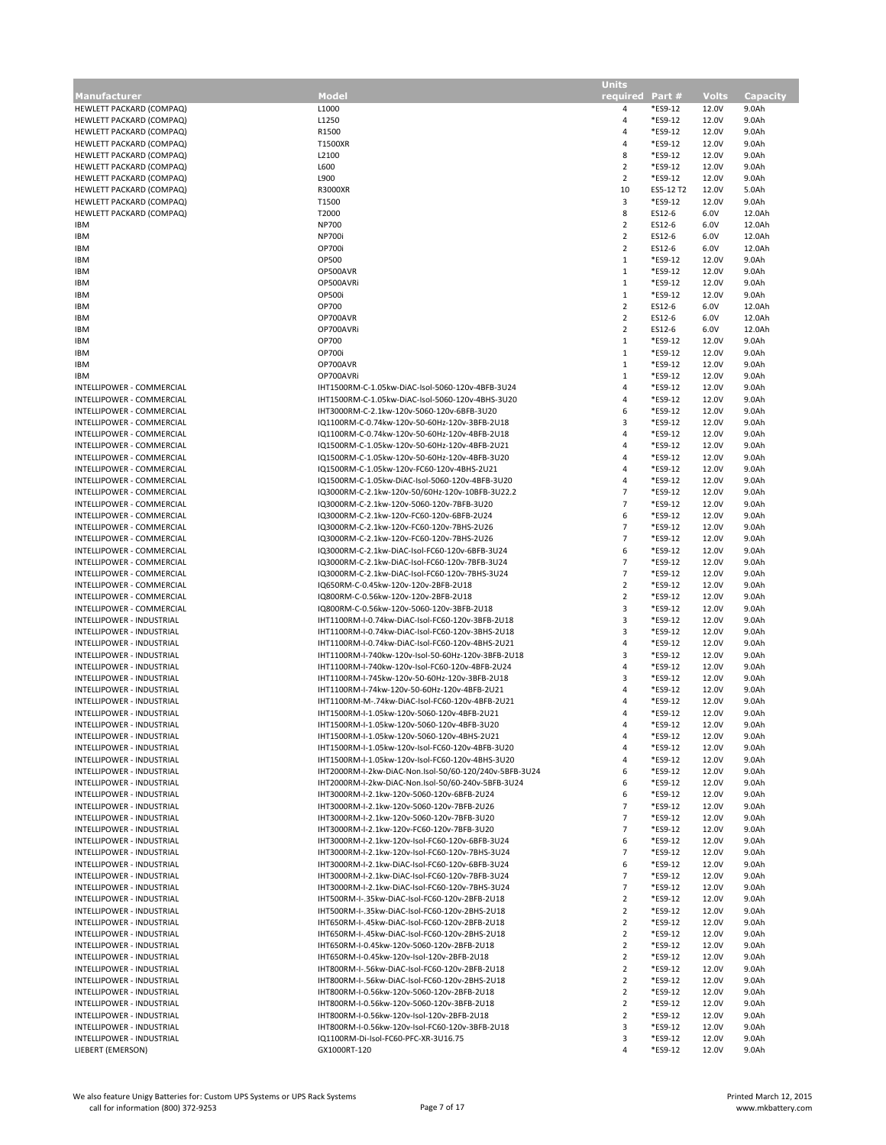|                                  |                                                        | <b>Units</b>    |           |              |                 |
|----------------------------------|--------------------------------------------------------|-----------------|-----------|--------------|-----------------|
| <b>Manufacturer</b>              | Model                                                  | required Part # |           | <b>Volts</b> | <b>Capacity</b> |
| HEWLETT PACKARD (COMPAQ)         | L1000                                                  | 4               | *ES9-12   | 12.0V        | 9.0Ah           |
| HEWLETT PACKARD (COMPAQ)         | L1250                                                  | $\overline{4}$  | *ES9-12   | 12.0V        | 9.0Ah           |
| HEWLETT PACKARD (COMPAQ)         | R1500                                                  | 4               | *ES9-12   | 12.0V        | 9.0Ah           |
| HEWLETT PACKARD (COMPAQ)         | T1500XR                                                | $\overline{4}$  | *ES9-12   | 12.0V        | 9.0Ah           |
| HEWLETT PACKARD (COMPAQ)         | L2100                                                  | 8               | *ES9-12   | 12.0V        | 9.0Ah           |
|                                  |                                                        |                 |           |              |                 |
| HEWLETT PACKARD (COMPAQ)         | L600                                                   | $\overline{2}$  | *ES9-12   | 12.0V        | 9.0Ah           |
| HEWLETT PACKARD (COMPAQ)         | L900                                                   | $\overline{2}$  | *ES9-12   | 12.0V        | 9.0Ah           |
| HEWLETT PACKARD (COMPAQ)         | R3000XR                                                | 10              | ES5-12 T2 | 12.0V        | 5.0Ah           |
| HEWLETT PACKARD (COMPAQ)         | T1500                                                  | 3               | *ES9-12   | 12.0V        | 9.0Ah           |
| HEWLETT PACKARD (COMPAQ)         | T2000                                                  | 8               | ES12-6    | 6.0V         | 12.0Ah          |
| <b>IBM</b>                       | <b>NP700</b>                                           | $\overline{2}$  | ES12-6    | 6.0V         | 12.0Ah          |
| <b>IBM</b>                       | <b>NP700i</b>                                          | $\overline{2}$  | ES12-6    | 6.0V         | 12.0Ah          |
| <b>IBM</b>                       | OP700i                                                 | $\overline{2}$  | ES12-6    | 6.0V         | 12.0Ah          |
|                                  |                                                        |                 |           |              |                 |
| <b>IBM</b>                       | OP500                                                  | $\mathbf{1}$    | *ES9-12   | 12.0V        | 9.0Ah           |
| <b>IBM</b>                       | OP500AVR                                               | $\mathbf{1}$    | *ES9-12   | 12.0V        | 9.0Ah           |
| <b>IBM</b>                       | OP500AVRi                                              | $\mathbf{1}$    | *ES9-12   | 12.0V        | 9.0Ah           |
| <b>IBM</b>                       | OP500i                                                 | $\mathbf{1}$    | *ES9-12   | 12.0V        | 9.0Ah           |
| <b>IBM</b>                       | OP700                                                  | $\overline{2}$  | ES12-6    | 6.0V         | 12.0Ah          |
| <b>IBM</b>                       | OP700AVR                                               | $\overline{2}$  | ES12-6    | 6.0V         | 12.0Ah          |
| <b>IBM</b>                       | OP700AVRi                                              | $\overline{2}$  | ES12-6    | 6.0V         | 12.0Ah          |
|                                  |                                                        | $\,1\,$         | *ES9-12   |              |                 |
| <b>IBM</b>                       | OP700                                                  |                 |           | 12.0V        | 9.0Ah           |
| <b>IBM</b>                       | OP700i                                                 | $\mathbf{1}$    | *ES9-12   | 12.0V        | 9.0Ah           |
| <b>IBM</b>                       | OP700AVR                                               | $\mathbf{1}$    | *ES9-12   | 12.0V        | 9.0Ah           |
| <b>IBM</b>                       | OP700AVRi                                              | $\,1\,$         | *ES9-12   | 12.0V        | 9.0Ah           |
| INTELLIPOWER - COMMERCIAL        | IHT1500RM-C-1.05kw-DiAC-Isol-5060-120v-4BFB-3U24       | 4               | *ES9-12   | 12.0V        | 9.0Ah           |
| INTELLIPOWER - COMMERCIAL        | IHT1500RM-C-1.05kw-DiAC-Isol-5060-120v-4BHS-3U20       | 4               | *ES9-12   | 12.0V        | 9.0Ah           |
| INTELLIPOWER - COMMERCIAL        | IHT3000RM-C-2.1kw-120v-5060-120v-6BFB-3U20             | 6               | *ES9-12   | 12.0V        | 9.0Ah           |
| INTELLIPOWER - COMMERCIAL        | IQ1100RM-C-0.74kw-120v-50-60Hz-120v-3BFB-2U18          | 3               | *ES9-12   | 12.0V        | 9.0Ah           |
|                                  |                                                        |                 |           |              |                 |
| INTELLIPOWER - COMMERCIAL        | IQ1100RM-C-0.74kw-120v-50-60Hz-120v-4BFB-2U18          | $\overline{4}$  | *ES9-12   | 12.0V        | 9.0Ah           |
| INTELLIPOWER - COMMERCIAL        | IQ1500RM-C-1.05kw-120v-50-60Hz-120v-4BFB-2U21          | $\overline{4}$  | *ES9-12   | 12.0V        | 9.0Ah           |
| INTELLIPOWER - COMMERCIAL        | IQ1500RM-C-1.05kw-120v-50-60Hz-120v-4BFB-3U20          | 4               | *ES9-12   | 12.0V        | 9.0Ah           |
| INTELLIPOWER - COMMERCIAL        | IQ1500RM-C-1.05kw-120v-FC60-120v-4BHS-2U21             | $\overline{4}$  | *ES9-12   | 12.0V        | 9.0Ah           |
| INTELLIPOWER - COMMERCIAL        | IQ1500RM-C-1.05kw-DiAC-Isol-5060-120v-4BFB-3U20        | $\overline{4}$  | *ES9-12   | 12.0V        | 9.0Ah           |
| INTELLIPOWER - COMMERCIAL        | IQ3000RM-C-2.1kw-120v-50/60Hz-120v-10BFB-3U22.2        | $\overline{7}$  | *ES9-12   | 12.0V        | 9.0Ah           |
|                                  |                                                        | $\overline{7}$  |           |              |                 |
| INTELLIPOWER - COMMERCIAL        | IQ3000RM-C-2.1kw-120v-5060-120v-7BFB-3U20              |                 | *ES9-12   | 12.0V        | 9.0Ah           |
| INTELLIPOWER - COMMERCIAL        | IQ3000RM-C-2.1kw-120v-FC60-120v-6BFB-2U24              | 6               | *ES9-12   | 12.0V        | 9.0Ah           |
| INTELLIPOWER - COMMERCIAL        | IQ3000RM-C-2.1kw-120v-FC60-120v-7BHS-2U26              | $\overline{7}$  | *ES9-12   | 12.0V        | 9.0Ah           |
| INTELLIPOWER - COMMERCIAL        | IQ3000RM-C-2.1kw-120v-FC60-120v-7BHS-2U26              | $\overline{7}$  | *ES9-12   | 12.0V        | 9.0Ah           |
| INTELLIPOWER - COMMERCIAL        | IQ3000RM-C-2.1kw-DiAC-Isol-FC60-120v-6BFB-3U24         | 6               | *ES9-12   | 12.0V        | 9.0Ah           |
| INTELLIPOWER - COMMERCIAL        | IQ3000RM-C-2.1kw-DiAC-Isol-FC60-120v-7BFB-3U24         | $\overline{7}$  | *ES9-12   | 12.0V        | 9.0Ah           |
| INTELLIPOWER - COMMERCIAL        | IQ3000RM-C-2.1kw-DiAC-Isol-FC60-120v-7BHS-3U24         | $\overline{7}$  | *ES9-12   | 12.0V        | 9.0Ah           |
|                                  |                                                        |                 |           |              |                 |
| INTELLIPOWER - COMMERCIAL        | IQ650RM-C-0.45kw-120v-120v-2BFB-2U18                   | $\overline{2}$  | *ES9-12   | 12.0V        | 9.0Ah           |
| INTELLIPOWER - COMMERCIAL        | IQ800RM-C-0.56kw-120v-120v-2BFB-2U18                   | $\overline{2}$  | *ES9-12   | 12.0V        | 9.0Ah           |
| INTELLIPOWER - COMMERCIAL        | IQ800RM-C-0.56kw-120v-5060-120v-3BFB-2U18              | 3               | *ES9-12   | 12.0V        | 9.0Ah           |
| INTELLIPOWER - INDUSTRIAL        | IHT1100RM-I-0.74kw-DiAC-Isol-FC60-120v-3BFB-2U18       | 3               | *ES9-12   | 12.0V        | 9.0Ah           |
| INTELLIPOWER - INDUSTRIAL        | IHT1100RM-I-0.74kw-DiAC-Isol-FC60-120v-3BHS-2U18       | 3               | *ES9-12   | 12.0V        | 9.0Ah           |
| INTELLIPOWER - INDUSTRIAL        | IHT1100RM-I-0.74kw-DiAC-Isol-FC60-120v-4BHS-2U21       | $\overline{4}$  | *ES9-12   | 12.0V        | 9.0Ah           |
| INTELLIPOWER - INDUSTRIAL        | IHT1100RM-I-740kw-120v-Isol-50-60Hz-120v-3BFB-2U18     | 3               | *ES9-12   | 12.0V        | 9.0Ah           |
| INTELLIPOWER - INDUSTRIAL        | IHT1100RM-I-740kw-120v-Isol-FC60-120v-4BFB-2U24        | 4               | *ES9-12   | 12.0V        | 9.0Ah           |
|                                  |                                                        |                 |           |              |                 |
| INTELLIPOWER - INDUSTRIAL        | IHT1100RM-I-745kw-120v-50-60Hz-120v-3BFB-2U18          | 3               | *ES9-12   | 12.0V        | 9.0Ah           |
| <b>INTELLIPOWER - INDUSTRIAL</b> | IHT1100RM-I-74kw-120v-50-60Hz-120v-4BFB-2U21           | $\overline{4}$  | *ES9-12   | 12.0V        | 9.0Ah           |
| INTELLIPOWER - INDUSTRIAL        | IHT1100RM-M-.74kw-DiAC-Isol-FC60-120v-4BFB-2U21        | $\overline{4}$  | *ES9-12   | 12.0V        | 9.0Ah           |
| INTELLIPOWER - INDUSTRIAL        | IHT1500RM-I-1.05kw-120v-5060-120v-4BFB-2U21            | $\overline{4}$  | *ES9-12   | 12.0V        | 9.0Ah           |
| INTELLIPOWER - INDUSTRIAL        | IHT1500RM-I-1.05kw-120v-5060-120v-4BFB-3U20            | 4               | *ES9-12   | 12.0V        | 9.0Ah           |
| INTELLIPOWER - INDUSTRIAL        | IHT1500RM-I-1.05kw-120v-5060-120v-4BHS-2U21            | 4               | *ES9-12   | 12.0V        | 9.0Ah           |
| INTELLIPOWER - INDUSTRIAL        | IHT1500RM-I-1.05kw-120v-Isol-FC60-120v-4BFB-3U20       | 4               | *ES9-12   | 12.0V        | 9.0Ah           |
| INTELLIPOWER - INDUSTRIAL        | IHT1500RM-I-1.05kw-120v-Isol-FC60-120v-4BHS-3U20       | 4               | *ES9-12   | 12.0V        | 9.0Ah           |
| INTELLIPOWER - INDUSTRIAL        | IHT2000RM-I-2kw-DiAC-Non.Isol-50/60-120/240v-5BFB-3U24 | 6               | *ES9-12   | 12.0V        |                 |
|                                  |                                                        |                 | *ES9-12   |              | 9.0Ah           |
| INTELLIPOWER - INDUSTRIAL        | IHT2000RM-I-2kw-DiAC-Non.Isol-50/60-240v-5BFB-3U24     | 6               |           | 12.0V        | 9.0Ah           |
| INTELLIPOWER - INDUSTRIAL        | IHT3000RM-I-2.1kw-120v-5060-120v-6BFB-2U24             | 6               | *ES9-12   | 12.0V        | 9.0Ah           |
| INTELLIPOWER - INDUSTRIAL        | IHT3000RM-I-2.1kw-120v-5060-120v-7BFB-2U26             | $\overline{7}$  | *ES9-12   | 12.0V        | 9.0Ah           |
| INTELLIPOWER - INDUSTRIAL        | IHT3000RM-I-2.1kw-120v-5060-120v-7BFB-3U20             | $\overline{7}$  | *ES9-12   | 12.0V        | 9.0Ah           |
| INTELLIPOWER - INDUSTRIAL        | IHT3000RM-I-2.1kw-120v-FC60-120v-7BFB-3U20             | $\overline{7}$  | *ES9-12   | 12.0V        | 9.0Ah           |
| INTELLIPOWER - INDUSTRIAL        | IHT3000RM-I-2.1kw-120v-Isol-FC60-120v-6BFB-3U24        | 6               | *ES9-12   | 12.0V        | 9.0Ah           |
| INTELLIPOWER - INDUSTRIAL        | IHT3000RM-I-2.1kw-120v-Isol-FC60-120v-7BHS-3U24        | $\overline{7}$  | *ES9-12   | 12.0V        | 9.0Ah           |
| INTELLIPOWER - INDUSTRIAL        | IHT3000RM-I-2.1kw-DiAC-Isol-FC60-120v-6BFB-3U24        | 6               | *ES9-12   | 12.0V        | 9.0Ah           |
|                                  |                                                        |                 |           |              |                 |
| INTELLIPOWER - INDUSTRIAL        | IHT3000RM-I-2.1kw-DiAC-Isol-FC60-120v-7BFB-3U24        | $\overline{7}$  | *ES9-12   | 12.0V        | 9.0Ah           |
| INTELLIPOWER - INDUSTRIAL        | IHT3000RM-I-2.1kw-DiAC-Isol-FC60-120v-7BHS-3U24        | $\overline{7}$  | *ES9-12   | 12.0V        | 9.0Ah           |
| INTELLIPOWER - INDUSTRIAL        | IHT500RM-I-.35kw-DiAC-Isol-FC60-120v-2BFB-2U18         | $\overline{2}$  | *ES9-12   | 12.0V        | 9.0Ah           |
| INTELLIPOWER - INDUSTRIAL        | IHT500RM-I-.35kw-DiAC-Isol-FC60-120v-2BHS-2U18         | $\overline{2}$  | *ES9-12   | 12.0V        | 9.0Ah           |
| INTELLIPOWER - INDUSTRIAL        | IHT650RM-I-.45kw-DiAC-Isol-FC60-120v-2BFB-2U18         | $\overline{2}$  | *ES9-12   | 12.0V        | 9.0Ah           |
| INTELLIPOWER - INDUSTRIAL        | IHT650RM-I-.45kw-DiAC-Isol-FC60-120v-2BHS-2U18         | $\overline{2}$  | *ES9-12   | 12.0V        | 9.0Ah           |
| INTELLIPOWER - INDUSTRIAL        | IHT650RM-I-0.45kw-120v-5060-120v-2BFB-2U18             | $\overline{2}$  | *ES9-12   | 12.0V        | 9.0Ah           |
| INTELLIPOWER - INDUSTRIAL        | IHT650RM-I-0.45kw-120v-Isol-120v-2BFB-2U18             | $\overline{2}$  | *ES9-12   | 12.0V        | 9.0Ah           |
|                                  |                                                        |                 |           |              |                 |
| INTELLIPOWER - INDUSTRIAL        | IHT800RM-I-.56kw-DiAC-Isol-FC60-120v-2BFB-2U18         | $\overline{2}$  | *ES9-12   | 12.0V        | 9.0Ah           |
| INTELLIPOWER - INDUSTRIAL        | IHT800RM-I-.56kw-DiAC-Isol-FC60-120v-2BHS-2U18         | $\overline{2}$  | *ES9-12   | 12.0V        | 9.0Ah           |
| INTELLIPOWER - INDUSTRIAL        | IHT800RM-I-0.56kw-120v-5060-120v-2BFB-2U18             | $\overline{2}$  | *ES9-12   | 12.0V        | 9.0Ah           |
| INTELLIPOWER - INDUSTRIAL        | IHT800RM-I-0.56kw-120v-5060-120v-3BFB-2U18             | $\overline{2}$  | *ES9-12   | 12.0V        | 9.0Ah           |
| INTELLIPOWER - INDUSTRIAL        | IHT800RM-I-0.56kw-120v-Isol-120v-2BFB-2U18             | $\overline{2}$  | *ES9-12   | 12.0V        | 9.0Ah           |
| INTELLIPOWER - INDUSTRIAL        | IHT800RM-I-0.56kw-120v-Isol-FC60-120v-3BFB-2U18        | 3               | *ES9-12   | 12.0V        | 9.0Ah           |
| INTELLIPOWER - INDUSTRIAL        | IQ1100RM-Di-Isol-FC60-PFC-XR-3U16.75                   | 3               | *ES9-12   | 12.0V        | 9.0Ah           |
| LIEBERT (EMERSON)                | GX1000RT-120                                           | 4               | *ES9-12   | 12.0V        | 9.0Ah           |
|                                  |                                                        |                 |           |              |                 |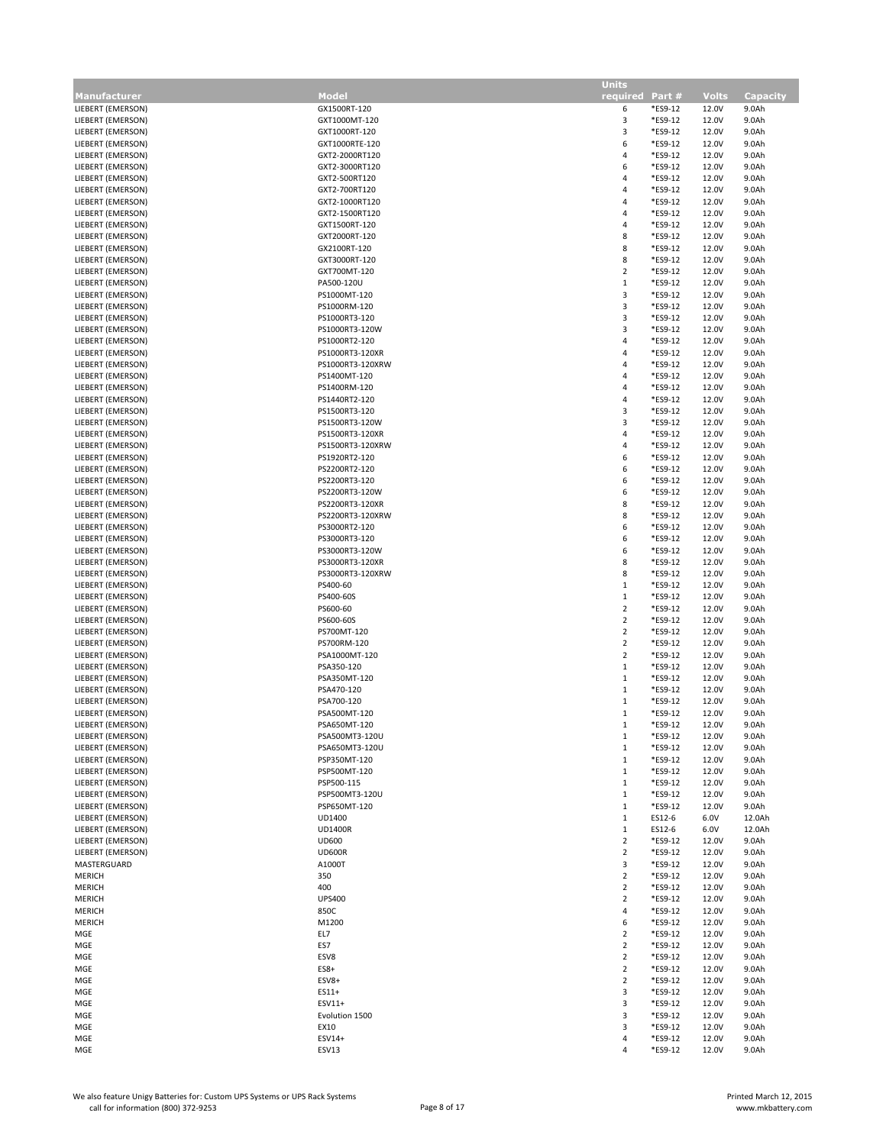|                                        |                              | <b>Units</b>            |         |                |                 |
|----------------------------------------|------------------------------|-------------------------|---------|----------------|-----------------|
| <b>Manufacturer</b>                    | <b>Model</b>                 | required Part #         |         | <b>Volts</b>   | <b>Capacity</b> |
| LIEBERT (EMERSON)                      | GX1500RT-120                 | 6                       | *ES9-12 | 12.0V          | 9.0Ah           |
| LIEBERT (EMERSON)                      | GXT1000MT-120                | 3                       | *ES9-12 | 12.0V          | 9.0Ah           |
| LIEBERT (EMERSON)                      | GXT1000RT-120                | 3                       | *ES9-12 | 12.0V          | 9.0Ah           |
| LIEBERT (EMERSON)                      | GXT1000RTE-120               | 6                       | *ES9-12 | 12.0V          | 9.0Ah           |
| LIEBERT (EMERSON)                      | GXT2-2000RT120               | 4                       | *ES9-12 | 12.0V          | 9.0Ah           |
| LIEBERT (EMERSON)                      | GXT2-3000RT120               | 6                       | *ES9-12 | 12.0V          | 9.0Ah           |
| LIEBERT (EMERSON)                      | GXT2-500RT120                | 4                       | *ES9-12 | 12.0V          | 9.0Ah           |
| LIEBERT (EMERSON)                      | GXT2-700RT120                | 4                       | *ES9-12 | 12.0V          | 9.0Ah           |
| LIEBERT (EMERSON)                      | GXT2-1000RT120               | 4                       | *ES9-12 | 12.0V          | 9.0Ah           |
| LIEBERT (EMERSON)                      | GXT2-1500RT120               | 4                       | *ES9-12 | 12.0V          | 9.0Ah           |
| LIEBERT (EMERSON)                      | GXT1500RT-120                | 4                       | *ES9-12 | 12.0V          | 9.0Ah           |
| LIEBERT (EMERSON)                      | GXT2000RT-120                | 8                       | *ES9-12 | 12.0V          | 9.0Ah           |
| LIEBERT (EMERSON)                      | GX2100RT-120                 | 8                       | *ES9-12 | 12.0V          | 9.0Ah           |
| LIEBERT (EMERSON)                      | GXT3000RT-120                | 8                       | *ES9-12 | 12.0V          | 9.0Ah           |
| LIEBERT (EMERSON)                      | GXT700MT-120                 | 2                       | *ES9-12 | 12.0V          | 9.0Ah           |
| LIEBERT (EMERSON)                      | PA500-120U                   | $\mathbf{1}$            | *ES9-12 | 12.0V          | 9.0Ah           |
| LIEBERT (EMERSON)                      | PS1000MT-120                 | 3                       | *ES9-12 | 12.0V          | 9.0Ah           |
| LIEBERT (EMERSON)                      | PS1000RM-120                 | 3                       | *ES9-12 | 12.0V          | 9.0Ah           |
| LIEBERT (EMERSON)                      | PS1000RT3-120                | 3                       | *ES9-12 | 12.0V          | 9.0Ah           |
| LIEBERT (EMERSON)                      | PS1000RT3-120W               | 3                       | *ES9-12 | 12.0V          | 9.0Ah           |
| LIEBERT (EMERSON)                      | PS1000RT2-120                | 4                       | *ES9-12 | 12.0V          | 9.0Ah           |
| LIEBERT (EMERSON)                      | PS1000RT3-120XR              | 4                       | *ES9-12 | 12.0V          | 9.0Ah           |
| LIEBERT (EMERSON)                      | PS1000RT3-120XRW             | 4                       | *ES9-12 | 12.0V          | 9.0Ah           |
| LIEBERT (EMERSON)                      | PS1400MT-120                 | 4                       | *ES9-12 | 12.0V          | 9.0Ah           |
| LIEBERT (EMERSON)                      | PS1400RM-120                 | 4                       | *ES9-12 | 12.0V          | 9.0Ah           |
| LIEBERT (EMERSON)                      | PS1440RT2-120                | 4                       | *ES9-12 | 12.0V          | 9.0Ah           |
| LIEBERT (EMERSON)                      | PS1500RT3-120                | 3                       | *ES9-12 | 12.0V          | 9.0Ah           |
| LIEBERT (EMERSON)                      | PS1500RT3-120W               | 3                       | *ES9-12 | 12.0V          | 9.0Ah           |
| LIEBERT (EMERSON)                      | PS1500RT3-120XR              | 4                       | *ES9-12 | 12.0V          | 9.0Ah           |
| LIEBERT (EMERSON)                      | PS1500RT3-120XRW             | 4                       | *ES9-12 | 12.0V          | 9.0Ah           |
| LIEBERT (EMERSON)                      | PS1920RT2-120                | 6                       | *ES9-12 | 12.0V          | 9.0Ah           |
| LIEBERT (EMERSON)                      | PS2200RT2-120                | 6                       | *ES9-12 | 12.0V          | 9.0Ah           |
| LIEBERT (EMERSON)                      | PS2200RT3-120                | 6                       | *ES9-12 | 12.0V          | 9.0Ah           |
| LIEBERT (EMERSON)                      | PS2200RT3-120W               | 6                       | *ES9-12 | 12.0V          | 9.0Ah           |
| LIEBERT (EMERSON)                      | PS2200RT3-120XR              | 8                       | *ES9-12 | 12.0V          | 9.0Ah           |
| LIEBERT (EMERSON)                      | PS2200RT3-120XRW             | 8                       | *ES9-12 | 12.0V          | 9.0Ah           |
| LIEBERT (EMERSON)                      | PS3000RT2-120                | 6                       | *ES9-12 | 12.0V          | 9.0Ah           |
| LIEBERT (EMERSON)                      | PS3000RT3-120                | 6                       | *ES9-12 | 12.0V          | 9.0Ah           |
| LIEBERT (EMERSON)                      | PS3000RT3-120W               | 6                       | *ES9-12 | 12.0V          | 9.0Ah           |
| LIEBERT (EMERSON)                      | PS3000RT3-120XR              | 8                       | *ES9-12 | 12.0V          | 9.0Ah           |
|                                        |                              | 8                       | *ES9-12 | 12.0V          |                 |
| LIEBERT (EMERSON)<br>LIEBERT (EMERSON) | PS3000RT3-120XRW<br>PS400-60 | $\,1\,$                 | *ES9-12 | 12.0V          | 9.0Ah<br>9.0Ah  |
|                                        |                              | $\mathbf{1}$            | *ES9-12 | 12.0V          |                 |
| LIEBERT (EMERSON)                      | PS400-60S                    | $\mathbf 2$             | *ES9-12 |                | 9.0Ah           |
| LIEBERT (EMERSON)<br>LIEBERT (EMERSON) | PS600-60                     | $\overline{2}$          | *ES9-12 | 12.0V<br>12.0V | 9.0Ah           |
|                                        | PS600-60S                    |                         |         |                | 9.0Ah           |
| LIEBERT (EMERSON)                      | PS700MT-120                  | 2<br>$\mathbf 2$        | *ES9-12 | 12.0V          | 9.0Ah           |
| LIEBERT (EMERSON)                      | PS700RM-120                  |                         | *ES9-12 | 12.0V          | 9.0Ah           |
| LIEBERT (EMERSON)                      | PSA1000MT-120                | $\overline{2}$          | *ES9-12 | 12.0V          | 9.0Ah           |
| LIEBERT (EMERSON)                      | PSA350-120                   | $\mathbf{1}$            | *ES9-12 | 12.0V          | 9.0Ah           |
| LIEBERT (EMERSON)                      | PSA350MT-120                 | $\,1\,$                 | *ES9-12 | 12.0V          | 9.0Ah           |
| LIEBERT (EMERSON)                      | PSA470-120                   | 1                       | *ES9-12 | 12.0V          | 9.0Ah           |
| LIEBERT (EMERSON)                      | PSA700-120                   | 1                       | *ES9-12 | 12.0V          | 9.0Ah           |
| LIEBERT (EMERSON)                      | PSA500MT-120                 | 1                       | *ES9-12 | 12.0V          | 9.0Ah           |
| LIEBERT (EMERSON)                      | PSA650MT-120                 | 1                       | *ES9-12 | 12.0V          | 9.0Ah           |
| LIEBERT (EMERSON)                      | PSA500MT3-120U               | 1                       | *ES9-12 | 12.0V          | 9.0Ah           |
| LIEBERT (EMERSON)                      | PSA650MT3-120U               | 1                       | *ES9-12 | 12.0V          | 9.0Ah           |
| LIEBERT (EMERSON)                      | PSP350MT-120                 | 1                       | *ES9-12 | 12.0V          | 9.0Ah           |
| LIEBERT (EMERSON)                      | PSP500MT-120                 | 1                       | *ES9-12 | 12.0V          | 9.0Ah           |
| LIEBERT (EMERSON)                      | PSP500-115                   | $\mathbf{1}$            | *ES9-12 | 12.0V          | 9.0Ah           |
| LIEBERT (EMERSON)                      | PSP500MT3-120U               | $\mathbf{1}$            | *ES9-12 | 12.0V          | 9.0Ah           |
| LIEBERT (EMERSON)                      | PSP650MT-120                 | $\mathbf{1}$            | *ES9-12 | 12.0V          | 9.0Ah           |
| LIEBERT (EMERSON)                      | UD1400                       | $\mathbf{1}$            | ES12-6  | 6.0V           | 12.0Ah          |
| LIEBERT (EMERSON)                      | <b>UD1400R</b>               | $\mathbf{1}$            | ES12-6  | 6.0V           | 12.0Ah          |
| LIEBERT (EMERSON)                      | <b>UD600</b>                 | $\overline{2}$          | *ES9-12 | 12.0V          | 9.0Ah           |
| LIEBERT (EMERSON)                      | <b>UD600R</b>                | $\overline{\mathbf{c}}$ | *ES9-12 | 12.0V          | 9.0Ah           |
| MASTERGUARD                            | A1000T                       | 3                       | *ES9-12 | 12.0V          | 9.0Ah           |
| MERICH                                 | 350                          | $\overline{2}$          | *ES9-12 | 12.0V          | 9.0Ah           |
| <b>MERICH</b>                          | 400                          | $\overline{2}$          | *ES9-12 | 12.0V          | 9.0Ah           |
| <b>MERICH</b>                          | <b>UPS400</b>                | $\overline{2}$          | *ES9-12 | 12.0V          | 9.0Ah           |
| MERICH                                 | 850C                         | 4                       | *ES9-12 | 12.0V          | 9.0Ah           |
| MERICH                                 | M1200                        | 6                       | *ES9-12 | 12.0V          | 9.0Ah           |
| MGE                                    | EL7                          | $\overline{2}$          | *ES9-12 | 12.0V          | 9.0Ah           |
| MGE                                    | ES7                          | 2                       | *ES9-12 | 12.0V          | 9.0Ah           |
| MGE                                    | ESV8                         | $\overline{2}$          | *ES9-12 | 12.0V          | 9.0Ah           |
| MGE                                    | ES8+                         | $\mathbf 2$             | *ES9-12 | 12.0V          | 9.0Ah           |
| MGE                                    | ESV8+                        | $\overline{\mathbf{c}}$ | *ES9-12 | 12.0V          | 9.0Ah           |
| MGE                                    | ES11+                        | 3                       | *ES9-12 | 12.0V          | 9.0Ah           |
| MGE                                    | ESV11+                       | 3                       | *ES9-12 | 12.0V          | 9.0Ah           |
| MGE                                    | Evolution 1500               | 3                       | *ES9-12 | 12.0V          | 9.0Ah           |
| MGE                                    | EX10                         | 3                       | *ES9-12 | 12.0V          | 9.0Ah           |
| MGE                                    | ESV14+                       | 4                       | *ES9-12 | 12.0V          | 9.0Ah           |
| MGE                                    | ESV13                        | 4                       | *ES9-12 | 12.0V          | 9.0Ah           |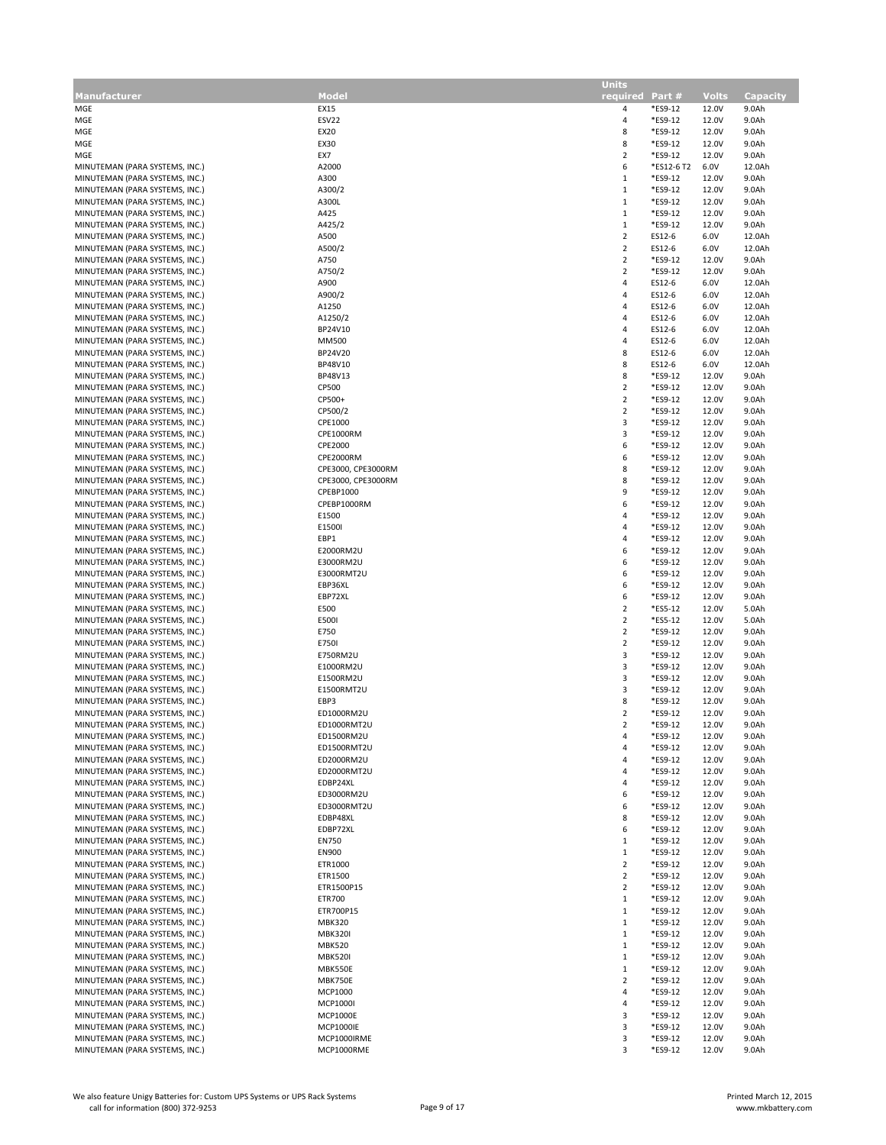|                                                                  |                            | <b>Units</b>                 |                       |                |                 |
|------------------------------------------------------------------|----------------------------|------------------------------|-----------------------|----------------|-----------------|
| <b>Manufacturer</b>                                              | Model                      | required Part #              |                       | <b>Volts</b>   | <b>Capacity</b> |
| MGE                                                              | EX15                       | 4                            | *ES9-12               | 12.0V          | 9.0Ah           |
| MGE                                                              | ESV22                      | 4                            | *ES9-12               | 12.0V          | 9.0Ah           |
| MGE                                                              | EX20                       | 8                            | *ES9-12               | 12.0V          | 9.0Ah           |
| MGE                                                              | EX30                       | 8                            | *ES9-12               | 12.0V          | 9.0Ah           |
| MGE<br>MINUTEMAN (PARA SYSTEMS, INC.)                            | EX7<br>A2000               | $\overline{2}$<br>6          | *ES9-12<br>*ES12-6 T2 | 12.0V<br>6.0V  | 9.0Ah<br>12.0Ah |
| MINUTEMAN (PARA SYSTEMS, INC.)                                   | A300                       | $\mathbf{1}$                 | *ES9-12               | 12.0V          | 9.0Ah           |
| MINUTEMAN (PARA SYSTEMS, INC.)                                   | A300/2                     | $\mathbf{1}$                 | *ES9-12               | 12.0V          | 9.0Ah           |
| MINUTEMAN (PARA SYSTEMS, INC.)                                   | A300L                      | $\mathbf{1}$                 | *ES9-12               | 12.0V          | 9.0Ah           |
| MINUTEMAN (PARA SYSTEMS, INC.)                                   | A425                       | $\mathbf{1}$                 | *ES9-12               | 12.0V          | 9.0Ah           |
| MINUTEMAN (PARA SYSTEMS, INC.)                                   | A425/2                     | $\,1\,$                      | *ES9-12               | 12.0V          | 9.0Ah           |
| MINUTEMAN (PARA SYSTEMS, INC.)                                   | A500                       | $\overline{2}$               | ES12-6                | 6.0V           | 12.0Ah          |
| MINUTEMAN (PARA SYSTEMS, INC.)                                   | A500/2                     | $\overline{2}$               | ES12-6                | 6.0V           | 12.0Ah          |
| MINUTEMAN (PARA SYSTEMS, INC.)                                   | A750                       | $\sqrt{2}$<br>$\overline{2}$ | *ES9-12<br>*ES9-12    | 12.0V          | 9.0Ah           |
| MINUTEMAN (PARA SYSTEMS, INC.)<br>MINUTEMAN (PARA SYSTEMS, INC.) | A750/2<br>A900             | 4                            | ES12-6                | 12.0V<br>6.0V  | 9.0Ah<br>12.0Ah |
| MINUTEMAN (PARA SYSTEMS, INC.)                                   | A900/2                     | 4                            | ES12-6                | 6.0V           | 12.0Ah          |
| MINUTEMAN (PARA SYSTEMS, INC.)                                   | A1250                      | 4                            | ES12-6                | 6.0V           | 12.0Ah          |
| MINUTEMAN (PARA SYSTEMS, INC.)                                   | A1250/2                    | 4                            | ES12-6                | 6.0V           | 12.0Ah          |
| MINUTEMAN (PARA SYSTEMS, INC.)                                   | BP24V10                    | 4                            | ES12-6                | 6.0V           | 12.0Ah          |
| MINUTEMAN (PARA SYSTEMS, INC.)                                   | MM500                      | 4                            | ES12-6                | 6.0V           | 12.0Ah          |
| MINUTEMAN (PARA SYSTEMS, INC.)                                   | BP24V20                    | 8                            | ES12-6                | 6.0V           | 12.0Ah          |
| MINUTEMAN (PARA SYSTEMS, INC.)                                   | BP48V10                    | 8                            | ES12-6                | 6.0V           | 12.0Ah          |
| MINUTEMAN (PARA SYSTEMS, INC.)<br>MINUTEMAN (PARA SYSTEMS, INC.) | BP48V13<br>CP500           | 8<br>$\overline{2}$          | *ES9-12<br>*ES9-12    | 12.0V<br>12.0V | 9.0Ah<br>9.0Ah  |
| MINUTEMAN (PARA SYSTEMS, INC.)                                   | CP500+                     | $\overline{2}$               | *ES9-12               | 12.0V          | 9.0Ah           |
| MINUTEMAN (PARA SYSTEMS, INC.)                                   | CP500/2                    | $\overline{2}$               | *ES9-12               | 12.0V          | 9.0Ah           |
| MINUTEMAN (PARA SYSTEMS, INC.)                                   | CPE1000                    | 3                            | *ES9-12               | 12.0V          | 9.0Ah           |
| MINUTEMAN (PARA SYSTEMS, INC.)                                   | CPE1000RM                  | 3                            | *ES9-12               | 12.0V          | 9.0Ah           |
| MINUTEMAN (PARA SYSTEMS, INC.)                                   | CPE2000                    | 6                            | *ES9-12               | 12.0V          | 9.0Ah           |
| MINUTEMAN (PARA SYSTEMS, INC.)                                   | CPE2000RM                  | 6                            | *ES9-12               | 12.0V          | 9.0Ah           |
| MINUTEMAN (PARA SYSTEMS, INC.)                                   | CPE3000, CPE3000RM         | 8                            | *ES9-12               | 12.0V          | 9.0Ah           |
| MINUTEMAN (PARA SYSTEMS, INC.)                                   | CPE3000, CPE3000RM         | 8                            | *ES9-12               | 12.0V          | 9.0Ah           |
| MINUTEMAN (PARA SYSTEMS, INC.)<br>MINUTEMAN (PARA SYSTEMS, INC.) | CPEBP1000<br>CPEBP1000RM   | 9<br>6                       | *ES9-12<br>*ES9-12    | 12.0V<br>12.0V | 9.0Ah<br>9.0Ah  |
| MINUTEMAN (PARA SYSTEMS, INC.)                                   | E1500                      | 4                            | *ES9-12               | 12.0V          | 9.0Ah           |
| MINUTEMAN (PARA SYSTEMS, INC.)                                   | E1500I                     | 4                            | *ES9-12               | 12.0V          | 9.0Ah           |
| MINUTEMAN (PARA SYSTEMS, INC.)                                   | EBP1                       | 4                            | *ES9-12               | 12.0V          | 9.0Ah           |
| MINUTEMAN (PARA SYSTEMS, INC.)                                   | E2000RM2U                  | 6                            | *ES9-12               | 12.0V          | 9.0Ah           |
| MINUTEMAN (PARA SYSTEMS, INC.)                                   | E3000RM2U                  | 6                            | *ES9-12               | 12.0V          | 9.0Ah           |
| MINUTEMAN (PARA SYSTEMS, INC.)                                   | E3000RMT2U                 | 6                            | *ES9-12               | 12.0V          | 9.0Ah           |
| MINUTEMAN (PARA SYSTEMS, INC.)                                   | EBP36XL                    | 6                            | *ES9-12               | 12.0V          | 9.0Ah           |
| MINUTEMAN (PARA SYSTEMS, INC.)<br>MINUTEMAN (PARA SYSTEMS, INC.) | EBP72XL<br>E500            | 6<br>$\sqrt{2}$              | *ES9-12<br>*ES5-12    | 12.0V<br>12.0V | 9.0Ah<br>5.0Ah  |
| MINUTEMAN (PARA SYSTEMS, INC.)                                   | E500I                      | $\overline{2}$               | *ES5-12               | 12.0V          | 5.0Ah           |
| MINUTEMAN (PARA SYSTEMS, INC.)                                   | E750                       | $\overline{2}$               | *ES9-12               | 12.0V          | 9.0Ah           |
| MINUTEMAN (PARA SYSTEMS, INC.)                                   | E750I                      | $\overline{2}$               | *ES9-12               | 12.0V          | 9.0Ah           |
| MINUTEMAN (PARA SYSTEMS, INC.)                                   | E750RM2U                   | 3                            | *ES9-12               | 12.0V          | 9.0Ah           |
| MINUTEMAN (PARA SYSTEMS, INC.)                                   | E1000RM2U                  | 3                            | *ES9-12               | 12.0V          | 9.0Ah           |
| MINUTEMAN (PARA SYSTEMS, INC.)                                   | E1500RM2U                  | $\mathsf 3$                  | *ES9-12               | 12.0V          | 9.0Ah           |
| MINUTEMAN (PARA SYSTEMS, INC.)                                   | E1500RMT2U                 | 3                            | *ES9-12               | 12.0V          | 9.0Ah           |
| MINUTEMAN (PARA SYSTEMS, INC.)<br>MINUTEMAN (PARA SYSTEMS, INC.) | EBP3<br>ED1000RM2U         | 8<br>$\overline{2}$          | *ES9-12<br>*ES9-12    | 12.0V<br>12.0V | 9.0Ah<br>9.0Ah  |
| MINUTEMAN (PARA SYSTEMS, INC.)                                   | ED1000RMT2U                | $\overline{\mathbf{r}}$      | *ES9-12               | 12.0V          | 9.0Ah           |
| MINUTEMAN (PARA SYSTEMS, INC.)                                   | ED1500RM2U                 | 4                            | *ES9-12               | 12.0V          | 9.0Ah           |
| MINUTEMAN (PARA SYSTEMS, INC.)                                   | ED1500RMT2U                | 4                            | *ES9-12               | 12.0V          | 9.0Ah           |
| MINUTEMAN (PARA SYSTEMS, INC.)                                   | ED2000RM2U                 | 4                            | *ES9-12               | 12.0V          | 9.0Ah           |
| MINUTEMAN (PARA SYSTEMS, INC.)                                   | ED2000RMT2U                | 4                            | *ES9-12               | 12.0V          | 9.0Ah           |
| MINUTEMAN (PARA SYSTEMS, INC.)                                   | EDBP24XL                   | 4                            | *ES9-12               | 12.0V          | 9.0Ah           |
| MINUTEMAN (PARA SYSTEMS, INC.)                                   | ED3000RM2U<br>ED3000RMT2U  | 6<br>6                       | *ES9-12<br>*ES9-12    | 12.0V<br>12.0V | 9.0Ah<br>9.0Ah  |
| MINUTEMAN (PARA SYSTEMS, INC.)<br>MINUTEMAN (PARA SYSTEMS, INC.) | EDBP48XL                   | 8                            | *ES9-12               | 12.0V          | 9.0Ah           |
| MINUTEMAN (PARA SYSTEMS, INC.)                                   | EDBP72XL                   | 6                            | *ES9-12               | 12.0V          | 9.0Ah           |
| MINUTEMAN (PARA SYSTEMS, INC.)                                   | <b>EN750</b>               | $\mathbf{1}$                 | *ES9-12               | 12.0V          | 9.0Ah           |
| MINUTEMAN (PARA SYSTEMS, INC.)                                   | <b>EN900</b>               | $\mathbf{1}$                 | *ES9-12               | 12.0V          | 9.0Ah           |
| MINUTEMAN (PARA SYSTEMS, INC.)                                   | ETR1000                    | $\overline{2}$               | *ES9-12               | 12.0V          | 9.0Ah           |
| MINUTEMAN (PARA SYSTEMS, INC.)                                   | ETR1500                    | $\overline{2}$               | *ES9-12               | 12.0V          | 9.0Ah           |
| MINUTEMAN (PARA SYSTEMS, INC.)                                   | ETR1500P15                 | $\overline{2}$               | *ES9-12               | 12.0V          | 9.0Ah           |
| MINUTEMAN (PARA SYSTEMS, INC.)                                   | ETR700                     | $\mathbf{1}$                 | *ES9-12               | 12.0V          | 9.0Ah           |
| MINUTEMAN (PARA SYSTEMS, INC.)<br>MINUTEMAN (PARA SYSTEMS, INC.) | ETR700P15<br><b>MBK320</b> | $\mathbf{1}$<br>$\mathbf{1}$ | *ES9-12<br>*ES9-12    | 12.0V<br>12.0V | 9.0Ah<br>9.0Ah  |
| MINUTEMAN (PARA SYSTEMS, INC.)                                   | <b>MBK320I</b>             | $\mathbf{1}$                 | *ES9-12               | 12.0V          | 9.0Ah           |
| MINUTEMAN (PARA SYSTEMS, INC.)                                   | <b>MBK520</b>              | $1\,$                        | *ES9-12               | 12.0V          | 9.0Ah           |
| MINUTEMAN (PARA SYSTEMS, INC.)                                   | <b>MBK520I</b>             | $\mathbf{1}$                 | *ES9-12               | 12.0V          | 9.0Ah           |
| MINUTEMAN (PARA SYSTEMS, INC.)                                   | MBK550E                    | $\mathbf{1}$                 | *ES9-12               | 12.0V          | 9.0Ah           |
| MINUTEMAN (PARA SYSTEMS, INC.)                                   | MBK750E                    | $\overline{2}$               | *ES9-12               | 12.0V          | 9.0Ah           |
| MINUTEMAN (PARA SYSTEMS, INC.)                                   | MCP1000                    | $\overline{a}$               | *ES9-12               | 12.0V          | 9.0Ah           |
| MINUTEMAN (PARA SYSTEMS, INC.)                                   | MCP1000I                   | 4                            | *ES9-12               | 12.0V          | 9.0Ah           |
| MINUTEMAN (PARA SYSTEMS, INC.)                                   | <b>MCP1000E</b>            | 3                            | *ES9-12               | 12.0V          | 9.0Ah           |
| MINUTEMAN (PARA SYSTEMS, INC.)                                   | <b>MCP1000IE</b>           | 3                            | *ES9-12               | 12.0V          | 9.0Ah           |
| MINUTEMAN (PARA SYSTEMS, INC.)                                   | MCP1000IRME                | 3                            | *ES9-12               | 12.0V          | 9.0Ah           |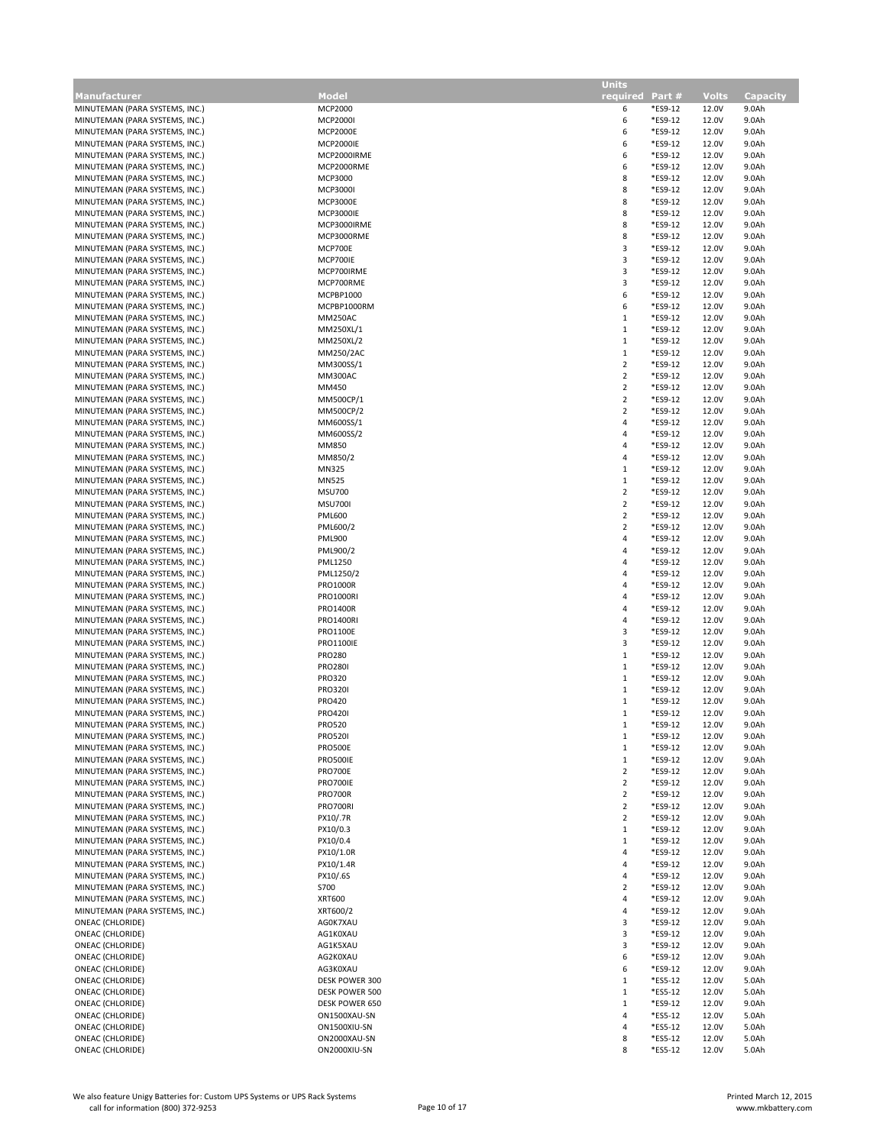| <b>Manufacturer</b>            | Model            | .<br>required Part #    |         | <b>Volts</b> | <b>Capacity</b> |
|--------------------------------|------------------|-------------------------|---------|--------------|-----------------|
| MINUTEMAN (PARA SYSTEMS, INC.) | MCP2000          | 6                       | *ES9-12 | 12.0V        | 9.0Ah           |
| MINUTEMAN (PARA SYSTEMS, INC.) | MCP2000I         | 6                       | *ES9-12 | 12.0V        | 9.0Ah           |
| MINUTEMAN (PARA SYSTEMS, INC.) | <b>MCP2000E</b>  | 6                       | *ES9-12 | 12.0V        | 9.0Ah           |
| MINUTEMAN (PARA SYSTEMS, INC.) | <b>MCP2000IE</b> | 6                       | *ES9-12 | 12.0V        | 9.0Ah           |
| MINUTEMAN (PARA SYSTEMS, INC.) | MCP2000IRME      | 6                       | *ES9-12 | 12.0V        | 9.0Ah           |
| MINUTEMAN (PARA SYSTEMS, INC.) | MCP2000RME       | 6                       | *ES9-12 | 12.0V        | 9.0Ah           |
|                                |                  |                         |         |              |                 |
| MINUTEMAN (PARA SYSTEMS, INC.) | MCP3000          | 8                       | *ES9-12 | 12.0V        | 9.0Ah           |
| MINUTEMAN (PARA SYSTEMS, INC.) | MCP3000I         | 8                       | *ES9-12 | 12.0V        | 9.0Ah           |
| MINUTEMAN (PARA SYSTEMS, INC.) | <b>MCP3000E</b>  | 8                       | *ES9-12 | 12.0V        | 9.0Ah           |
| MINUTEMAN (PARA SYSTEMS, INC.) | <b>MCP3000IE</b> | 8                       | *ES9-12 | 12.0V        | 9.0Ah           |
| MINUTEMAN (PARA SYSTEMS, INC.) | MCP3000IRME      | 8                       | *ES9-12 | 12.0V        | 9.0Ah           |
| MINUTEMAN (PARA SYSTEMS, INC.) | MCP3000RME       | 8                       | *ES9-12 | 12.0V        | 9.0Ah           |
| MINUTEMAN (PARA SYSTEMS, INC.) | MCP700E          | 3                       | *ES9-12 | 12.0V        | 9.0Ah           |
| MINUTEMAN (PARA SYSTEMS, INC.) | MCP700IE         | $\mathsf 3$             | *ES9-12 | 12.0V        | 9.0Ah           |
| MINUTEMAN (PARA SYSTEMS, INC.) | MCP700IRME       | 3                       | *ES9-12 | 12.0V        | 9.0Ah           |
| MINUTEMAN (PARA SYSTEMS, INC.) | MCP700RME        | $\overline{\mathbf{3}}$ | *ES9-12 | 12.0V        | 9.0Ah           |
| MINUTEMAN (PARA SYSTEMS, INC.) | MCPBP1000        | 6                       | *ES9-12 | 12.0V        | 9.0Ah           |
| MINUTEMAN (PARA SYSTEMS, INC.) | MCPBP1000RM      | 6                       | *ES9-12 | 12.0V        | 9.0Ah           |
| MINUTEMAN (PARA SYSTEMS, INC.) | MM250AC          | $1\,$                   | *ES9-12 | 12.0V        | 9.0Ah           |
| MINUTEMAN (PARA SYSTEMS, INC.) | MM250XL/1        | $\,1\,$                 | *ES9-12 | 12.0V        | 9.0Ah           |
|                                |                  |                         | *ES9-12 |              |                 |
| MINUTEMAN (PARA SYSTEMS, INC.) | MM250XL/2        | $1\,$                   |         | 12.0V        | 9.0Ah           |
| MINUTEMAN (PARA SYSTEMS, INC.) | MM250/2AC        | $\mathbf{1}$            | *ES9-12 | 12.0V        | 9.0Ah           |
| MINUTEMAN (PARA SYSTEMS, INC.) | MM300SS/1        | $\mathbf 2$             | *ES9-12 | 12.0V        | 9.0Ah           |
| MINUTEMAN (PARA SYSTEMS, INC.) | MM300AC          | $\overline{2}$          | *ES9-12 | 12.0V        | 9.0Ah           |
| MINUTEMAN (PARA SYSTEMS, INC.) | MM450            | $\sqrt{2}$              | *ES9-12 | 12.0V        | 9.0Ah           |
| MINUTEMAN (PARA SYSTEMS, INC.) | MM500CP/1        | $\sqrt{2}$              | *ES9-12 | 12.0V        | 9.0Ah           |
| MINUTEMAN (PARA SYSTEMS, INC.) | MM500CP/2        | $\overline{2}$          | *ES9-12 | 12.0V        | 9.0Ah           |
| MINUTEMAN (PARA SYSTEMS, INC.) | MM600SS/1        | 4                       | *ES9-12 | 12.0V        | 9.0Ah           |
| MINUTEMAN (PARA SYSTEMS, INC.) | MM600SS/2        | 4                       | *ES9-12 | 12.0V        | 9.0Ah           |
| MINUTEMAN (PARA SYSTEMS, INC.) | MM850            | 4                       | *ES9-12 | 12.0V        | 9.0Ah           |
| MINUTEMAN (PARA SYSTEMS, INC.) | MM850/2          | 4                       | *ES9-12 | 12.0V        | 9.0Ah           |
| MINUTEMAN (PARA SYSTEMS, INC.) | MN325            | $\mathbf{1}$            | *ES9-12 | 12.0V        | 9.0Ah           |
| MINUTEMAN (PARA SYSTEMS, INC.) | <b>MN525</b>     | $1\,$                   | *ES9-12 | 12.0V        | 9.0Ah           |
|                                | <b>MSU700</b>    | $\mathbf 2$             | *ES9-12 |              |                 |
| MINUTEMAN (PARA SYSTEMS, INC.) |                  |                         |         | 12.0V        | 9.0Ah           |
| MINUTEMAN (PARA SYSTEMS, INC.) | <b>MSU700I</b>   | $\sqrt{2}$              | *ES9-12 | 12.0V        | 9.0Ah           |
| MINUTEMAN (PARA SYSTEMS, INC.) | <b>PML600</b>    | $\overline{2}$          | *ES9-12 | 12.0V        | 9.0Ah           |
| MINUTEMAN (PARA SYSTEMS, INC.) | PML600/2         | $\sqrt{2}$              | *ES9-12 | 12.0V        | 9.0Ah           |
| MINUTEMAN (PARA SYSTEMS, INC.) | <b>PML900</b>    | $\overline{a}$          | *ES9-12 | 12.0V        | 9.0Ah           |
| MINUTEMAN (PARA SYSTEMS, INC.) | PML900/2         | 4                       | *ES9-12 | 12.0V        | 9.0Ah           |
| MINUTEMAN (PARA SYSTEMS, INC.) | <b>PML1250</b>   | 4                       | *ES9-12 | 12.0V        | 9.0Ah           |
| MINUTEMAN (PARA SYSTEMS, INC.) | PML1250/2        | 4                       | *ES9-12 | 12.0V        | 9.0Ah           |
| MINUTEMAN (PARA SYSTEMS, INC.) | <b>PRO1000R</b>  | 4                       | *ES9-12 | 12.0V        | 9.0Ah           |
| MINUTEMAN (PARA SYSTEMS, INC.) | <b>PRO1000RI</b> | 4                       | *ES9-12 | 12.0V        | 9.0Ah           |
| MINUTEMAN (PARA SYSTEMS, INC.) | <b>PRO1400R</b>  | 4                       | *ES9-12 | 12.0V        | 9.0Ah           |
| MINUTEMAN (PARA SYSTEMS, INC.) | <b>PRO1400RI</b> | 4                       | *ES9-12 | 12.0V        | 9.0Ah           |
| MINUTEMAN (PARA SYSTEMS, INC.) | <b>PRO1100E</b>  | $\overline{\mathbf{3}}$ | *ES9-12 | 12.0V        | 9.0Ah           |
| MINUTEMAN (PARA SYSTEMS, INC.) | <b>PRO1100IE</b> | 3                       | *ES9-12 | 12.0V        | 9.0Ah           |
| MINUTEMAN (PARA SYSTEMS, INC.) | <b>PRO280</b>    | $\,1\,$                 | *ES9-12 | 12.0V        | 9.0Ah           |
| MINUTEMAN (PARA SYSTEMS, INC.) | <b>PRO2801</b>   | $\mathbf{1}$            | *ES9-12 | 12.0V        | 9.0Ah           |
| MINUTEMAN (PARA SYSTEMS, INC.) |                  |                         | *ES9-12 |              |                 |
|                                | <b>PRO320</b>    | $\mathbf{1}$            |         | 12.0V        | 9.0Ah           |
| MINUTEMAN (PARA SYSTEMS, INC.) | <b>PRO3201</b>   | $\mathbf{1}$            | *ES9-12 | 12.0V        | 9.0Ah           |
| MINUTEMAN (PARA SYSTEMS, INC.) | <b>PRO420</b>    | $1\,$                   | *ES9-12 | 12.0V        | 9.0Ah           |
| MINUTEMAN (PARA SYSTEMS, INC.) | <b>PRO420</b>    | $\,1\,$                 | *ES9-12 | 12.0V        | 9.0Ah           |
| MINUTEMAN (PARA SYSTEMS, INC.) | <b>PRO520</b>    | $\,1\,$                 | *ES9-12 | 12.0V        | 9.0Ah           |
| MINUTEMAN (PARA SYSTEMS, INC.) | PRO520I          | 1                       | 'ES9-12 | 12.OV        | 9.0Ah           |
| MINUTEMAN (PARA SYSTEMS, INC.) | <b>PRO500E</b>   | 1                       | *ES9-12 | 12.0V        | 9.0Ah           |
| MINUTEMAN (PARA SYSTEMS, INC.) | PRO500IE         | $\mathbf{1}$            | *ES9-12 | 12.0V        | 9.0Ah           |
| MINUTEMAN (PARA SYSTEMS, INC.) | <b>PRO700E</b>   | $\overline{2}$          | *ES9-12 | 12.0V        | 9.0Ah           |
| MINUTEMAN (PARA SYSTEMS, INC.) | PRO700IE         | $\sqrt{2}$              | *ES9-12 | 12.0V        | 9.0Ah           |
| MINUTEMAN (PARA SYSTEMS, INC.) | <b>PRO700R</b>   | $\overline{2}$          | *ES9-12 | 12.0V        | 9.0Ah           |
| MINUTEMAN (PARA SYSTEMS, INC.) | PRO700RI         | $\overline{2}$          | *ES9-12 | 12.0V        | 9.0Ah           |
| MINUTEMAN (PARA SYSTEMS, INC.) | PX10/.7R         | $\sqrt{2}$              | *ES9-12 | 12.0V        | 9.0Ah           |
| MINUTEMAN (PARA SYSTEMS, INC.) | PX10/0.3         | $1\,$                   | *ES9-12 | 12.0V        | 9.0Ah           |
| MINUTEMAN (PARA SYSTEMS, INC.) | PX10/0.4         | $1\,$                   | *ES9-12 | 12.0V        | 9.0Ah           |
| MINUTEMAN (PARA SYSTEMS, INC.) | PX10/1.0R        | 4                       | *ES9-12 | 12.0V        | 9.0Ah           |
| MINUTEMAN (PARA SYSTEMS, INC.) | PX10/1.4R        | 4                       | *ES9-12 | 12.0V        | 9.0Ah           |
| MINUTEMAN (PARA SYSTEMS, INC.) | PX10/.6S         | 4                       | *ES9-12 | 12.0V        | 9.0Ah           |
|                                |                  |                         |         |              |                 |
| MINUTEMAN (PARA SYSTEMS, INC.) | S700             | $\overline{2}$          | *ES9-12 | 12.0V        | 9.0Ah           |
| MINUTEMAN (PARA SYSTEMS, INC.) | XRT600           | $\overline{a}$          | *ES9-12 | 12.0V        | 9.0Ah           |
| MINUTEMAN (PARA SYSTEMS, INC.) | XRT600/2         | 4                       | *ES9-12 | 12.0V        | 9.0Ah           |
| ONEAC (CHLORIDE)               | AG0K7XAU         | 3                       | *ES9-12 | 12.0V        | 9.0Ah           |
| ONEAC (CHLORIDE)               | AG1K0XAU         | 3                       | *ES9-12 | 12.0V        | 9.0Ah           |
| ONEAC (CHLORIDE)               | AG1K5XAU         | 3                       | *ES9-12 | 12.0V        | 9.0Ah           |
| ONEAC (CHLORIDE)               | AG2K0XAU         | 6                       | *ES9-12 | 12.0V        | 9.0Ah           |
| ONEAC (CHLORIDE)               | AG3K0XAU         | 6                       | *ES9-12 | 12.0V        | 9.0Ah           |
| ONEAC (CHLORIDE)               | DESK POWER 300   | $\mathbf{1}$            | *ES5-12 | 12.0V        | 5.0Ah           |
| ONEAC (CHLORIDE)               | DESK POWER 500   | $1\,$                   | *ES5-12 | 12.0V        | 5.0Ah           |
| ONEAC (CHLORIDE)               | DESK POWER 650   | $1\,$                   | *ES9-12 | 12.0V        | 9.0Ah           |
| ONEAC (CHLORIDE)               | ON1500XAU-SN     | 4                       | *ES5-12 | 12.0V        | 5.0Ah           |
| ONEAC (CHLORIDE)               | ON1500XIU-SN     | 4                       | *ES5-12 | 12.0V        | 5.0Ah           |
| ONEAC (CHLORIDE)               | ON2000XAU-SN     | 8                       | *ES5-12 | 12.0V        | 5.0Ah           |
| ONEAC (CHLORIDE)               | ON2000XIU-SN     | 8                       | *ES5-12 | 12.0V        | 5.0Ah           |

Units and the contract of the contract of the contract of the contract of the contract of the contract of the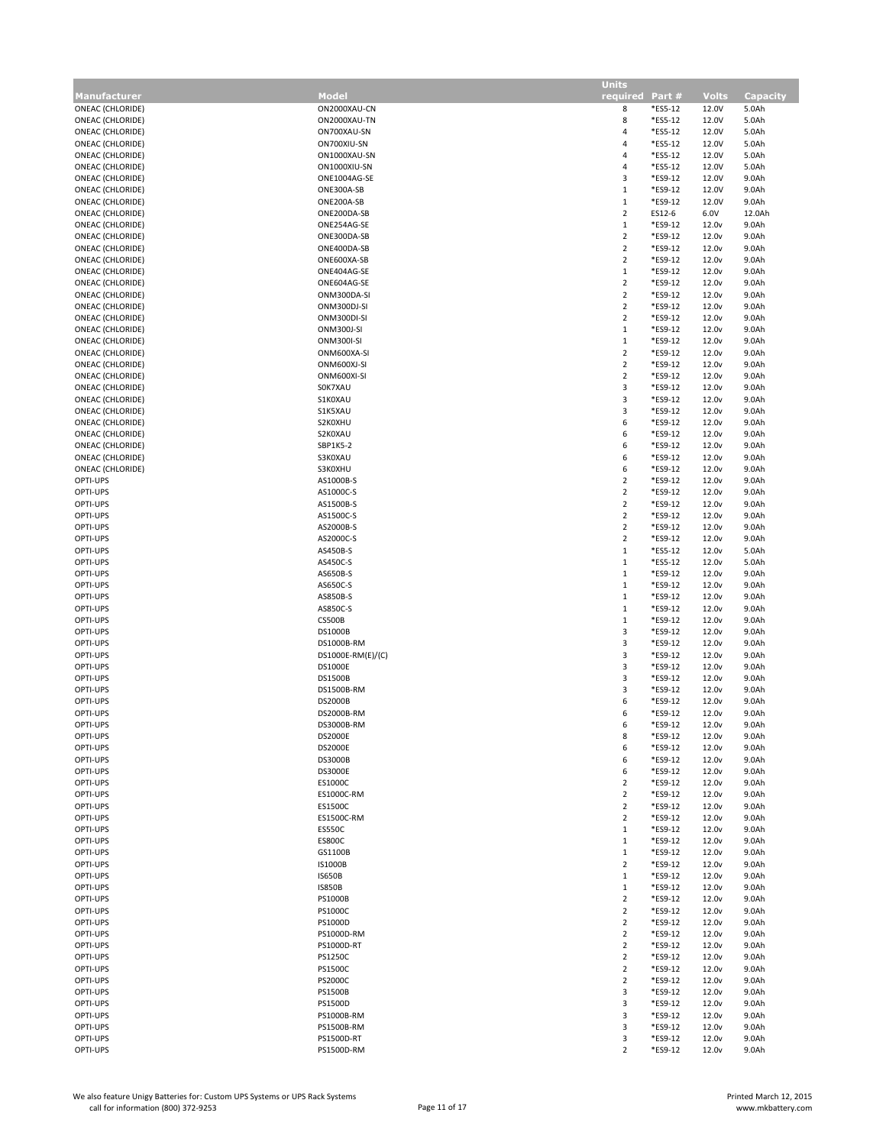|                                      |                                  | <b>Units</b>                     |                    |                                        |                 |
|--------------------------------------|----------------------------------|----------------------------------|--------------------|----------------------------------------|-----------------|
| <b>Manufacturer</b>                  | <b>Model</b>                     | required Part #                  |                    | Volts                                  | <b>Capacity</b> |
| ONEAC (CHLORIDE)                     | ON2000XAU-CN                     | 8                                | *ES5-12            | 12.0V                                  | 5.0Ah           |
| ONEAC (CHLORIDE)                     | ON2000XAU-TN                     | 8                                | *ES5-12            | 12.0V                                  | 5.0Ah           |
| ONEAC (CHLORIDE)                     | ON700XAU-SN                      | 4                                | *ES5-12            | 12.0V                                  | 5.0Ah           |
| ONEAC (CHLORIDE)                     | ON700XIU-SN                      | 4                                | *ES5-12            | 12.0V                                  | 5.0Ah           |
| ONEAC (CHLORIDE)                     | ON1000XAU-SN                     | 4                                | *ES5-12            | 12.0V                                  | 5.0Ah           |
| ONEAC (CHLORIDE)                     | ON1000XIU-SN                     | 4                                | *ES5-12            | 12.0V                                  | 5.0Ah           |
| ONEAC (CHLORIDE)                     | ONE1004AG-SE                     | $\mathsf 3$                      | *ES9-12            | 12.0V                                  | 9.0Ah           |
| ONEAC (CHLORIDE)                     | ONE300A-SB                       | $\,1\,$                          | *ES9-12            | 12.0V                                  | 9.0Ah           |
| ONEAC (CHLORIDE)                     | ONE200A-SB                       | $\,1\,$                          | *ES9-12            | 12.0V                                  | 9.0Ah           |
| ONEAC (CHLORIDE)                     | ONE200DA-SB                      | $\overline{2}$                   | ES12-6             | 6.0V                                   | 12.0Ah          |
| <b>ONEAC (CHLORIDE)</b>              | ONE254AG-SE                      | $\,1\,$                          | *ES9-12            | 12.0 <sub>v</sub>                      | 9.0Ah           |
| ONEAC (CHLORIDE)                     | ONE300DA-SB                      | $\sqrt{2}$                       | *ES9-12            | 12.0 <sub>v</sub>                      | 9.0Ah           |
| ONEAC (CHLORIDE)                     | ONE400DA-SB                      | $\overline{2}$                   | *ES9-12            | 12.0 <sub>v</sub>                      | 9.0Ah           |
| ONEAC (CHLORIDE)                     | ONE600XA-SB                      | $\mathbf 2$                      | *ES9-12            | 12.0 <sub>v</sub>                      | 9.0Ah           |
| ONEAC (CHLORIDE)                     | ONE404AG-SE                      | $\mathbf{1}$                     | *ES9-12            | 12.0 <sub>v</sub>                      | 9.0Ah           |
| ONEAC (CHLORIDE)                     | ONE604AG-SE                      | $\overline{2}$                   | *ES9-12            | 12.0 <sub>v</sub>                      | 9.0Ah           |
| ONEAC (CHLORIDE)                     | ONM300DA-SI                      | $\sqrt{2}$                       | *ES9-12            | 12.0 <sub>v</sub>                      | 9.0Ah           |
| ONEAC (CHLORIDE)                     | ONM300DJ-SI                      | $\overline{2}$<br>$\overline{2}$ | *ES9-12            | 12.0 <sub>v</sub>                      | 9.0Ah           |
| ONEAC (CHLORIDE)                     | ONM300DI-SI                      | $\,1\,$                          | *ES9-12<br>*ES9-12 | 12.0 <sub>v</sub><br>12.0 <sub>v</sub> | 9.0Ah           |
| ONEAC (CHLORIDE)<br>ONEAC (CHLORIDE) | ONM300J-SI<br><b>ONM300I-SI</b>  | $\,1\,$                          | *ES9-12            | 12.0 <sub>v</sub>                      | 9.0Ah<br>9.0Ah  |
| ONEAC (CHLORIDE)                     | ONM600XA-SI                      | $\overline{2}$                   | *ES9-12            | 12.0 <sub>v</sub>                      | 9.0Ah           |
| ONEAC (CHLORIDE)                     | ONM600XJ-SI                      | $\sqrt{2}$                       | *ES9-12            | 12.0 <sub>v</sub>                      | 9.0Ah           |
| ONEAC (CHLORIDE)                     | ONM600XI-SI                      | $\overline{2}$                   | *ES9-12            | 12.0 <sub>v</sub>                      | 9.0Ah           |
| ONEAC (CHLORIDE)                     | SOK7XAU                          | $\overline{\mathbf{3}}$          | *ES9-12            | 12.0 <sub>v</sub>                      | 9.0Ah           |
| ONEAC (CHLORIDE)                     | S1K0XAU                          | 3                                | *ES9-12            | 12.0 <sub>v</sub>                      | 9.0Ah           |
| ONEAC (CHLORIDE)                     | S1K5XAU                          | 3                                | *ES9-12            | 12.0 <sub>v</sub>                      | 9.0Ah           |
| ONEAC (CHLORIDE)                     | S2K0XHU                          | 6                                | *ES9-12            | 12.0 <sub>v</sub>                      | 9.0Ah           |
| ONEAC (CHLORIDE)                     | S2K0XAU                          | 6                                | *ES9-12            | 12.0 <sub>v</sub>                      | 9.0Ah           |
| ONEAC (CHLORIDE)                     | SBP1K5-2                         | 6                                | *ES9-12            | 12.0 <sub>v</sub>                      | 9.0Ah           |
| <b>ONEAC (CHLORIDE)</b>              | S3K0XAU                          | 6                                | *ES9-12            | 12.0 <sub>v</sub>                      | 9.0Ah           |
| ONEAC (CHLORIDE)                     | S3K0XHU                          | 6                                | *ES9-12            | 12.0 <sub>v</sub>                      | 9.0Ah           |
| OPTI-UPS                             | AS1000B-S                        | $\sqrt{2}$                       | *ES9-12            | 12.0 <sub>v</sub>                      | 9.0Ah           |
| OPTI-UPS                             | AS1000C-S                        | $\overline{2}$                   | *ES9-12            | 12.0 <sub>v</sub>                      | 9.0Ah           |
| OPTI-UPS                             | AS1500B-S                        | $\overline{2}$                   | *ES9-12            | 12.0 <sub>v</sub>                      | 9.0Ah           |
| OPTI-UPS                             | AS1500C-S                        | $\overline{2}$                   | *ES9-12            | 12.0 <sub>v</sub>                      | 9.0Ah           |
| OPTI-UPS                             | AS2000B-S                        | $\overline{2}$                   | *ES9-12            | 12.0 <sub>v</sub>                      | 9.0Ah           |
| OPTI-UPS                             | AS2000C-S                        | $\overline{2}$                   | *ES9-12            | 12.0 <sub>v</sub>                      | 9.0Ah           |
| OPTI-UPS                             | AS450B-S                         | $1\,$                            | *ES5-12            | 12.0 <sub>v</sub>                      | 5.0Ah           |
| OPTI-UPS                             | AS450C-S                         | $\mathbf{1}$                     | *ES5-12            | 12.0 <sub>v</sub>                      | 5.0Ah           |
| OPTI-UPS                             | AS650B-S                         | $\mathbf{1}$                     | *ES9-12            | 12.0 <sub>v</sub>                      | 9.0Ah           |
| OPTI-UPS                             | AS650C-S                         | $\,1\,$                          | *ES9-12            | 12.0 <sub>v</sub>                      | 9.0Ah           |
| OPTI-UPS                             | AS850B-S                         | $\,1\,$                          | *ES9-12            | 12.0 <sub>v</sub>                      | 9.0Ah           |
| OPTI-UPS                             | AS850C-S                         | $\,1\,$                          | *ES9-12            | 12.0 <sub>v</sub>                      | 9.0Ah           |
| OPTI-UPS                             | <b>CS500B</b>                    | $\,1\,$                          | *ES9-12            | 12.0 <sub>v</sub>                      | 9.0Ah           |
| OPTI-UPS                             | <b>DS1000B</b>                   | $\mathsf 3$                      | *ES9-12            | 12.0 <sub>v</sub>                      | 9.0Ah           |
| OPTI-UPS<br>OPTI-UPS                 | DS1000B-RM                       | 3                                | *ES9-12            | 12.0 <sub>v</sub>                      | 9.0Ah           |
|                                      | DS1000E-RM(E)/(C)                | $\mathsf 3$<br>$\mathsf 3$       | *ES9-12            | 12.0 <sub>v</sub>                      | 9.0Ah           |
| OPTI-UPS<br>OPTI-UPS                 | <b>DS1000E</b><br><b>DS1500B</b> | 3                                | *ES9-12<br>*ES9-12 | 12.0 <sub>v</sub><br>12.0 <sub>v</sub> | 9.0Ah           |
| OPTI-UPS                             | DS1500B-RM                       | 3                                | *ES9-12            | 12.0 <sub>v</sub>                      | 9.0Ah<br>9.0Ah  |
| OPTI-UPS                             | <b>DS2000B</b>                   | 6                                | *ES9-12            | 12.0 <sub>v</sub>                      | 9.0Ah           |
| OPTI-UPS                             | DS2000B-RM                       | 6                                | *ES9-12            | 12.0 <sub>v</sub>                      | 9.0Ah           |
| OPTI-UPS                             | DS3000B-RM                       | ь                                | *ES9-12            | 12.0v                                  | 9.0Ah           |
| OPTI-UPS                             | <b>DS2000E</b>                   | 8                                | *ES9-12            | 12.0 <sub>v</sub>                      | 9.0Ah           |
| OPTI-UPS                             | <b>DS2000E</b>                   | 6                                | *ES9-12            | 12.0 <sub>v</sub>                      | 9.0Ah           |
| OPTI-UPS                             | <b>DS3000B</b>                   | 6                                | *ES9-12            | 12.0 <sub>v</sub>                      | 9.0Ah           |
| OPTI-UPS                             | <b>DS3000E</b>                   | 6                                | *ES9-12            | 12.0 <sub>v</sub>                      | 9.0Ah           |
| OPTI-UPS                             | ES1000C                          | $\overline{2}$                   | *ES9-12            | 12.0 <sub>v</sub>                      | 9.0Ah           |
| OPTI-UPS                             | ES1000C-RM                       | $\overline{2}$                   | *ES9-12            | 12.0 <sub>v</sub>                      | 9.0Ah           |
| OPTI-UPS                             | ES1500C                          | $\overline{2}$                   | *ES9-12            | 12.0 <sub>v</sub>                      | 9.0Ah           |
| OPTI-UPS                             | ES1500C-RM                       | $\overline{2}$                   | *ES9-12            | 12.0 <sub>v</sub>                      | 9.0Ah           |
| OPTI-UPS                             | <b>ES550C</b>                    | $\mathbf{1}$                     | *ES9-12            | 12.0 <sub>v</sub>                      | 9.0Ah           |
| OPTI-UPS                             | <b>ES800C</b>                    | $\,1\,$                          | *ES9-12            | 12.0 <sub>v</sub>                      | 9.0Ah           |
| OPTI-UPS                             | GS1100B                          | $\mathbf{1}$                     | *ES9-12            | 12.0 <sub>v</sub>                      | 9.0Ah           |
| OPTI-UPS                             | <b>IS1000B</b>                   | $\overline{2}$                   | *ES9-12            | 12.0 <sub>v</sub>                      | 9.0Ah           |
| OPTI-UPS                             | <b>IS650B</b>                    | $\mathbf{1}$                     | *ES9-12            | 12.0 <sub>v</sub>                      | 9.0Ah           |
| OPTI-UPS                             | <b>IS850B</b>                    | $\mathbf{1}$                     | *ES9-12            | 12.0 <sub>v</sub>                      | 9.0Ah           |
| OPTI-UPS                             | <b>PS1000B</b>                   | $\overline{2}$                   | *ES9-12            | 12.0 <sub>v</sub>                      | 9.0Ah           |
| OPTI-UPS                             | <b>PS1000C</b>                   | $\overline{2}$                   | *ES9-12            | 12.0 <sub>v</sub>                      | 9.0Ah           |
| OPTI-UPS                             | PS1000D                          | $\overline{2}$                   | *ES9-12            | 12.0 <sub>v</sub>                      | 9.0Ah           |
| OPTI-UPS                             | PS1000D-RM                       | $\overline{2}$                   | *ES9-12            | 12.0 <sub>v</sub>                      | 9.0Ah           |
| OPTI-UPS<br>OPTI-UPS                 | PS1000D-RT<br><b>PS1250C</b>     | $\overline{2}$<br>$\overline{2}$ | *ES9-12<br>*ES9-12 | 12.0 <sub>v</sub><br>12.0 <sub>v</sub> | 9.0Ah<br>9.0Ah  |
| OPTI-UPS                             | <b>PS1500C</b>                   | $\overline{2}$                   | *ES9-12            | 12.0 <sub>v</sub>                      | 9.0Ah           |
| OPTI-UPS                             | <b>PS2000C</b>                   | $\overline{2}$                   | *ES9-12            | 12.0 <sub>v</sub>                      | 9.0Ah           |
| OPTI-UPS                             | <b>PS1500B</b>                   | $\mathbf{3}$                     | *ES9-12            | 12.0 <sub>v</sub>                      | 9.0Ah           |
| OPTI-UPS                             | PS1500D                          | 3                                | *ES9-12            | 12.0 <sub>v</sub>                      | 9.0Ah           |
| OPTI-UPS                             | PS1000B-RM                       | 3                                | *ES9-12            | 12.0 <sub>v</sub>                      | 9.0Ah           |
| OPTI-UPS                             | PS1500B-RM                       | $\mathbf{3}$                     | *ES9-12            | 12.0 <sub>v</sub>                      | 9.0Ah           |
| OPTI-UPS                             | PS1500D-RT                       | $\mathsf 3$                      | *ES9-12            | 12.0 <sub>v</sub>                      | 9.0Ah           |
| OPTI-UPS                             | PS1500D-RM                       | $\overline{2}$                   | *ES9-12            | 12.0 <sub>v</sub>                      | 9.0Ah           |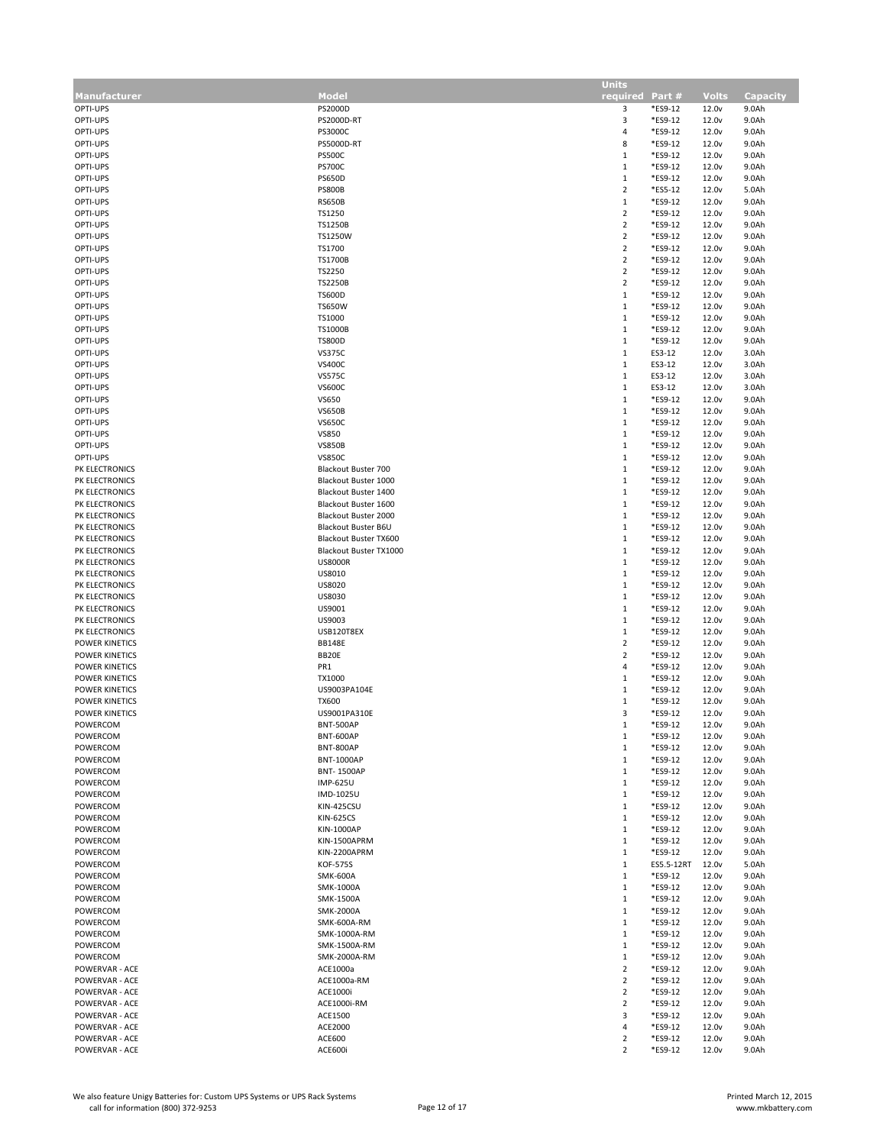|                       |                            | <b>Units</b>    |            |                   |                 |
|-----------------------|----------------------------|-----------------|------------|-------------------|-----------------|
| <b>Manufacturer</b>   | Model                      | required Part # |            | <b>Volts</b>      | <b>Capacity</b> |
| OPTI-UPS              | PS2000D                    | 3               | *ES9-12    | 12.0 <sub>v</sub> | 9.0Ah           |
| OPTI-UPS              | PS2000D-RT                 | 3               | *ES9-12    | 12.0 <sub>v</sub> | 9.0Ah           |
| OPTI-UPS              | PS3000C                    | $\overline{a}$  | *ES9-12    | 12.0v             | 9.0Ah           |
| OPTI-UPS              | PS5000D-RT                 | 8               | *ES9-12    | 12.0 <sub>v</sub> | 9.0Ah           |
|                       |                            |                 |            |                   |                 |
| OPTI-UPS              | <b>PS500C</b>              | 1               | *ES9-12    | 12.0 <sub>v</sub> | 9.0Ah           |
| OPTI-UPS              | <b>PS700C</b>              | $\mathbf{1}$    | *ES9-12    | 12.0 <sub>v</sub> | 9.0Ah           |
| OPTI-UPS              | <b>PS650D</b>              | $\mathbf{1}$    | *ES9-12    | 12.0 <sub>v</sub> | 9.0Ah           |
| OPTI-UPS              | <b>PS800B</b>              | $\overline{2}$  | *ES5-12    | 12.0 <sub>v</sub> | 5.0Ah           |
| OPTI-UPS              | <b>RS650B</b>              | $\,1\,$         | *ES9-12    | 12.0 <sub>v</sub> | 9.0Ah           |
| OPTI-UPS              | TS1250                     | $\overline{2}$  | *ES9-12    | 12.0 <sub>v</sub> | 9.0Ah           |
| OPTI-UPS              | <b>TS1250B</b>             | $\overline{2}$  | *ES9-12    | 12.0 <sub>v</sub> | 9.0Ah           |
|                       |                            |                 |            |                   |                 |
| OPTI-UPS              | TS1250W                    | $\overline{2}$  | *ES9-12    | 12.0 <sub>v</sub> | 9.0Ah           |
| OPTI-UPS              | TS1700                     | $\overline{2}$  | *ES9-12    | 12.0 <sub>v</sub> | 9.0Ah           |
| OPTI-UPS              | <b>TS1700B</b>             | $\overline{2}$  | *ES9-12    | 12.0 <sub>v</sub> | 9.0Ah           |
| OPTI-UPS              | TS2250                     | $\sqrt{2}$      | *ES9-12    | 12.0 <sub>v</sub> | 9.0Ah           |
| OPTI-UPS              | <b>TS2250B</b>             | $\overline{2}$  | *ES9-12    | 12.0 <sub>v</sub> | 9.0Ah           |
| OPTI-UPS              | <b>TS600D</b>              | $\mathbf{1}$    | *ES9-12    | 12.0 <sub>v</sub> | 9.0Ah           |
|                       |                            |                 |            |                   |                 |
| OPTI-UPS              | <b>TS650W</b>              | $\mathbf{1}$    | *ES9-12    | 12.0 <sub>v</sub> | 9.0Ah           |
| OPTI-UPS              | TS1000                     | $\mathbf{1}$    | *ES9-12    | 12.0 <sub>v</sub> | 9.0Ah           |
| OPTI-UPS              | <b>TS1000B</b>             | $\mathbf{1}$    | *ES9-12    | 12.0 <sub>v</sub> | 9.0Ah           |
| OPTI-UPS              | <b>TS800D</b>              | $\mathbf{1}$    | *ES9-12    | 12.0 <sub>v</sub> | 9.0Ah           |
| OPTI-UPS              | <b>VS375C</b>              | $\mathbf{1}$    | ES3-12     | 12.0 <sub>v</sub> | 3.0Ah           |
| OPTI-UPS              | <b>VS400C</b>              | $\,1\,$         | ES3-12     | 12.0 <sub>v</sub> | 3.0Ah           |
|                       |                            |                 |            |                   |                 |
| OPTI-UPS              | <b>VS575C</b>              | $\mathbf{1}$    | ES3-12     | 12.0 <sub>v</sub> | 3.0Ah           |
| OPTI-UPS              | <b>VS600C</b>              | $\mathbf{1}$    | ES3-12     | 12.0 <sub>v</sub> | 3.0Ah           |
| OPTI-UPS              | VS650                      | $\,1\,$         | *ES9-12    | 12.0 <sub>v</sub> | 9.0Ah           |
| OPTI-UPS              | <b>VS650B</b>              | $\mathbf{1}$    | *ES9-12    | 12.0 <sub>v</sub> | 9.0Ah           |
| OPTI-UPS              | <b>VS650C</b>              | $\mathbf{1}$    | *ES9-12    | 12.0 <sub>v</sub> | 9.0Ah           |
|                       |                            |                 |            |                   |                 |
| OPTI-UPS              | <b>VS850</b>               | $\mathbf{1}$    | *ES9-12    | 12.0 <sub>v</sub> | 9.0Ah           |
| OPTI-UPS              | <b>VS850B</b>              | $\mathbf{1}$    | *ES9-12    | 12.0 <sub>v</sub> | 9.0Ah           |
| OPTI-UPS              | <b>VS850C</b>              | $\mathbf{1}$    | *ES9-12    | 12.0 <sub>v</sub> | 9.0Ah           |
| PK ELECTRONICS        | <b>Blackout Buster 700</b> | $\,1\,$         | *ES9-12    | 12.0 <sub>v</sub> | 9.0Ah           |
| PK ELECTRONICS        | Blackout Buster 1000       | $\mathbf{1}$    | *ES9-12    | 12.0 <sub>v</sub> | 9.0Ah           |
|                       |                            | $\,1\,$         |            |                   |                 |
| PK ELECTRONICS        | Blackout Buster 1400       |                 | *ES9-12    | 12.0 <sub>v</sub> | 9.0Ah           |
| PK ELECTRONICS        | Blackout Buster 1600       | $\mathbf{1}$    | *ES9-12    | 12.0 <sub>v</sub> | 9.0Ah           |
| PK ELECTRONICS        | Blackout Buster 2000       | $\mathbf{1}$    | *ES9-12    | 12.0 <sub>v</sub> | 9.0Ah           |
| PK ELECTRONICS        | Blackout Buster B6U        | $\,1\,$         | *ES9-12    | 12.0 <sub>v</sub> | 9.0Ah           |
| PK ELECTRONICS        | Blackout Buster TX600      | $\mathbf{1}$    | *ES9-12    | 12.0 <sub>v</sub> | 9.0Ah           |
| PK ELECTRONICS        | Blackout Buster TX1000     | $1\,$           | *ES9-12    | 12.0 <sub>v</sub> | 9.0Ah           |
|                       |                            |                 |            |                   |                 |
| PK ELECTRONICS        | <b>US8000R</b>             | $1\,$           | *ES9-12    | 12.0 <sub>v</sub> | 9.0Ah           |
| PK ELECTRONICS        | US8010                     | $\mathbf{1}$    | *ES9-12    | 12.0 <sub>v</sub> | 9.0Ah           |
| PK ELECTRONICS        | US8020                     | $1\,$           | *ES9-12    | 12.0 <sub>v</sub> | 9.0Ah           |
| PK ELECTRONICS        | US8030                     | $\mathbf{1}$    | *ES9-12    | 12.0 <sub>v</sub> | 9.0Ah           |
| PK ELECTRONICS        | US9001                     | $\mathbf{1}$    | *ES9-12    | 12.0 <sub>v</sub> | 9.0Ah           |
|                       |                            |                 |            |                   |                 |
| PK ELECTRONICS        | US9003                     | $1\,$           | *ES9-12    | 12.0 <sub>v</sub> | 9.0Ah           |
| PK ELECTRONICS        | USB120T8EX                 | $\mathbf{1}$    | *ES9-12    | 12.0 <sub>v</sub> | 9.0Ah           |
| <b>POWER KINETICS</b> | <b>BB148E</b>              | $\overline{2}$  | *ES9-12    | 12.0 <sub>v</sub> | 9.0Ah           |
| POWER KINETICS        | BB20E                      | $\overline{2}$  | *ES9-12    | 12.0 <sub>v</sub> | 9.0Ah           |
| POWER KINETICS        | PR1                        | 4               | *ES9-12    | 12.0 <sub>v</sub> | 9.0Ah           |
| POWER KINETICS        | TX1000                     | $\mathbf{1}$    | *ES9-12    | 12.0 <sub>v</sub> | 9.0Ah           |
|                       |                            |                 |            |                   |                 |
| POWER KINETICS        | US9003PA104E               | $1\,$           | *ES9-12    | 12.0 <sub>v</sub> | 9.0Ah           |
| POWER KINETICS        | <b>TX600</b>               | $\mathbf{1}$    | *ES9-12    | 12.0 <sub>v</sub> | 9.0Ah           |
| POWER KINETICS        | US9001PA310E               | 3               | *ES9-12    | 12.0v             | 9.0Ah           |
| POWERCOM              | <b>BNT-500AP</b>           | $\mathbf{1}$    | *ES9-12    | 12.0 <sub>v</sub> | 9.0Ah           |
| POWERCOM              | <b>BNT-600AP</b>           | $\mathbf{1}$    | *ES9-12    | 12.0v             | 9.0Ah           |
| POWERCOM              | <b>BNT-800AP</b>           | $\mathbf{1}$    | *ES9-12    | 12.0 <sub>v</sub> | 9.0Ah           |
|                       |                            | $\mathbf{1}$    |            |                   |                 |
| POWERCOM              | <b>BNT-1000AP</b>          |                 | *ES9-12    | 12.0 <sub>v</sub> | 9.0Ah           |
| POWERCOM              | <b>BNT-1500AP</b>          | 1               | *ES9-12    | 12.0 <sub>v</sub> | 9.0Ah           |
| POWERCOM              | <b>IMP-625U</b>            | $\mathbf{1}$    | *ES9-12    | 12.0 <sub>v</sub> | 9.0Ah           |
| POWERCOM              | IMD-1025U                  | $\mathbf{1}$    | *ES9-12    | 12.0 <sub>v</sub> | 9.0Ah           |
| POWERCOM              | KIN-425CSU                 | 1               | *ES9-12    | 12.0 <sub>v</sub> | 9.0Ah           |
| POWERCOM              | <b>KIN-625CS</b>           | $\mathbf{1}$    | *ES9-12    | 12.0 <sub>v</sub> | 9.0Ah           |
| POWERCOM              | KIN-1000AP                 | $\mathbf{1}$    | *ES9-12    | 12.0 <sub>v</sub> | 9.0Ah           |
|                       |                            |                 |            |                   |                 |
| POWERCOM              | KIN-1500APRM               | $\mathbf{1}$    | *ES9-12    | 12.0 <sub>v</sub> | 9.0Ah           |
| POWERCOM              | KIN-2200APRM               | $\mathbf{1}$    | *ES9-12    | 12.0 <sub>v</sub> | 9.0Ah           |
| POWERCOM              | <b>KOF-575S</b>            | $\mathbf{1}$    | ES5.5-12RT | 12.0 <sub>v</sub> | 5.0Ah           |
| POWERCOM              | <b>SMK-600A</b>            | $\mathbf{1}$    | *ES9-12    | 12.0 <sub>v</sub> | 9.0Ah           |
| POWERCOM              | SMK-1000A                  | $1\,$           | *ES9-12    | 12.0 <sub>v</sub> | 9.0Ah           |
| POWERCOM              | SMK-1500A                  | $\mathbf{1}$    | *ES9-12    | 12.0 <sub>v</sub> | 9.0Ah           |
|                       |                            |                 |            |                   |                 |
| POWERCOM              | <b>SMK-2000A</b>           | $\mathbf{1}$    | *ES9-12    | 12.0 <sub>v</sub> | 9.0Ah           |
| POWERCOM              | SMK-600A-RM                | $1\,$           | *ES9-12    | 12.0 <sub>v</sub> | 9.0Ah           |
| POWERCOM              | SMK-1000A-RM               | $\mathbf{1}$    | *ES9-12    | 12.0 <sub>v</sub> | 9.0Ah           |
| POWERCOM              | SMK-1500A-RM               | $\mathbf{1}$    | *ES9-12    | 12.0 <sub>v</sub> | 9.0Ah           |
| POWERCOM              | SMK-2000A-RM               | $\mathbf{1}$    | *ES9-12    | 12.0 <sub>v</sub> | 9.0Ah           |
|                       |                            |                 |            |                   |                 |
| POWERVAR - ACE        | ACE1000a                   | $\overline{2}$  | *ES9-12    | 12.0 <sub>v</sub> | 9.0Ah           |
| POWERVAR - ACE        | ACE1000a-RM                | $\overline{2}$  | *ES9-12    | 12.0 <sub>v</sub> | 9.0Ah           |
| POWERVAR - ACE        | ACE1000i                   | $\overline{2}$  | *ES9-12    | 12.0 <sub>v</sub> | 9.0Ah           |
| POWERVAR - ACE        | ACE1000i-RM                | $\overline{2}$  | *ES9-12    | 12.0 <sub>v</sub> | 9.0Ah           |
| POWERVAR - ACE        | ACE1500                    | 3               | *ES9-12    | 12.0 <sub>v</sub> | 9.0Ah           |
| POWERVAR - ACE        | ACE2000                    | 4               | *ES9-12    | 12.0 <sub>v</sub> | 9.0Ah           |
| POWERVAR - ACE        | ACE600                     | $\overline{2}$  | *ES9-12    | 12.0 <sub>v</sub> |                 |
|                       |                            |                 |            |                   | 9.0Ah           |
| POWERVAR - ACE        | ACE600i                    | $\overline{2}$  | *ES9-12    | 12.0 <sub>v</sub> | 9.0Ah           |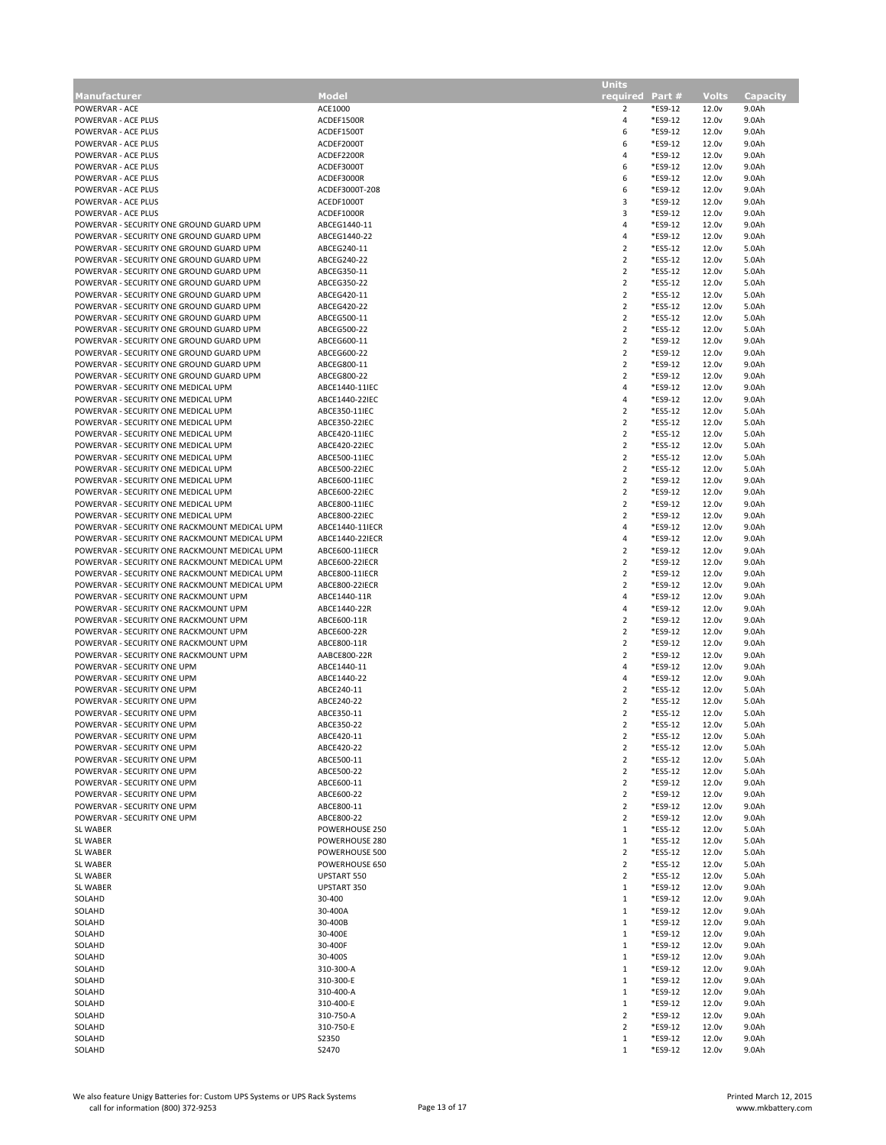|                                               |                          | <b>Units</b>    |         |                            |                |
|-----------------------------------------------|--------------------------|-----------------|---------|----------------------------|----------------|
| <b>Manufacturer</b>                           | <b>Model</b>             | required Part # |         | <b>Volts</b>               | Capacity       |
| POWERVAR - ACE                                | ACE1000                  | 2               | *ES9-12 | 12.0 <sub>v</sub>          | 9.0Ah          |
| POWERVAR - ACE PLUS                           | ACDEF1500R               | $\overline{4}$  | *ES9-12 | 12.0 <sub>v</sub>          | 9.0Ah          |
| POWERVAR - ACE PLUS                           | ACDEF1500T               | 6               | *ES9-12 | 12.0 <sub>v</sub>          | 9.0Ah          |
| POWERVAR - ACE PLUS                           | ACDEF2000T               | 6               | *ES9-12 | 12.0 <sub>v</sub>          | 9.0Ah          |
| POWERVAR - ACE PLUS                           |                          | 4               | *ES9-12 | 12.0 <sub>v</sub>          |                |
| POWERVAR - ACE PLUS                           | ACDEF2200R<br>ACDEF3000T | 6               | *ES9-12 | 12.0 <sub>v</sub>          | 9.0Ah<br>9.0Ah |
|                                               |                          |                 |         |                            |                |
| POWERVAR - ACE PLUS                           | ACDEF3000R               | 6               | *ES9-12 | 12.0 <sub>v</sub>          | 9.0Ah          |
| POWERVAR - ACE PLUS                           | ACDEF3000T-208           | 6               | *ES9-12 | 12.0 <sub>v</sub>          | 9.0Ah          |
| POWERVAR - ACE PLUS                           | ACEDF1000T               | 3               | *ES9-12 | 12.0 <sub>v</sub>          | 9.0Ah          |
| POWERVAR - ACE PLUS                           | ACDEF1000R               | 3               | *ES9-12 | 12.0 <sub>v</sub>          | 9.0Ah          |
| POWERVAR - SECURITY ONE GROUND GUARD UPM      | ABCEG1440-11             | 4               | *ES9-12 | 12.0 <sub>v</sub>          | 9.0Ah          |
| POWERVAR - SECURITY ONE GROUND GUARD UPM      | ABCEG1440-22             | $\overline{4}$  | *ES9-12 | 12.0 <sub>v</sub>          | 9.0Ah          |
| POWERVAR - SECURITY ONE GROUND GUARD UPM      | ABCEG240-11              | $\overline{2}$  | *ES5-12 | 12.0 <sub>v</sub>          | 5.0Ah          |
| POWERVAR - SECURITY ONE GROUND GUARD UPM      | ABCEG240-22              | $\overline{2}$  | *ES5-12 | 12.0 <sub>v</sub>          | 5.0Ah          |
| POWERVAR - SECURITY ONE GROUND GUARD UPM      | ABCEG350-11              | $\overline{2}$  | *ES5-12 | 12.0 <sub>v</sub>          | 5.0Ah          |
| POWERVAR - SECURITY ONE GROUND GUARD UPM      | ABCEG350-22              | $\overline{2}$  | *ES5-12 | 12.0 <sub>v</sub>          | 5.0Ah          |
| POWERVAR - SECURITY ONE GROUND GUARD UPM      | ABCEG420-11              | $\overline{2}$  | *ES5-12 | 12.0 <sub>v</sub>          | 5.0Ah          |
| POWERVAR - SECURITY ONE GROUND GUARD UPM      | ABCEG420-22              | $\overline{2}$  | *ES5-12 | 12.0 <sub>v</sub>          | 5.0Ah          |
| POWERVAR - SECURITY ONE GROUND GUARD UPM      | ABCEG500-11              | $\overline{2}$  | *ES5-12 | 12.0 <sub>v</sub>          | 5.0Ah          |
| POWERVAR - SECURITY ONE GROUND GUARD UPM      | ABCEG500-22              | $\overline{2}$  | *ES5-12 | 12.0 <sub>v</sub>          | 5.0Ah          |
| POWERVAR - SECURITY ONE GROUND GUARD UPM      | ABCEG600-11              | $\overline{2}$  | *ES9-12 | 12.0 <sub>v</sub>          | 9.0Ah          |
| POWERVAR - SECURITY ONE GROUND GUARD UPM      | ABCEG600-22              | $\overline{2}$  | *ES9-12 | 12.0 <sub>v</sub>          | 9.0Ah          |
| POWERVAR - SECURITY ONE GROUND GUARD UPM      | ABCEG800-11              | $\overline{2}$  | *ES9-12 | 12.0 <sub>v</sub>          | 9.0Ah          |
| POWERVAR - SECURITY ONE GROUND GUARD UPM      | ABCEG800-22              | $\overline{2}$  | *ES9-12 | 12.0 <sub>v</sub>          | 9.0Ah          |
| POWERVAR - SECURITY ONE MEDICAL UPM           | ABCE1440-11IEC           | 4               | *ES9-12 | 12.0 <sub>v</sub>          | 9.0Ah          |
| POWERVAR - SECURITY ONE MEDICAL UPM           | ABCE1440-22IEC           | $\overline{4}$  | *ES9-12 | 12.0 <sub>v</sub>          | 9.0Ah          |
| POWERVAR - SECURITY ONE MEDICAL UPM           | ABCE350-11IEC            | $\overline{2}$  | *ES5-12 | 12.0 <sub>v</sub>          | 5.0Ah          |
| POWERVAR - SECURITY ONE MEDICAL UPM           | ABCE350-22IEC            | $\overline{2}$  | *ES5-12 | 12.0 <sub>v</sub>          | 5.0Ah          |
| POWERVAR - SECURITY ONE MEDICAL UPM           | ABCE420-11IEC            | $\overline{2}$  | *ES5-12 | 12.0 <sub>v</sub>          | 5.0Ah          |
| POWERVAR - SECURITY ONE MEDICAL UPM           | ABCE420-22IEC            | $\overline{2}$  | *ES5-12 | 12.0 <sub>v</sub>          | 5.0Ah          |
| POWERVAR - SECURITY ONE MEDICAL UPM           | ABCE500-11IEC            | $\overline{2}$  | *ES5-12 | 12.0 <sub>v</sub>          | 5.0Ah          |
| POWERVAR - SECURITY ONE MEDICAL UPM           | ABCE500-22IEC            | $\overline{2}$  | *ES5-12 | 12.0 <sub>v</sub>          | 5.0Ah          |
|                                               | ABCE600-11IEC            | $\overline{2}$  | *ES9-12 |                            |                |
| POWERVAR - SECURITY ONE MEDICAL UPM           |                          |                 |         | 12.0v                      | 9.0Ah          |
| POWERVAR - SECURITY ONE MEDICAL UPM           | ABCE600-22IEC            | $\overline{2}$  | *ES9-12 | 12.0 <sub>v</sub>          | 9.0Ah          |
| POWERVAR - SECURITY ONE MEDICAL UPM           | ABCE800-11IEC            | $\overline{2}$  | *ES9-12 | 12.0 <sub>v</sub>          | 9.0Ah          |
| POWERVAR - SECURITY ONE MEDICAL UPM           | ABCE800-22IEC            | $\overline{2}$  | *ES9-12 | 12.0v                      | 9.0Ah          |
| POWERVAR - SECURITY ONE RACKMOUNT MEDICAL UPM | ABCE1440-11IECR          | 4               | *ES9-12 | 12.0 <sub>v</sub>          | 9.0Ah          |
| POWERVAR - SECURITY ONE RACKMOUNT MEDICAL UPM | ABCE1440-22IECR          | 4               | *ES9-12 | 12.0 <sub>v</sub>          | 9.0Ah          |
| POWERVAR - SECURITY ONE RACKMOUNT MEDICAL UPM | ABCE600-11IECR           | $\overline{2}$  | *ES9-12 | 12.0 <sub>v</sub>          | 9.0Ah          |
| POWERVAR - SECURITY ONE RACKMOUNT MEDICAL UPM | ABCE600-22IECR           | $\overline{2}$  | *ES9-12 | 12.0 <sub>v</sub>          | 9.0Ah          |
| POWERVAR - SECURITY ONE RACKMOUNT MEDICAL UPM | ABCE800-11IECR           | $\overline{2}$  | *ES9-12 | 12.0 <sub>v</sub>          | 9.0Ah          |
| POWERVAR - SECURITY ONE RACKMOUNT MEDICAL UPM | ABCE800-22IECR           | $\overline{2}$  | *ES9-12 | 12.0 <sub>v</sub>          | 9.0Ah          |
| POWERVAR - SECURITY ONE RACKMOUNT UPM         | ABCE1440-11R             | 4               | *ES9-12 | 12.0 <sub>v</sub>          | 9.0Ah          |
| POWERVAR - SECURITY ONE RACKMOUNT UPM         | ABCE1440-22R             | 4               | *ES9-12 | 12.0 <sub>v</sub>          | 9.0Ah          |
| POWERVAR - SECURITY ONE RACKMOUNT UPM         | ABCE600-11R              | $\overline{2}$  | *ES9-12 | 12.0 <sub>v</sub>          | 9.0Ah          |
| POWERVAR - SECURITY ONE RACKMOUNT UPM         | ABCE600-22R              | $\overline{2}$  | *ES9-12 | 12.0 <sub>v</sub>          | 9.0Ah          |
| POWERVAR - SECURITY ONE RACKMOUNT UPM         | ABCE800-11R              | $\overline{2}$  | *ES9-12 | 12.0 <sub>v</sub>          | 9.0Ah          |
| POWERVAR - SECURITY ONE RACKMOUNT UPM         | AABCE800-22R             | $\overline{2}$  | *ES9-12 | 12.0 <sub>v</sub>          | 9.0Ah          |
| POWERVAR - SECURITY ONE UPM                   | ABCE1440-11              | 4               | *ES9-12 | 12.0 <sub>v</sub>          | 9.0Ah          |
| POWERVAR - SECURITY ONE UPM                   | ABCE1440-22              | 4               | *ES9-12 | 12.0 <sub>v</sub>          | 9.0Ah          |
| POWERVAR - SECURITY ONE UPM                   | ABCE240-11               | $\overline{2}$  | *ES5-12 | 12.0 <sub>v</sub>          | 5.0Ah          |
| POWERVAR - SECURITY ONE UPM                   | ABCE240-22               | $\overline{2}$  | *ES5-12 | 12.0 <sub>v</sub>          | 5.0Ah          |
| POWERVAR - SECURITY ONE UPM                   | ABCE350-11               | 2               | *ES5-12 | 12.0 <sub>v</sub>          | 5.0Ah          |
| POWERVAR - SECURITY ONE UPM                   | ABCE350-22               | $\mathcal{P}$   | *ES5-12 | 12.0 <sub>v</sub>          | 5.0Ah          |
| POWERVAR - SECURITY ONE UPM                   | ABCE420-11               | $\overline{2}$  | *ES5-12 | 12.0v                      | 5.0Ah          |
| POWERVAR - SECURITY ONE UPM                   | ABCE420-22               | 2               | *ES5-12 | 12.0 <sub>v</sub>          | 5.0Ah          |
| POWERVAR - SECURITY ONE UPM                   | ABCE500-11               | $\overline{2}$  | *ES5-12 | 12.0 <sub>v</sub>          | 5.0Ah          |
| POWERVAR - SECURITY ONE UPM                   | ABCE500-22               | $\overline{2}$  | *ES5-12 | 12.0v                      | 5.0Ah          |
| POWERVAR - SECURITY ONE UPM                   | ABCE600-11               | $\overline{2}$  | *ES9-12 | 12.0 <sub>v</sub>          | 9.0Ah          |
| POWERVAR - SECURITY ONE UPM                   | ABCE600-22               | $\overline{2}$  | *ES9-12 | 12.0 <sub>v</sub>          | 9.0Ah          |
| POWERVAR - SECURITY ONE UPM                   | ABCE800-11               | $\overline{2}$  | *ES9-12 | 12.0v                      | 9.0Ah          |
| POWERVAR - SECURITY ONE UPM                   | ABCE800-22               | $\overline{2}$  | *ES9-12 | 12.0 <sub>v</sub>          | 9.0Ah          |
| SL WABER                                      | POWERHOUSE 250           | $\mathbf{1}$    | *ES5-12 | 12.0 <sub>v</sub>          | 5.0Ah          |
| <b>SL WABER</b>                               | POWERHOUSE 280           | $\mathbf{1}$    | *ES5-12 | 12.0 <sub>v</sub>          | 5.0Ah          |
| SL WABER                                      | POWERHOUSE 500           | $\overline{2}$  | *ES5-12 | 12.0 <sub>v</sub>          | 5.0Ah          |
| SL WABER                                      | POWERHOUSE 650           | $\overline{2}$  | *ES5-12 | 12.0 <sub>v</sub>          | 5.0Ah          |
| SL WABER                                      | UPSTART 550              | $\overline{2}$  | *ES5-12 | 12.0 <sub>v</sub>          | 5.0Ah          |
| SL WABER                                      | UPSTART 350              | 1               | *ES9-12 | 12.0 <sub>v</sub>          | 9.0Ah          |
| SOLAHD                                        | 30-400                   | $\mathbf{1}$    | *ES9-12 |                            | 9.0Ah          |
| SOLAHD                                        | 30-400A                  | $\mathbf{1}$    | *ES9-12 | 12.0v<br>12.0 <sub>v</sub> | 9.0Ah          |
| SOLAHD                                        | 30-400B                  | 1               | *ES9-12 | 12.0 <sub>v</sub>          | 9.0Ah          |
|                                               |                          |                 |         |                            |                |
| SOLAHD                                        | 30-400E                  | $\mathbf{1}$    | *ES9-12 | 12.0v                      | 9.0Ah          |
| SOLAHD                                        | 30-400F                  | 1               | *ES9-12 | 12.0 <sub>v</sub>          | 9.0Ah          |
| SOLAHD                                        | 30-400S                  | 1               | *ES9-12 | 12.0 <sub>v</sub>          | 9.0Ah          |
| SOLAHD                                        | 310-300-A                | $\mathbf{1}$    | *ES9-12 | 12.0 <sub>v</sub>          | 9.0Ah          |
| SOLAHD                                        | 310-300-E                | 1               | *ES9-12 | 12.0 <sub>v</sub>          | 9.0Ah          |
| SOLAHD                                        | 310-400-A                | $\mathbf{1}$    | *ES9-12 | 12.0 <sub>v</sub>          | 9.0Ah          |
| SOLAHD                                        | 310-400-E                | 1               | *ES9-12 | 12.0 <sub>v</sub>          | 9.0Ah          |
| SOLAHD                                        | 310-750-A                | $\overline{2}$  | *ES9-12 | 12.0 <sub>v</sub>          | 9.0Ah          |
| SOLAHD                                        | 310-750-E                | $\overline{2}$  | *ES9-12 | 12.0 <sub>v</sub>          | 9.0Ah          |
| SOLAHD                                        | S2350                    | $\mathbf{1}$    | *ES9-12 | 12.0 <sub>v</sub>          | 9.0Ah          |
| SOLAHD                                        | S2470                    | $1\,$           | *ES9-12 | 12.0 <sub>v</sub>          | 9.0Ah          |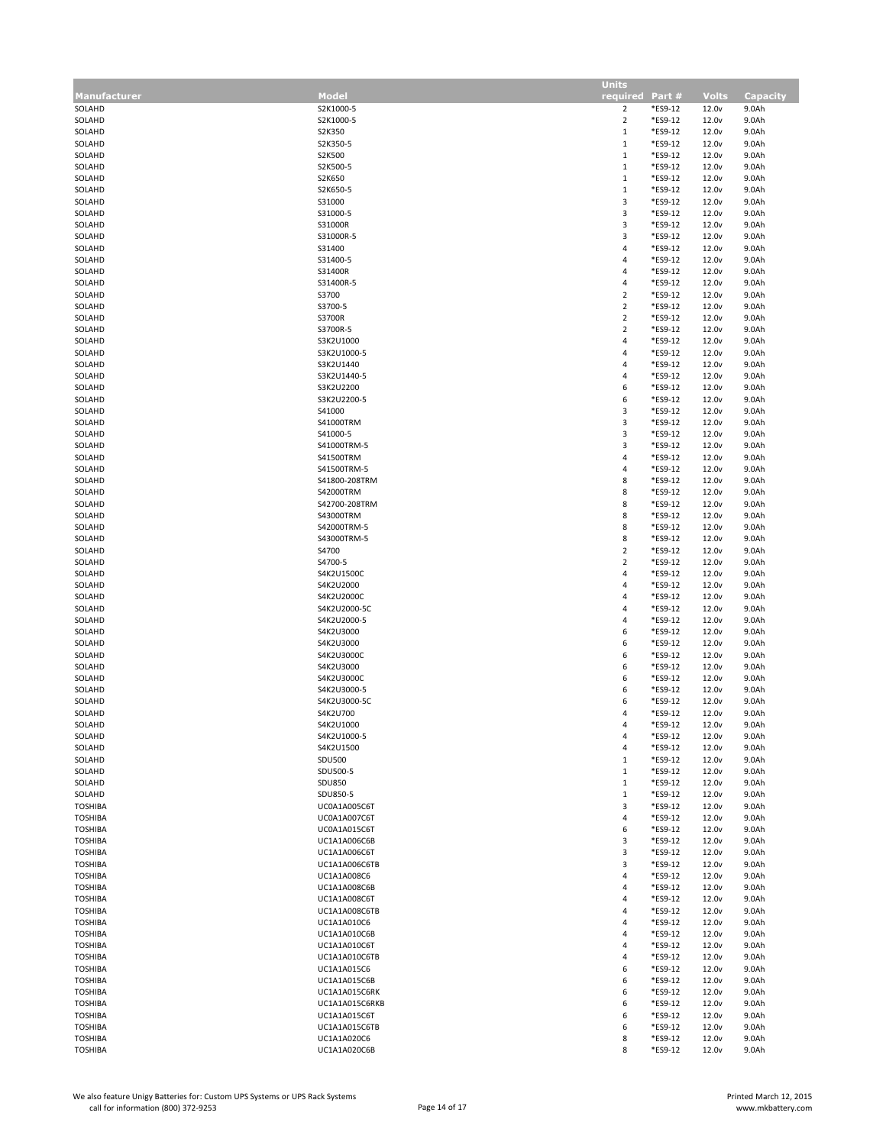|                     |                | <b>Units</b>            |         |                   |                 |
|---------------------|----------------|-------------------------|---------|-------------------|-----------------|
| <b>Manufacturer</b> | Model          | required Part #         |         | <b>Volts</b>      | <b>Capacity</b> |
| SOLAHD              | S2K1000-5      | $\overline{2}$          | *ES9-12 | 12.0 <sub>v</sub> | 9.0Ah           |
| SOLAHD              | S2K1000-5      | $\overline{2}$          | *ES9-12 | 12.0v             | 9.0Ah           |
| SOLAHD              | S2K350         | $\,1\,$                 | *ES9-12 | 12.0v             | 9.0Ah           |
| SOLAHD              | S2K350-5       | $\,1\,$                 | *ES9-12 | 12.0 <sub>v</sub> | 9.0Ah           |
| SOLAHD              | S2K500         | $\,1\,$                 | *ES9-12 |                   | 9.0Ah           |
|                     |                |                         |         | 12.0 <sub>v</sub> |                 |
| SOLAHD              | S2K500-5       | $\,1\,$                 | *ES9-12 | 12.0v             | 9.0Ah           |
| SOLAHD              | S2K650         | $\,1\,$                 | *ES9-12 | 12.0 <sub>v</sub> | 9.0Ah           |
| SOLAHD              | S2K650-5       | $\mathbf{1}$            | *ES9-12 | 12.0 <sub>v</sub> | 9.0Ah           |
| SOLAHD              | S31000         | $\overline{\mathbf{3}}$ | *ES9-12 | 12.0 <sub>v</sub> | 9.0Ah           |
| SOLAHD              | S31000-5       | 3                       | *ES9-12 | 12.0 <sub>v</sub> | 9.0Ah           |
| SOLAHD              | S31000R        | 3                       | *ES9-12 | 12.0 <sub>v</sub> | 9.0Ah           |
| SOLAHD              | S31000R-5      | 3                       | *ES9-12 | 12.0 <sub>v</sub> | 9.0Ah           |
| SOLAHD              | S31400         | 4                       | *ES9-12 | 12.0 <sub>v</sub> | 9.0Ah           |
| SOLAHD              | S31400-5       | 4                       | *ES9-12 | 12.0v             | 9.0Ah           |
| SOLAHD              | S31400R        | 4                       | *ES9-12 | 12.0 <sub>v</sub> | 9.0Ah           |
|                     |                |                         |         |                   |                 |
| SOLAHD              | S31400R-5      | 4                       | *ES9-12 | 12.0 <sub>v</sub> | 9.0Ah           |
| SOLAHD              | S3700          | $\overline{2}$          | *ES9-12 | 12.0v             | 9.0Ah           |
| SOLAHD              | S3700-5        | $\overline{\mathbf{c}}$ | *ES9-12 | 12.0 <sub>v</sub> | 9.0Ah           |
| SOLAHD              | S3700R         | $\overline{\mathbf{c}}$ | *ES9-12 | 12.0 <sub>v</sub> | 9.0Ah           |
| SOLAHD              | S3700R-5       | $\overline{2}$          | *ES9-12 | 12.0v             | 9.0Ah           |
| SOLAHD              | S3K2U1000      | 4                       | *ES9-12 | 12.0 <sub>v</sub> | 9.0Ah           |
| SOLAHD              | S3K2U1000-5    | 4                       | *ES9-12 | 12.0 <sub>v</sub> | 9.0Ah           |
| SOLAHD              | S3K2U1440      | 4                       | *ES9-12 | 12.0 <sub>v</sub> | 9.0Ah           |
| SOLAHD              | S3K2U1440-5    | 4                       | *ES9-12 | 12.0 <sub>v</sub> | 9.0Ah           |
|                     | S3K2U2200      |                         |         |                   |                 |
| SOLAHD              |                | 6                       | *ES9-12 | 12.0v             | 9.0Ah           |
| SOLAHD              | S3K2U2200-5    | 6                       | *ES9-12 | 12.0 <sub>v</sub> | 9.0Ah           |
| SOLAHD              | S41000         | 3                       | *ES9-12 | 12.0 <sub>v</sub> | 9.0Ah           |
| SOLAHD              | S41000TRM      | 3                       | *ES9-12 | 12.0 <sub>v</sub> | 9.0Ah           |
| SOLAHD              | S41000-5       | 3                       | *ES9-12 | 12.0 <sub>v</sub> | 9.0Ah           |
| SOLAHD              | S41000TRM-5    | 3                       | *ES9-12 | 12.0 <sub>v</sub> | 9.0Ah           |
| SOLAHD              | S41500TRM      | 4                       | *ES9-12 | 12.0v             | 9.0Ah           |
| SOLAHD              | S41500TRM-5    | 4                       | *ES9-12 | 12.0 <sub>v</sub> | 9.0Ah           |
| SOLAHD              | S41800-208TRM  | 8                       | *ES9-12 | 12.0 <sub>v</sub> | 9.0Ah           |
|                     |                |                         |         |                   |                 |
| SOLAHD              | S42000TRM      | 8                       | *ES9-12 | 12.0 <sub>v</sub> | 9.0Ah           |
| SOLAHD              | S42700-208TRM  | 8                       | *ES9-12 | 12.0 <sub>v</sub> | 9.0Ah           |
| SOLAHD              | S43000TRM      | 8                       | *ES9-12 | 12.0 <sub>v</sub> | 9.0Ah           |
| SOLAHD              | S42000TRM-5    | 8                       | *ES9-12 | 12.0 <sub>v</sub> | 9.0Ah           |
| SOLAHD              | S43000TRM-5    | 8                       | *ES9-12 | 12.0 <sub>v</sub> | 9.0Ah           |
| SOLAHD              | S4700          | $\mathbf 2$             | *ES9-12 | 12.0 <sub>v</sub> | 9.0Ah           |
| SOLAHD              | S4700-5        | $\mathbf 2$             | *ES9-12 | 12.0 <sub>v</sub> | 9.0Ah           |
| SOLAHD              | S4K2U1500C     | 4                       | *ES9-12 | 12.0 <sub>v</sub> | 9.0Ah           |
| SOLAHD              | S4K2U2000      | 4                       | *ES9-12 | 12.0 <sub>v</sub> | 9.0Ah           |
|                     | S4K2U2000C     | 4                       | *ES9-12 | 12.0 <sub>v</sub> |                 |
| SOLAHD              |                |                         |         |                   | 9.0Ah           |
| SOLAHD              | S4K2U2000-5C   | 4                       | *ES9-12 | 12.0 <sub>v</sub> | 9.0Ah           |
| SOLAHD              | S4K2U2000-5    | 4                       | *ES9-12 | 12.0 <sub>v</sub> | 9.0Ah           |
| SOLAHD              | S4K2U3000      | 6                       | *ES9-12 | 12.0 <sub>v</sub> | 9.0Ah           |
| SOLAHD              | S4K2U3000      | 6                       | *ES9-12 | 12.0 <sub>v</sub> | 9.0Ah           |
| SOLAHD              | S4K2U3000C     | 6                       | *ES9-12 | 12.0 <sub>v</sub> | 9.0Ah           |
| SOLAHD              | S4K2U3000      | 6                       | *ES9-12 | 12.0 <sub>v</sub> | 9.0Ah           |
| SOLAHD              | S4K2U3000C     | 6                       | *ES9-12 | 12.0v             | 9.0Ah           |
| SOLAHD              | S4K2U3000-5    | 6                       | *ES9-12 | 12.0 <sub>v</sub> | 9.0Ah           |
| SOLAHD              | S4K2U3000-5C   | 6                       | *ES9-12 | 12.0 <sub>v</sub> | 9.0Ah           |
|                     | S4K2U700       | 4                       |         |                   |                 |
| SOLAHD              |                |                         | *ES9-12 | 12.0v             | 9.0Ah           |
| SOLAHD              | S4K2U1000      | 4                       | *ES9-12 | 12.0 <sub>v</sub> | 9.0Ah           |
| SOLAHD              | S4K2U1000-5    | 4                       | *ES9-12 | 12.0v             | 9.0Ah           |
| SOLAHD              | S4K2U1500      | $\overline{a}$          | *ES9-12 | 12.0 <sub>v</sub> | 9.0Ah           |
| SOLAHD              | <b>SDU500</b>  | $1\,$                   | *ES9-12 | 12.0 <sub>v</sub> | 9.0Ah           |
| SOLAHD              | SDU500-5       | $\mathbf{1}$            | *ES9-12 | 12.0 <sub>v</sub> | 9.0Ah           |
| SOLAHD              | <b>SDU850</b>  | $\mathbf{1}$            | *ES9-12 | 12.0 <sub>v</sub> | 9.0Ah           |
| SOLAHD              | SDU850-5       | $\mathbf{1}$            | *ES9-12 | 12.0 <sub>v</sub> | 9.0Ah           |
| <b>TOSHIBA</b>      | UC0A1A005C6T   | 3                       | *ES9-12 | 12.0 <sub>v</sub> | 9.0Ah           |
| <b>TOSHIBA</b>      | UC0A1A007C6T   | 4                       | *ES9-12 | 12.0 <sub>v</sub> | 9.0Ah           |
| <b>TOSHIBA</b>      | UC0A1A015C6T   | 6                       | *ES9-12 | 12.0 <sub>v</sub> | 9.0Ah           |
| <b>TOSHIBA</b>      |                | 3                       | *ES9-12 | 12.0v             | 9.0Ah           |
|                     | UC1A1A006C6B   |                         |         |                   |                 |
| <b>TOSHIBA</b>      | UC1A1A006C6T   | $\mathsf 3$             | *ES9-12 | 12.0 <sub>v</sub> | 9.0Ah           |
| <b>TOSHIBA</b>      | UC1A1A006C6TB  | 3                       | *ES9-12 | 12.0 <sub>v</sub> | 9.0Ah           |
| <b>TOSHIBA</b>      | UC1A1A008C6    | 4                       | *ES9-12 | 12.0v             | 9.0Ah           |
| <b>TOSHIBA</b>      | UC1A1A008C6B   | 4                       | *ES9-12 | 12.0 <sub>v</sub> | 9.0Ah           |
| <b>TOSHIBA</b>      | UC1A1A008C6T   | 4                       | *ES9-12 | 12.0 <sub>v</sub> | 9.0Ah           |
| <b>TOSHIBA</b>      | UC1A1A008C6TB  | 4                       | *ES9-12 | 12.0v             | 9.0Ah           |
| <b>TOSHIBA</b>      | UC1A1A010C6    | 4                       | *ES9-12 | 12.0 <sub>v</sub> | 9.0Ah           |
| <b>TOSHIBA</b>      | UC1A1A010C6B   | 4                       | *ES9-12 | 12.0 <sub>v</sub> | 9.0Ah           |
| <b>TOSHIBA</b>      | UC1A1A010C6T   | 4                       | *ES9-12 | 12.0 <sub>v</sub> | 9.0Ah           |
|                     |                |                         |         |                   |                 |
| <b>TOSHIBA</b>      | UC1A1A010C6TB  | 4                       | *ES9-12 | 12.0 <sub>v</sub> | 9.0Ah           |
| <b>TOSHIBA</b>      | UC1A1A015C6    | 6                       | *ES9-12 | 12.0v             | 9.0Ah           |
| <b>TOSHIBA</b>      | UC1A1A015C6B   | 6                       | *ES9-12 | 12.0 <sub>v</sub> | 9.0Ah           |
| <b>TOSHIBA</b>      | UC1A1A015C6RK  | 6                       | *ES9-12 | 12.0 <sub>v</sub> | 9.0Ah           |
| <b>TOSHIBA</b>      | UC1A1A015C6RKB | 6                       | *ES9-12 | 12.0 <sub>v</sub> | 9.0Ah           |
| TOSHIBA             | UC1A1A015C6T   | 6                       | *ES9-12 | 12.0 <sub>v</sub> | 9.0Ah           |
| <b>TOSHIBA</b>      | UC1A1A015C6TB  | 6                       | *ES9-12 | 12.0 <sub>v</sub> | 9.0Ah           |
| TOSHIBA             | UC1A1A020C6    | 8                       | *ES9-12 | 12.0v             | 9.0Ah           |
| <b>TOSHIBA</b>      | UC1A1A020C6B   | 8                       | *ES9-12 | 12.0 <sub>v</sub> | 9.0Ah           |
|                     |                |                         |         |                   |                 |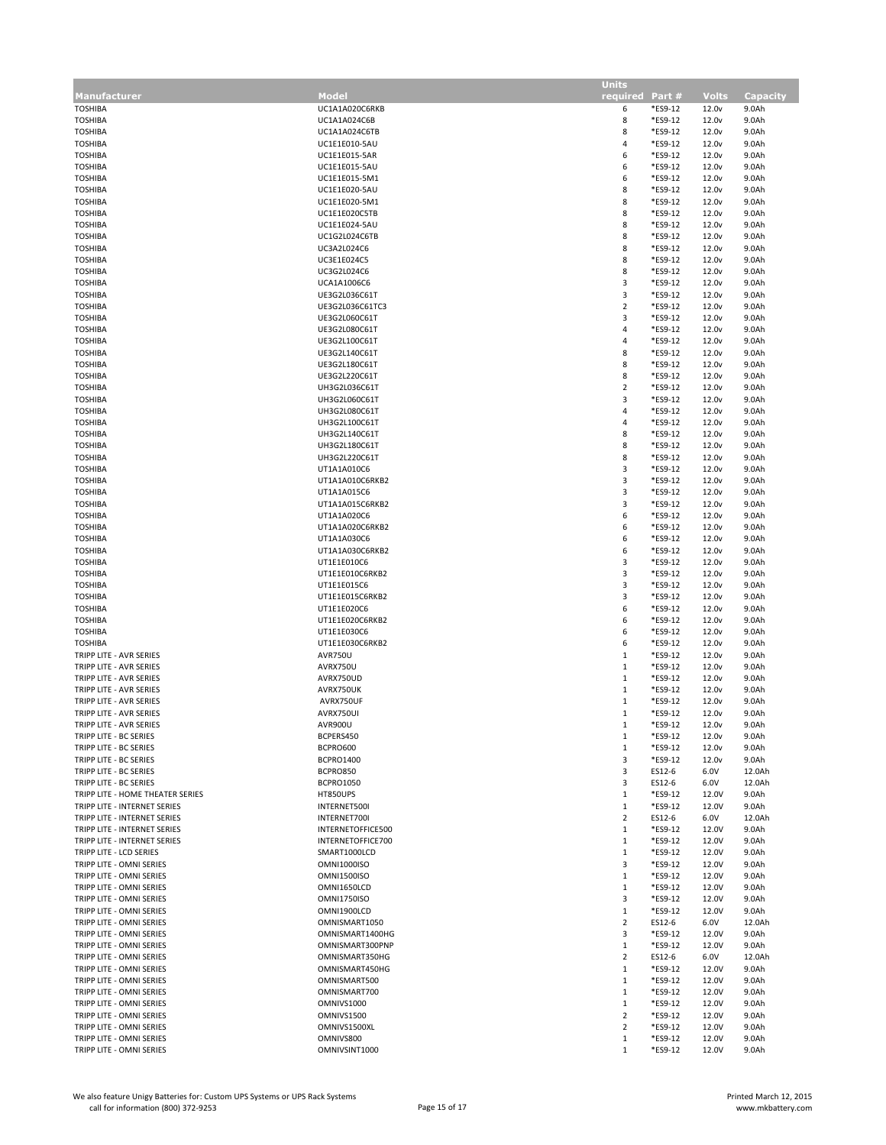|                                  |                    | <b>Units</b>    |         |                   |          |
|----------------------------------|--------------------|-----------------|---------|-------------------|----------|
| <b>Manufacturer</b>              | Model              | required Part # |         | <b>Volts</b>      | Capacity |
| <b>TOSHIBA</b>                   | UC1A1A020C6RKB     | 6               | *ES9-12 | 12.0 <sub>v</sub> | 9.0Ah    |
| <b>TOSHIBA</b>                   | UC1A1A024C6B       | 8               | *ES9-12 | 12.0 <sub>v</sub> | 9.0Ah    |
| <b>TOSHIBA</b>                   | UC1A1A024C6TB      | 8               | *ES9-12 | 12.0 <sub>v</sub> | 9.0Ah    |
| <b>TOSHIBA</b>                   | UC1E1E010-5AU      | 4               | *ES9-12 | 12.0 <sub>v</sub> | 9.0Ah    |
|                                  |                    |                 |         |                   |          |
| <b>TOSHIBA</b>                   | UC1E1E015-5AR      | 6               | *ES9-12 | 12.0v             | 9.0Ah    |
| <b>TOSHIBA</b>                   | UC1E1E015-5AU      | 6               | *ES9-12 | 12.0 <sub>v</sub> | 9.0Ah    |
| <b>TOSHIBA</b>                   | UC1E1E015-5M1      | 6               | *ES9-12 | 12.0v             | 9.0Ah    |
| <b>TOSHIBA</b>                   | UC1E1E020-5AU      | 8               | *ES9-12 | 12.0v             | 9.0Ah    |
| <b>TOSHIBA</b>                   | UC1E1E020-5M1      | 8               | *ES9-12 | 12.0 <sub>v</sub> | 9.0Ah    |
| <b>TOSHIBA</b>                   | UC1E1E020C5TB      | 8               | *ES9-12 | 12.0v             | 9.0Ah    |
| <b>TOSHIBA</b>                   | UC1E1E024-5AU      | 8               | *ES9-12 | 12.0v             | 9.0Ah    |
|                                  |                    |                 |         |                   |          |
| <b>TOSHIBA</b>                   | UC1G2L024C6TB      | 8               | *ES9-12 | 12.0 <sub>v</sub> | 9.0Ah    |
| <b>TOSHIBA</b>                   | UC3A2L024C6        | 8               | *ES9-12 | 12.0 <sub>v</sub> | 9.0Ah    |
| <b>TOSHIBA</b>                   | UC3E1E024C5        | 8               | *ES9-12 | 12.0v             | 9.0Ah    |
| <b>TOSHIBA</b>                   | UC3G2L024C6        | 8               | *ES9-12 | 12.0 <sub>v</sub> | 9.0Ah    |
| <b>TOSHIBA</b>                   | <b>UCA1A1006C6</b> | 3               | *ES9-12 | 12.0v             | 9.0Ah    |
| <b>TOSHIBA</b>                   | UE3G2L036C61T      | 3               | *ES9-12 | 12.0 <sub>v</sub> | 9.0Ah    |
|                                  |                    |                 |         |                   |          |
| <b>TOSHIBA</b>                   | UE3G2L036C61TC3    | $\overline{2}$  | *ES9-12 | 12.0 <sub>v</sub> | 9.0Ah    |
| <b>TOSHIBA</b>                   | UE3G2L060C61T      | 3               | *ES9-12 | 12.0 <sub>v</sub> | 9.0Ah    |
| <b>TOSHIBA</b>                   | UE3G2L080C61T      | 4               | *ES9-12 | 12.0 <sub>v</sub> | 9.0Ah    |
| <b>TOSHIBA</b>                   | UE3G2L100C61T      | 4               | *ES9-12 | 12.0v             | 9.0Ah    |
| <b>TOSHIBA</b>                   | UE3G2L140C61T      | 8               | *ES9-12 | 12.0 <sub>v</sub> | 9.0Ah    |
| <b>TOSHIBA</b>                   | UE3G2L180C61T      | 8               | *ES9-12 | 12.0v             | 9.0Ah    |
|                                  | UE3G2L220C61T      | 8               | *ES9-12 |                   |          |
| <b>TOSHIBA</b>                   |                    |                 |         | 12.0 <sub>v</sub> | 9.0Ah    |
| <b>TOSHIBA</b>                   | UH3G2L036C61T      | $\overline{2}$  | *ES9-12 | 12.0 <sub>v</sub> | 9.0Ah    |
| <b>TOSHIBA</b>                   | UH3G2L060C61T      | 3               | *ES9-12 | 12.0 <sub>v</sub> | 9.0Ah    |
| <b>TOSHIBA</b>                   | UH3G2L080C61T      | 4               | *ES9-12 | 12.0v             | 9.0Ah    |
| <b>TOSHIBA</b>                   | UH3G2L100C61T      | 4               | *ES9-12 | 12.0 <sub>v</sub> | 9.0Ah    |
| <b>TOSHIBA</b>                   | UH3G2L140C61T      | 8               | *ES9-12 | 12.0 <sub>v</sub> | 9.0Ah    |
|                                  |                    |                 |         |                   |          |
| TOSHIBA                          | UH3G2L180C61T      | 8               | *ES9-12 | 12.0v             | 9.0Ah    |
| <b>TOSHIBA</b>                   | UH3G2L220C61T      | 8               | *ES9-12 | 12.0 <sub>v</sub> | 9.0Ah    |
| <b>TOSHIBA</b>                   | UT1A1A010C6        | 3               | *ES9-12 | 12.0v             | 9.0Ah    |
| <b>TOSHIBA</b>                   | UT1A1A010C6RKB2    | 3               | *ES9-12 | 12.0 <sub>v</sub> | 9.0Ah    |
| <b>TOSHIBA</b>                   | UT1A1A015C6        | 3               | *ES9-12 | 12.0v             | 9.0Ah    |
| <b>TOSHIBA</b>                   | UT1A1A015C6RKB2    | 3               | *ES9-12 | 12.0 <sub>v</sub> | 9.0Ah    |
|                                  |                    |                 |         |                   |          |
| <b>TOSHIBA</b>                   | UT1A1A020C6        | 6               | *ES9-12 | 12.0 <sub>v</sub> | 9.0Ah    |
| <b>TOSHIBA</b>                   | UT1A1A020C6RKB2    | 6               | *ES9-12 | 12.0v             | 9.0Ah    |
| <b>TOSHIBA</b>                   | UT1A1A030C6        | 6               | *ES9-12 | 12.0 <sub>v</sub> | 9.0Ah    |
| <b>TOSHIBA</b>                   | UT1A1A030C6RKB2    | 6               | *ES9-12 | 12.0 <sub>v</sub> | 9.0Ah    |
| <b>TOSHIBA</b>                   | UT1E1E010C6        | 3               | *ES9-12 | 12.0 <sub>v</sub> | 9.0Ah    |
| <b>TOSHIBA</b>                   | UT1E1E010C6RKB2    | 3               | *ES9-12 | 12.0 <sub>v</sub> | 9.0Ah    |
|                                  |                    |                 |         |                   |          |
| <b>TOSHIBA</b>                   | UT1E1E015C6        | 3               | *ES9-12 | 12.0 <sub>v</sub> | 9.0Ah    |
| <b>TOSHIBA</b>                   | UT1E1E015C6RKB2    | 3               | *ES9-12 | 12.0v             | 9.0Ah    |
| <b>TOSHIBA</b>                   | UT1E1E020C6        | 6               | *ES9-12 | 12.0 <sub>v</sub> | 9.0Ah    |
| <b>TOSHIBA</b>                   | UT1E1E020C6RKB2    | 6               | *ES9-12 | 12.0 <sub>v</sub> | 9.0Ah    |
| <b>TOSHIBA</b>                   | UT1E1E030C6        | 6               | *ES9-12 | 12.0v             | 9.0Ah    |
| <b>TOSHIBA</b>                   | UT1E1E030C6RKB2    | 6               | *ES9-12 | 12.0 <sub>v</sub> | 9.0Ah    |
|                                  |                    |                 |         |                   |          |
| TRIPP LITE - AVR SERIES          | <b>AVR750U</b>     | $\,1\,$         | *ES9-12 | 12.0 <sub>v</sub> | 9.0Ah    |
| TRIPP LITE - AVR SERIES          | AVRX750U           | $\,1\,$         | *ES9-12 | 12.0 <sub>v</sub> | 9.0Ah    |
| TRIPP LITE - AVR SERIES          | AVRX750UD          | $\,1$           | *ES9-12 | 12.0 <sub>v</sub> | 9.0Ah    |
| TRIPP LITE - AVR SERIES          | AVRX750UK          | $\,1$           | *ES9-12 | 12.0 <sub>v</sub> | 9.0Ah    |
| TRIPP LITE - AVR SERIES          | AVRX750UF          | 1               | *ES9-12 | 12.0v             | 9.0Ah    |
| TRIPP LITE - AVR SERIES          | AVRX750UI          | $\,1\,$         | *ES9-12 | 12.0 <sub>v</sub> | 9.0Ah    |
| TRIPP LITE - AVR SERIES          | AVR900U            | $\mathbf{1}$    | *ES9-12 | 12.0 <sub>v</sub> | 9.0Ah    |
|                                  |                    |                 |         |                   |          |
| TRIPP LITE - BC SERIES           | BCPERS450          | $\mathbf{1}$    | *ES9-12 | 12.0 <sub>v</sub> | 9.0Ah    |
| TRIPP LITE - BC SERIES           | BCPRO600           | $1\,$           | *ES9-12 | 12.0v             | 9.0Ah    |
| TRIPP LITE - BC SERIES           | <b>BCPRO1400</b>   | 3               | *ES9-12 | 12.0 <sub>v</sub> | 9.0Ah    |
| TRIPP LITE - BC SERIES           | BCPRO850           | 3               | ES12-6  | 6.0V              | 12.0Ah   |
| TRIPP LITE - BC SERIES           | <b>BCPRO1050</b>   | 3               | ES12-6  | 6.0V              | 12.0Ah   |
| TRIPP LITE - HOME THEATER SERIES | HT850UPS           | $\mathbf{1}$    | *ES9-12 | 12.0V             | 9.0Ah    |
| TRIPP LITE - INTERNET SERIES     | INTERNET500I       | 1               | *ES9-12 | 12.0V             | 9.0Ah    |
|                                  |                    |                 |         |                   |          |
| TRIPP LITE - INTERNET SERIES     | INTERNET700I       | $\overline{2}$  | ES12-6  | 6.0V              | 12.0Ah   |
| TRIPP LITE - INTERNET SERIES     | INTERNETOFFICE500  | $\mathbf{1}$    | *ES9-12 | 12.0V             | 9.0Ah    |
| TRIPP LITE - INTERNET SERIES     | INTERNETOFFICE700  | $\mathbf{1}$    | *ES9-12 | 12.0V             | 9.0Ah    |
| TRIPP LITE - LCD SERIES          | SMART1000LCD       | $\mathbf{1}$    | *ES9-12 | 12.0V             | 9.0Ah    |
| TRIPP LITE - OMNI SERIES         | <b>OMNI1000ISO</b> | 3               | *ES9-12 | 12.0V             | 9.0Ah    |
| TRIPP LITE - OMNI SERIES         | <b>OMNI1500ISO</b> | $\mathbf{1}$    | *ES9-12 | 12.0V             | 9.0Ah    |
|                                  |                    | $\,1\,$         | *ES9-12 |                   |          |
| TRIPP LITE - OMNI SERIES         | OMNI1650LCD        |                 |         | 12.0V             | 9.0Ah    |
| TRIPP LITE - OMNI SERIES         | <b>OMNI1750ISO</b> | 3               | *ES9-12 | 12.0V             | 9.0Ah    |
| TRIPP LITE - OMNI SERIES         | OMNI1900LCD        | $\mathbf{1}$    | *ES9-12 | 12.0V             | 9.0Ah    |
| TRIPP LITE - OMNI SERIES         | OMNISMART1050      | $\overline{2}$  | ES12-6  | 6.0V              | 12.0Ah   |
| TRIPP LITE - OMNI SERIES         | OMNISMART1400HG    | 3               | *ES9-12 | 12.0V             | 9.0Ah    |
| TRIPP LITE - OMNI SERIES         | OMNISMART300PNP    | $\mathbf{1}$    | *ES9-12 | 12.0V             | 9.0Ah    |
| TRIPP LITE - OMNI SERIES         | OMNISMART350HG     | $\overline{2}$  | ES12-6  | 6.0V              | 12.0Ah   |
|                                  |                    |                 |         |                   |          |
| TRIPP LITE - OMNI SERIES         | OMNISMART450HG     | $\mathbf{1}$    | *ES9-12 | 12.0V             | 9.0Ah    |
| TRIPP LITE - OMNI SERIES         | OMNISMART500       | $\mathbf{1}$    | *ES9-12 | 12.0V             | 9.0Ah    |
| TRIPP LITE - OMNI SERIES         | OMNISMART700       | $\mathbf{1}$    | *ES9-12 | 12.0V             | 9.0Ah    |
| TRIPP LITE - OMNI SERIES         | OMNIVS1000         | $\mathbf{1}$    | *ES9-12 | 12.0V             | 9.0Ah    |
| TRIPP LITE - OMNI SERIES         | OMNIVS1500         | $\overline{2}$  | *ES9-12 | 12.0V             | 9.0Ah    |
| TRIPP LITE - OMNI SERIES         | OMNIVS1500XL       | $\overline{2}$  | *ES9-12 | 12.0V             | 9.0Ah    |
|                                  | OMNIVS800          | $1\,$           | *ES9-12 |                   | 9.0Ah    |
| TRIPP LITE - OMNI SERIES         |                    |                 |         | 12.0V             |          |
| TRIPP LITE - OMNI SERIES         | OMNIVSINT1000      | $1\,$           | *ES9-12 | 12.0V             | 9.0Ah    |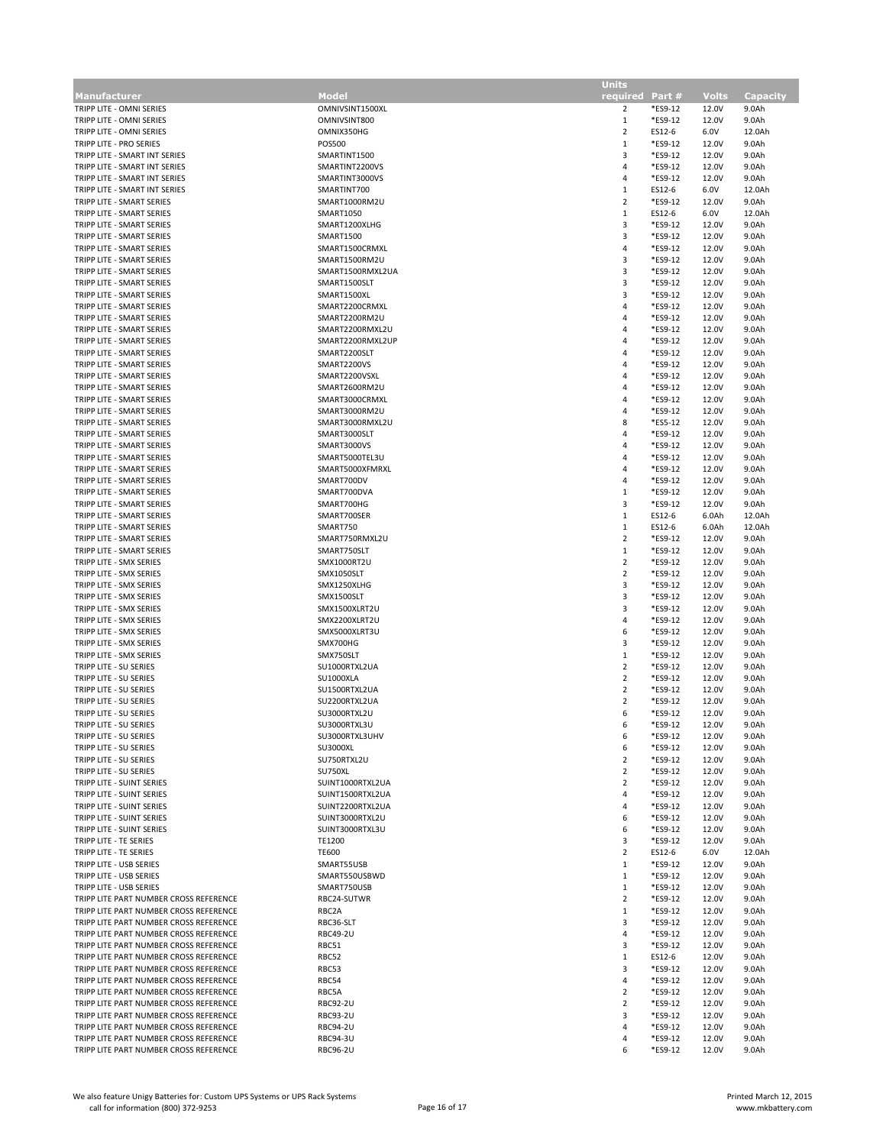| Manufacturer                           | Mode             | required       | Part #  | <b>Volts</b> | Capacity |
|----------------------------------------|------------------|----------------|---------|--------------|----------|
| TRIPP LITE - OMNI SERIES               | OMNIVSINT1500XL  | 2              | *ES9-12 | 12.0V        | 9.0Ah    |
| TRIPP LITE - OMNI SERIES               | OMNIVSINT800     | $\mathbf{1}$   | *ES9-12 | 12.0V        | 9.0Ah    |
| TRIPP LITE - OMNI SERIES               | OMNIX350HG       | $\overline{2}$ | ES12-6  | 6.0V         | 12.0Ah   |
| TRIPP LITE - PRO SERIES                | POS500           | $\mathbf{1}$   | *ES9-12 | 12.0V        | 9.0Ah    |
|                                        |                  |                |         |              |          |
| TRIPP LITE - SMART INT SERIES          | SMARTINT1500     | 3              | *ES9-12 | 12.0V        | 9.0Ah    |
| TRIPP LITE - SMART INT SERIES          | SMARTINT2200VS   | 4              | *ES9-12 | 12.0V        | 9.0Ah    |
| TRIPP LITE - SMART INT SERIES          | SMARTINT3000VS   | 4              | *ES9-12 | 12.0V        | 9.0Ah    |
| TRIPP LITE - SMART INT SERIES          | SMARTINT700      | $\mathbf{1}$   | ES12-6  | 6.0V         | 12.0Ah   |
| TRIPP LITE - SMART SERIES              | SMART1000RM2U    | $\overline{2}$ | *ES9-12 | 12.0V        | 9.0Ah    |
| TRIPP LITE - SMART SERIES              | SMART1050        | $\mathbf{1}$   | ES12-6  | 6.0V         | 12.0Ah   |
| TRIPP LITE - SMART SERIES              | SMART1200XLHG    | 3              | *ES9-12 | 12.0V        | 9.0Ah    |
|                                        |                  |                |         |              |          |
| TRIPP LITE - SMART SERIES              | <b>SMART1500</b> | 3              | *ES9-12 | 12.0V        | 9.0Ah    |
| TRIPP LITE - SMART SERIES              | SMART1500CRMXL   | 4              | *ES9-12 | 12.0V        | 9.0Ah    |
| TRIPP LITE - SMART SERIES              | SMART1500RM2U    | 3              | *ES9-12 | 12.0V        | 9.0Ah    |
| TRIPP LITE - SMART SERIES              | SMART1500RMXL2UA | 3              | *ES9-12 | 12.0V        | 9.0Ah    |
| TRIPP LITE - SMART SERIES              | SMART1500SLT     | 3              | *ES9-12 | 12.0V        | 9.0Ah    |
| TRIPP LITE - SMART SERIES              | SMART1500XL      | 3              | *ES9-12 |              |          |
|                                        |                  |                |         | 12.0V        | 9.0Ah    |
| TRIPP LITE - SMART SERIES              | SMART2200CRMXL   | 4              | *ES9-12 | 12.0V        | 9.0Ah    |
| TRIPP LITE - SMART SERIES              | SMART2200RM2U    | $\overline{4}$ | *ES9-12 | 12.0V        | 9.0Ah    |
| TRIPP LITE - SMART SERIES              | SMART2200RMXL2U  | $\overline{4}$ | *ES9-12 | 12.0V        | 9.0Ah    |
| TRIPP LITE - SMART SERIES              | SMART2200RMXL2UP | $\overline{4}$ | *ES9-12 | 12.0V        | 9.0Ah    |
| TRIPP LITE - SMART SERIES              | SMART2200SLT     | 4              | *ES9-12 | 12.0V        | 9.0Ah    |
| TRIPP LITE - SMART SERIES              | SMART2200VS      | $\overline{4}$ | *ES9-12 | 12.0V        | 9.0Ah    |
|                                        |                  |                |         |              |          |
| TRIPP LITE - SMART SERIES              | SMART2200VSXL    | 4              | *ES9-12 | 12.0V        | 9.0Ah    |
| TRIPP LITE - SMART SERIES              | SMART2600RM2U    | 4              | *ES9-12 | 12.0V        | 9.0Ah    |
| TRIPP LITE - SMART SERIES              | SMART3000CRMXL   | $\overline{4}$ | *ES9-12 | 12.0V        | 9.0Ah    |
| TRIPP LITE - SMART SERIES              | SMART3000RM2U    | $\overline{4}$ | *ES9-12 | 12.0V        | 9.0Ah    |
| TRIPP LITE - SMART SERIES              | SMART3000RMXL2U  | 8              | *ES5-12 | 12.0V        | 9.0Ah    |
| TRIPP LITE - SMART SERIES              | SMART3000SLT     | $\overline{4}$ | *ES9-12 | 12.0V        | 9.0Ah    |
|                                        |                  |                |         |              |          |
| TRIPP LITE - SMART SERIES              | SMART3000VS      | $\overline{4}$ | *ES9-12 | 12.0V        | 9.0Ah    |
| TRIPP LITE - SMART SERIES              | SMART5000TEL3U   | $\overline{4}$ | *ES9-12 | 12.0V        | 9.0Ah    |
| TRIPP LITE - SMART SERIES              | SMART5000XFMRXL  | $\overline{4}$ | *ES9-12 | 12.0V        | 9.0Ah    |
| TRIPP LITE - SMART SERIES              | SMART700DV       | 4              | *ES9-12 | 12.0V        | 9.0Ah    |
| TRIPP LITE - SMART SERIES              | SMART700DVA      | $\mathbf{1}$   | *ES9-12 | 12.0V        | 9.0Ah    |
|                                        |                  | 3              |         |              |          |
| TRIPP LITE - SMART SERIES              | SMART700HG       |                | *ES9-12 | 12.0V        | 9.0Ah    |
| TRIPP LITE - SMART SERIES              | SMART700SER      | $\mathbf{1}$   | ES12-6  | 6.0Ah        | 12.0Ah   |
| TRIPP LITE - SMART SERIES              | SMART750         | $\mathbf{1}$   | ES12-6  | 6.0Ah        | 12.0Ah   |
| TRIPP LITE - SMART SERIES              | SMART750RMXL2U   | $\overline{2}$ | *ES9-12 | 12.0V        | 9.0Ah    |
| TRIPP LITE - SMART SERIES              | SMART750SLT      | $\mathbf{1}$   | *ES9-12 | 12.0V        | 9.0Ah    |
| TRIPP LITE - SMX SERIES                | SMX1000RT2U      | $\overline{2}$ | *ES9-12 | 12.0V        | 9.0Ah    |
|                                        |                  |                |         |              |          |
| TRIPP LITE - SMX SERIES                | SMX1050SLT       | $\overline{2}$ | *ES9-12 | 12.0V        | 9.0Ah    |
| TRIPP LITE - SMX SERIES                | SMX1250XLHG      | 3              | *ES9-12 | 12.0V        | 9.0Ah    |
| TRIPP LITE - SMX SERIES                | SMX1500SLT       | 3              | *ES9-12 | 12.0V        | 9.0Ah    |
| TRIPP LITE - SMX SERIES                | SMX1500XLRT2U    | 3              | *ES9-12 | 12.0V        | 9.0Ah    |
| TRIPP LITE - SMX SERIES                | SMX2200XLRT2U    | 4              | *ES9-12 | 12.0V        | 9.0Ah    |
| TRIPP LITE - SMX SERIES                | SMX5000XLRT3U    | 6              | *ES9-12 | 12.0V        | 9.0Ah    |
|                                        |                  |                |         |              |          |
| TRIPP LITE - SMX SERIES                | SMX700HG         | 3              | *ES9-12 | 12.0V        | 9.0Ah    |
| TRIPP LITE - SMX SERIES                | SMX750SLT        | $\mathbf{1}$   | *ES9-12 | 12.0V        | 9.0Ah    |
| TRIPP LITE - SU SERIES                 | SU1000RTXL2UA    | $\overline{2}$ | *ES9-12 | 12.0V        | 9.0Ah    |
| TRIPP LITE - SU SERIES                 | SU1000XLA        | $\overline{2}$ | *ES9-12 | 12.0V        | 9.0Ah    |
| TRIPP LITE - SU SERIES                 | SU1500RTXL2UA    | $\overline{2}$ | *ES9-12 | 12.0V        | 9.0Ah    |
| TRIPP LITE - SU SERIES                 | SU2200RTXL2UA    | $\overline{2}$ | *ES9-12 | 12.0V        | 9.0Ah    |
| TRIPP LITE - SU SERIES                 | SU3000RTXL2U     | 6              | *ES9-12 | 12.0V        | 9.0Ah    |
|                                        |                  |                |         |              |          |
| TRIPP LITE - SU SERIES                 | SU3000RTXL3U     | 6              | *ES9-12 | 12.0V        | 9.0Ah    |
| TRIPP LITE - SU SERIES                 | SU3000RTXL3UHV   | 6              | *ES9-12 | 12.0V        | 9.0Ah    |
| TRIPP LITE - SU SERIES                 | <b>SU3000XL</b>  | 6              | *ES9-12 | 12.0V        | 9.0Ah    |
| TRIPP LITE - SU SERIES                 | SU750RTXL2U      | $\overline{2}$ | *ES9-12 | 12.0V        | 9.0Ah    |
| TRIPP LITE - SU SERIES                 | SU750XL          | $\overline{2}$ | *ES9-12 | 12.0V        | 9.0Ah    |
| TRIPP LITE - SUINT SERIES              | SUINT1000RTXL2UA | $\overline{2}$ | *ES9-12 | 12.0V        | 9.0Ah    |
| TRIPP LITE - SUINT SERIES              | SUINT1500RTXL2UA | 4              | *ES9-12 | 12.0V        | 9.0Ah    |
|                                        |                  |                |         |              |          |
| TRIPP LITE - SUINT SERIES              | SUINT2200RTXL2UA | 4              | *ES9-12 | 12.0V        | 9.0Ah    |
| TRIPP LITE - SUINT SERIES              | SUINT3000RTXL2U  | 6              | *ES9-12 | 12.0V        | 9.0Ah    |
| TRIPP LITE - SUINT SERIES              | SUINT3000RTXL3U  | 6              | *ES9-12 | 12.0V        | 9.0Ah    |
| TRIPP LITE - TE SERIES                 | TE1200           | 3              | *ES9-12 | 12.0V        | 9.0Ah    |
| TRIPP LITE - TE SERIES                 | <b>TE600</b>     | $\overline{2}$ | ES12-6  | 6.0V         | 12.0Ah   |
| TRIPP LITE - USB SERIES                | SMART55USB       | $\mathbf{1}$   | *ES9-12 | 12.0V        | 9.0Ah    |
| TRIPP LITE - USB SERIES                | SMART550USBWD    | 1              | *ES9-12 | 12.0V        | 9.0Ah    |
|                                        |                  |                |         |              |          |
| TRIPP LITE - USB SERIES                | SMART750USB      | $\mathbf{1}$   | *ES9-12 | 12.0V        | 9.0Ah    |
| TRIPP LITE PART NUMBER CROSS REFERENCE | RBC24-SUTWR      | $\overline{2}$ | *ES9-12 | 12.0V        | 9.0Ah    |
| TRIPP LITE PART NUMBER CROSS REFERENCE | RBC2A            | 1              | *ES9-12 | 12.0V        | 9.0Ah    |
| TRIPP LITE PART NUMBER CROSS REFERENCE | RBC36-SLT        | 3              | *ES9-12 | 12.0V        | 9.0Ah    |
| TRIPP LITE PART NUMBER CROSS REFERENCE | <b>RBC49-2U</b>  | 4              | *ES9-12 | 12.0V        | 9.0Ah    |
| TRIPP LITE PART NUMBER CROSS REFERENCE | RBC51            | 3              | *ES9-12 | 12.0V        | 9.0Ah    |
|                                        |                  |                |         |              |          |
| TRIPP LITE PART NUMBER CROSS REFERENCE | RBC52            | $\mathbf{1}$   | ES12-6  | 12.0V        | 9.0Ah    |
| TRIPP LITE PART NUMBER CROSS REFERENCE | RBC53            | 3              | *ES9-12 | 12.0V        | 9.0Ah    |
| TRIPP LITE PART NUMBER CROSS REFERENCE | RBC54            | 4              | *ES9-12 | 12.0V        | 9.0Ah    |
| TRIPP LITE PART NUMBER CROSS REFERENCE | RBC5A            | $\overline{2}$ | *ES9-12 | 12.0V        | 9.0Ah    |
| TRIPP LITE PART NUMBER CROSS REFERENCE | <b>RBC92-2U</b>  | $\overline{2}$ | *ES9-12 | 12.0V        | 9.0Ah    |
| TRIPP LITE PART NUMBER CROSS REFERENCE | <b>RBC93-2U</b>  | 3              | *ES9-12 | 12.0V        | 9.0Ah    |
|                                        |                  |                |         |              |          |
| TRIPP LITE PART NUMBER CROSS REFERENCE | <b>RBC94-2U</b>  | 4              | *ES9-12 | 12.0V        | 9.0Ah    |
| TRIPP LITE PART NUMBER CROSS REFERENCE | <b>RBC94-3U</b>  | 4              | *ES9-12 | 12.0V        | 9.0Ah    |
| TRIPP LITE PART NUMBER CROSS REFERENCE | <b>RBC96-2U</b>  | 6              | *ES9-12 | 12.0V        | 9.0Ah    |

**Units** 

п